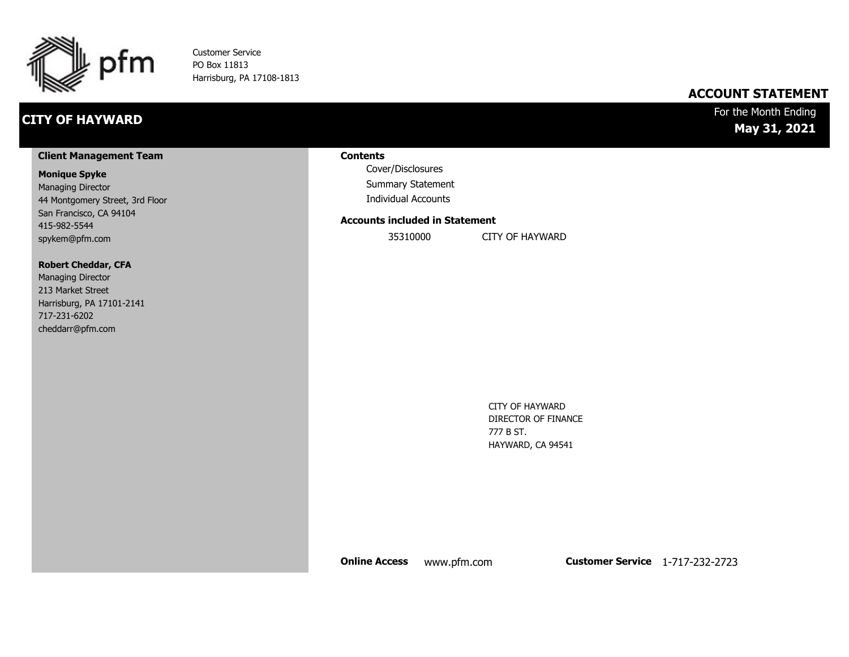

Customer Service PO Box 11813 Harrisburg, PA 17108-1813

# **CITY OF HAYWARD**

### **ACCOUNT STATEMENT**

### For the Month Ending **May 31, 2021**

#### **Client Management Team**

#### **Monique Spyke**

Managing Director 44 Montgomery Street, 3rd Floor San Francisco, CA 94104 415-982-5544 spykem@pfm.com

#### **Robert Cheddar, CFA**

| <b>Managing Director</b>  |
|---------------------------|
| 213 Market Street         |
| Harrisburg, PA 17101-2141 |
| 717-231-6202              |
| cheddarr@pfm.com          |

#### **Contents**

Cover/Disclosures Summary Statement Individual Accounts

#### **Accounts included in Statement**

35310000 CITY OF HAYWARD

CITY OF HAYWARD DIRECTOR OF FINANCE 777 B ST. HAYWARD, CA 94541

**Online Access** www.pfm.com **Customer Service** 1-717-232-2723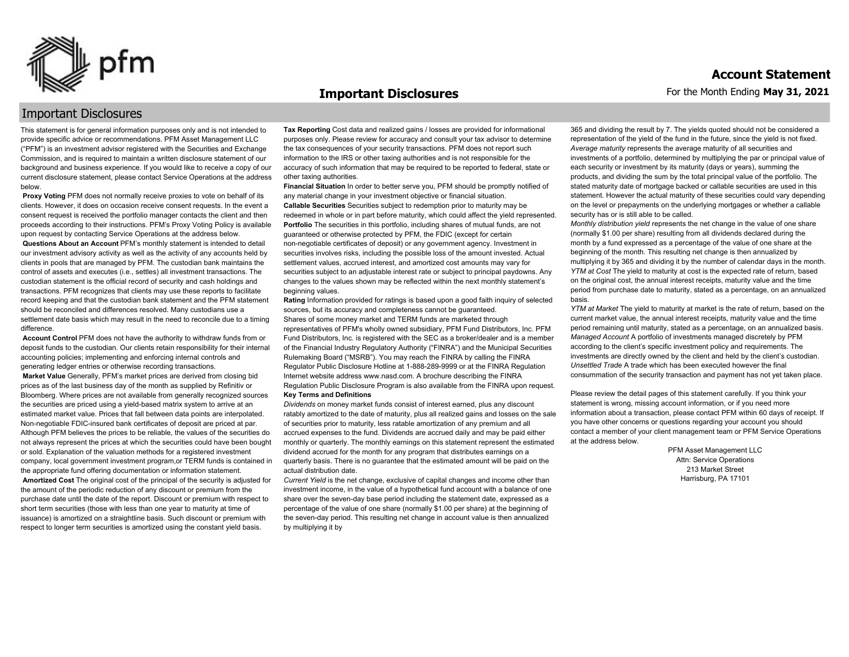

#### **Important Disclosures**

### Important Disclosures

This statement is for general information purposes only and is not intended to provide specific advice or recommendations. PFM Asset Management LLC ("PFM") is an investment advisor registered with the Securities and Exchange Commission, and is required to maintain a written disclosure statement of our background and business experience. If you would like to receive a copy of our current disclosure statement, please contact Service Operations at the address below.

**Proxy Voting** PFM does not normally receive proxies to vote on behalf of its clients. However, it does on occasion receive consent requests. In the event a consent request is received the portfolio manager contacts the client and then proceeds according to their instructions. PFM's Proxy Voting Policy is available upon request by contacting Service Operations at the address below. **Questions About an Account** PFM's monthly statement is intended to detail our investment advisory activity as well as the activity of any accounts held by clients in pools that are managed by PFM. The custodian bank maintains the control of assets and executes (i.e., settles) all investment transactions. The custodian statement is the official record of security and cash holdings and transactions. PFM recognizes that clients may use these reports to facilitate record keeping and that the custodian bank statement and the PFM statement should be reconciled and differences resolved. Many custodians use a settlement date basis which may result in the need to reconcile due to a timing

difference. **Account Control** PFM does not have the authority to withdraw funds from or deposit funds to the custodian. Our clients retain responsibility for their internal

accounting policies; implementing and enforcing internal controls and generating ledger entries or otherwise recording transactions. **Market Value** Generally, PFM's market prices are derived from closing bid prices as of the last business day of the month as supplied by Refinitiv or Bloomberg. Where prices are not available from generally recognized sources the securities are priced using a yield-based matrix system to arrive at an estimated market value. Prices that fall between data points are interpolated. Non-negotiable FDIC-insured bank certificates of deposit are priced at par. Although PFM believes the prices to be reliable, the values of the securities do not always represent the prices at which the securities could have been bought or sold. Explanation of the valuation methods for a registered investment company, local government investment program,or TERM funds is contained in the appropriate fund offering documentation or information statement. **Amortized Cost** The original cost of the principal of the security is adjusted for the amount of the periodic reduction of any discount or premium from the purchase date until the date of the report. Discount or premium with respect to short term securities (those with less than one year to maturity at time of issuance) is amortized on a straightline basis. Such discount or premium with respect to longer term securities is amortized using the constant yield basis.

**Tax Reporting** Cost data and realized gains / losses are provided for informational purposes only. Please review for accuracy and consult your tax advisor to determine the tax consequences of your security transactions. PFM does not report such information to the IRS or other taxing authorities and is not responsible for the accuracy of such information that may be required to be reported to federal, state or other taxing authorities.

**Financial Situation** In order to better serve you, PFM should be promptly notified of any material change in your investment objective or financial situation. **Callable Securities** Securities subject to redemption prior to maturity may be redeemed in whole or in part before maturity, which could affect the yield represented. Portfolio The securities in this portfolio, including shares of mutual funds, are not guaranteed or otherwise protected by PFM, the FDIC (except for certain non-negotiable certificates of deposit) or any government agency. Investment in securities involves risks, including the possible loss of the amount invested. Actual settlement values, accrued interest, and amortized cost amounts may vary for securities subject to an adjustable interest rate or subject to principal paydowns. Any changes to the values shown may be reflected within the next monthly statement's beginning values.

**Rating** Information provided for ratings is based upon a good faith inquiry of selected sources, but its accuracy and completeness cannot be guaranteed. Shares of some money market and TERM funds are marketed through representatives of PFM's wholly owned subsidiary, PFM Fund Distributors, Inc. PFM Fund Distributors, Inc. is registered with the SEC as a broker/dealer and is a member of the Financial Industry Regulatory Authority ("FINRA") and the Municipal Securities Rulemaking Board ("MSRB"). You may reach the FINRA by calling the FINRA Regulator Public Disclosure Hotline at 1-888-289-9999 or at the FINRA Regulation Internet website address www.nasd.com. A brochure describing the FINRA Regulation Public Disclosure Program is also available from the FINRA upon request. **Key Terms and Definitions**

*Dividends* on money market funds consist of interest earned, plus any discount ratably amortized to the date of maturity, plus all realized gains and losses on the sale of securities prior to maturity, less ratable amortization of any premium and all accrued expenses to the fund. Dividends are accrued daily and may be paid either monthly or quarterly. The monthly earnings on this statement represent the estimated dividend accrued for the month for any program that distributes earnings on a quarterly basis. There is no guarantee that the estimated amount will be paid on the actual distribution date.

*Current Yield* is the net change, exclusive of capital changes and income other than investment income, in the value of a hypothetical fund account with a balance of one share over the seven-day base period including the statement date, expressed as a percentage of the value of one share (normally \$1.00 per share) at the beginning of the seven-day period. This resulting net change in account value is then annualized by multiplying it by

365 and dividing the result by 7. The yields quoted should not be considered a representation of the yield of the fund in the future, since the yield is not fixed. *Average maturity* represents the average maturity of all securities and investments of a portfolio, determined by multiplying the par or principal value of each security or investment by its maturity (days or years), summing the products, and dividing the sum by the total principal value of the portfolio. The stated maturity date of mortgage backed or callable securities are used in this statement. However the actual maturity of these securities could vary depending on the level or prepayments on the underlying mortgages or whether a callable security has or is still able to be called.

*Monthly distribution yield* represents the net change in the value of one share (normally \$1.00 per share) resulting from all dividends declared during the month by a fund expressed as a percentage of the value of one share at the beginning of the month. This resulting net change is then annualized by multiplying it by 365 and dividing it by the number of calendar days in the month. *YTM at Cost* The yield to maturity at cost is the expected rate of return, based on the original cost, the annual interest receipts, maturity value and the time period from purchase date to maturity, stated as a percentage, on an annualized basis.

*YTM at Market* The yield to maturity at market is the rate of return, based on the current market value, the annual interest receipts, maturity value and the time period remaining until maturity, stated as a percentage, on an annualized basis. *Managed Account* A portfolio of investments managed discretely by PFM according to the client's specific investment policy and requirements. The investments are directly owned by the client and held by the client's custodian. *Unsettled Trade* A trade which has been executed however the final consummation of the security transaction and payment has not yet taken place.

Please review the detail pages of this statement carefully. If you think your statement is wrong, missing account information, or if you need more information about a transaction, please contact PFM within 60 days of receipt. If you have other concerns or questions regarding your account you should contact a member of your client management team or PFM Service Operations at the address below.

> PFM Asset Management LLC Attn: Service Operations 213 Market Street Harrisburg, PA 17101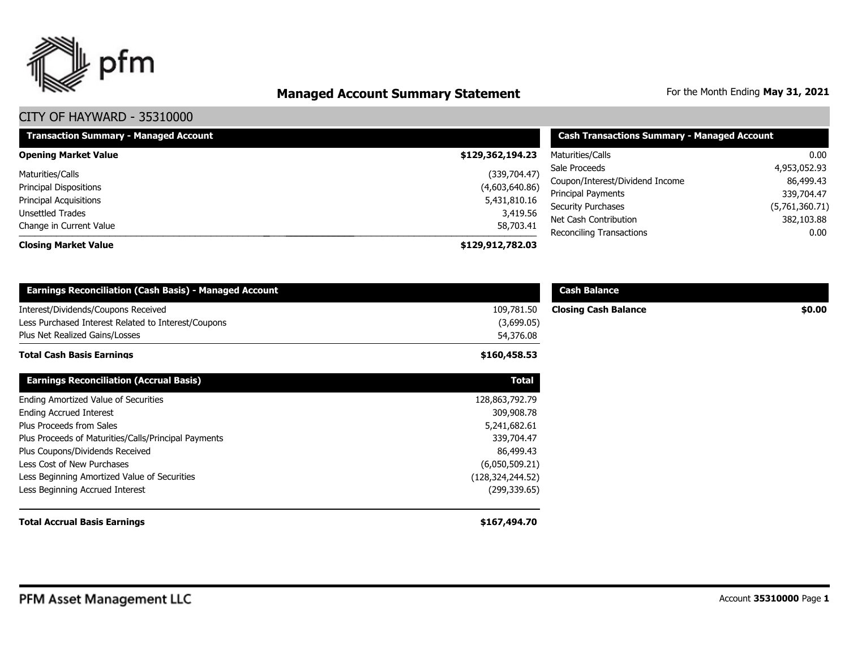

# **Managed Account Summary Statement** For the Month Ending May 31, 2021

| <b>Transaction Summary - Managed Account</b> | <b>Cash Transactions Summary - Managed Account</b> |                                                    |                              |  |
|----------------------------------------------|----------------------------------------------------|----------------------------------------------------|------------------------------|--|
| <b>Opening Market Value</b>                  | \$129,362,194.23                                   | Maturities/Calls                                   | 0.00                         |  |
| Maturities/Calls                             | (339,704.47)                                       | Sale Proceeds                                      | 4,953,052.93                 |  |
| <b>Principal Dispositions</b>                | (4,603,640.86)                                     | Coupon/Interest/Dividend Income                    | 86,499.43                    |  |
| <b>Principal Acquisitions</b>                | 5,431,810.16                                       | Principal Payments                                 | 339,704.47                   |  |
| Unsettled Trades                             | 3,419.56                                           | <b>Security Purchases</b><br>Net Cash Contribution | (5,761,360.71)<br>382,103.88 |  |
| Change in Current Value                      | 58,703.41                                          | Reconciling Transactions                           | 0.00                         |  |
| <b>Closing Market Value</b>                  | \$129,912,782.03                                   |                                                    |                              |  |

| <b>Earnings Reconciliation (Cash Basis) - Managed Account</b>                                                                |                                       | <b>Cash Balance</b>         |        |
|------------------------------------------------------------------------------------------------------------------------------|---------------------------------------|-----------------------------|--------|
| Interest/Dividends/Coupons Received<br>Less Purchased Interest Related to Interest/Coupons<br>Plus Net Realized Gains/Losses | 109,781.50<br>(3,699.05)<br>54,376.08 | <b>Closing Cash Balance</b> | \$0.00 |
| <b>Total Cash Basis Earnings</b>                                                                                             | \$160,458.53                          |                             |        |
| <b>Earnings Reconciliation (Accrual Basis)</b>                                                                               | <b>Total</b>                          |                             |        |
| Ending Amortized Value of Securities                                                                                         | 128,863,792.79                        |                             |        |
| <b>Ending Accrued Interest</b>                                                                                               | 309,908.78                            |                             |        |
| Plus Proceeds from Sales                                                                                                     | 5,241,682.61                          |                             |        |
| Plus Proceeds of Maturities/Calls/Principal Payments                                                                         | 339,704.47                            |                             |        |
| Plus Coupons/Dividends Received                                                                                              | 86,499.43                             |                             |        |
| Less Cost of New Purchases                                                                                                   | (6,050,509.21)                        |                             |        |
| Less Beginning Amortized Value of Securities                                                                                 | (128, 324, 244.52)                    |                             |        |
| Less Beginning Accrued Interest                                                                                              | (299, 339.65)                         |                             |        |
| <b>Total Accrual Basis Earnings</b>                                                                                          | \$167,494.70                          |                             |        |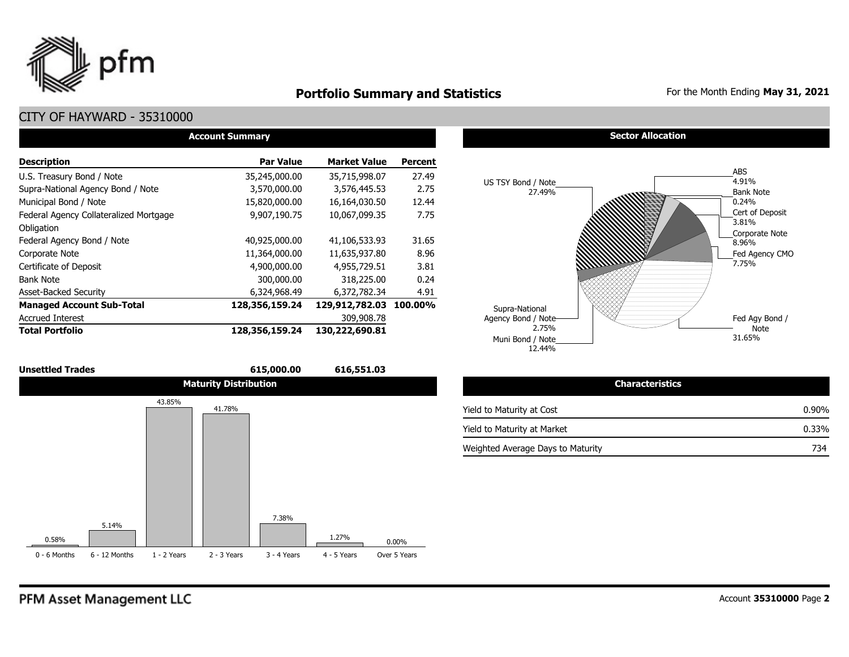

# **Portfolio Summary and Statistics** For the Month Ending May 31, 2021

# CITY OF HAYWARD - 35310000

| <b>Account Summary</b>                 |                  |                     |                |  |  |  |  |  |  |  |
|----------------------------------------|------------------|---------------------|----------------|--|--|--|--|--|--|--|
| <b>Description</b>                     | <b>Par Value</b> | <b>Market Value</b> | <b>Percent</b> |  |  |  |  |  |  |  |
| U.S. Treasury Bond / Note              | 35,245,000.00    | 35,715,998.07       | 27.49          |  |  |  |  |  |  |  |
| Supra-National Agency Bond / Note      | 3,570,000.00     | 3,576,445.53        | 2.75           |  |  |  |  |  |  |  |
| Municipal Bond / Note                  | 15,820,000.00    | 16,164,030.50       | 12.44          |  |  |  |  |  |  |  |
| Federal Agency Collateralized Mortgage | 9,907,190.75     | 10,067,099.35       | 7.75           |  |  |  |  |  |  |  |
| Obligation                             |                  |                     |                |  |  |  |  |  |  |  |
| Federal Agency Bond / Note             | 40,925,000.00    | 41,106,533.93       | 31.65          |  |  |  |  |  |  |  |
| Corporate Note                         | 11,364,000.00    | 11,635,937.80       | 8.96           |  |  |  |  |  |  |  |
| Certificate of Deposit                 | 4,900,000.00     | 4,955,729.51        | 3.81           |  |  |  |  |  |  |  |
| <b>Bank Note</b>                       | 300,000.00       | 318,225.00          | 0.24           |  |  |  |  |  |  |  |
| <b>Asset-Backed Security</b>           | 6,324,968.49     | 6,372,782.34        | 4.91           |  |  |  |  |  |  |  |
| <b>Managed Account Sub-Total</b>       | 128,356,159.24   | 129,912,782.03      | 100.00%        |  |  |  |  |  |  |  |
| <b>Accrued Interest</b>                |                  | 309,908.78          |                |  |  |  |  |  |  |  |
| <b>Total Portfolio</b>                 | 128,356,159.24   | 130,222,690.81      |                |  |  |  |  |  |  |  |



#### **Sector Allocation**



| <b>Characteristics</b>            |          |
|-----------------------------------|----------|
| Yield to Maturity at Cost         | $0.90\%$ |
| Yield to Maturity at Market       | $0.33\%$ |
| Weighted Average Days to Maturity | 734      |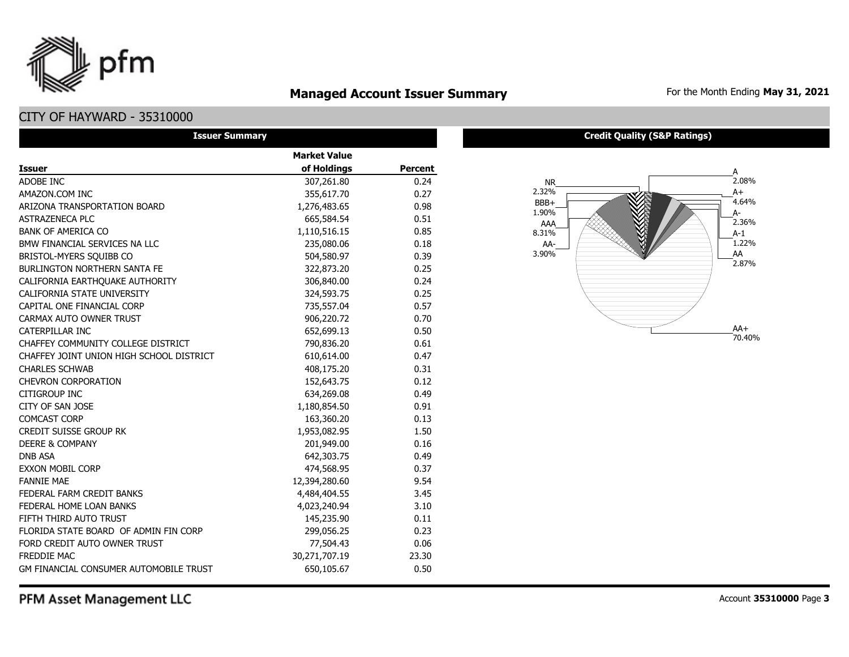# **Managed Account Issuer Summary** For the Month Ending May 31, 2021

# CITY OF HAYWARD - 35310000

pfm

| <b>Issuer Summary</b>                         |                     |                |
|-----------------------------------------------|---------------------|----------------|
|                                               | <b>Market Value</b> |                |
| <b>Issuer</b>                                 | of Holdings         | <b>Percent</b> |
| ADOBE INC                                     | 307,261.80          | 0.24           |
| AMAZON.COM INC                                | 355,617.70          | 0.27           |
| ARIZONA TRANSPORTATION BOARD                  | 1,276,483.65        | 0.98           |
| <b>ASTRAZENECA PLC</b>                        | 665,584.54          | 0.51           |
| <b>BANK OF AMERICA CO</b>                     | 1,110,516.15        | 0.85           |
| BMW FINANCIAL SERVICES NA LLC                 | 235,080.06          | 0.18           |
| BRISTOL-MYERS SQUIBB CO                       | 504,580.97          | 0.39           |
| <b>BURLINGTON NORTHERN SANTA FE</b>           | 322,873.20          | 0.25           |
| CALIFORNIA EARTHQUAKE AUTHORITY               | 306,840.00          | 0.24           |
| CALIFORNIA STATE UNIVERSITY                   | 324,593.75          | 0.25           |
| CAPITAL ONE FINANCIAL CORP                    | 735,557.04          | 0.57           |
| CARMAX AUTO OWNER TRUST                       | 906,220.72          | 0.70           |
| CATERPILLAR INC                               | 652,699.13          | 0.50           |
| CHAFFEY COMMUNITY COLLEGE DISTRICT            | 790,836.20          | 0.61           |
| CHAFFEY JOINT UNION HIGH SCHOOL DISTRICT      | 610,614.00          | 0.47           |
| <b>CHARLES SCHWAB</b>                         | 408,175.20          | 0.31           |
| <b>CHEVRON CORPORATION</b>                    | 152,643.75          | 0.12           |
| CITIGROUP INC                                 | 634,269.08          | 0.49           |
| CITY OF SAN JOSE                              | 1,180,854.50        | 0.91           |
| COMCAST CORP                                  | 163,360.20          | 0.13           |
| <b>CREDIT SUISSE GROUP RK</b>                 | 1,953,082.95        | 1.50           |
| <b>DEERE &amp; COMPANY</b>                    | 201,949.00          | 0.16           |
| <b>DNB ASA</b>                                | 642,303.75          | 0.49           |
| <b>EXXON MOBIL CORP</b>                       | 474,568.95          | 0.37           |
| <b>FANNIE MAE</b>                             | 12,394,280.60       | 9.54           |
| FEDERAL FARM CREDIT BANKS                     | 4,484,404.55        | 3.45           |
| FEDERAL HOME LOAN BANKS                       | 4,023,240.94        | 3.10           |
| FIFTH THIRD AUTO TRUST                        | 145,235.90          | 0.11           |
| FLORIDA STATE BOARD OF ADMIN FIN CORP         | 299,056.25          | 0.23           |
| FORD CREDIT AUTO OWNER TRUST                  | 77,504.43           | 0.06           |
| <b>FREDDIE MAC</b>                            | 30,271,707.19       | 23.30          |
| <b>GM FINANCIAL CONSUMER AUTOMOBILE TRUST</b> | 650,105.67          | 0.50           |

#### **Credit Quality (S&P Ratings)**

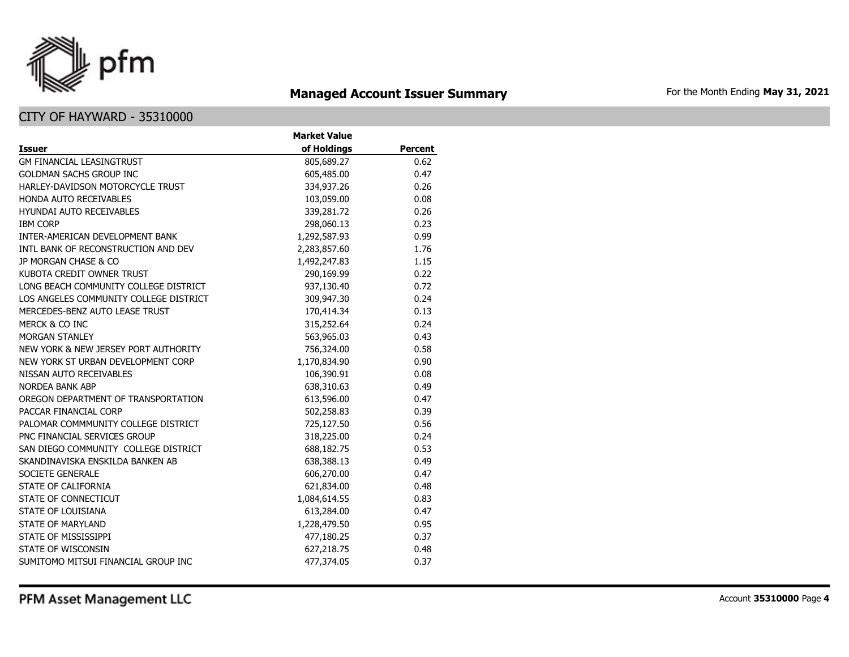

# **Managed Account Issuer Summary** For the Month Ending May 31, 2021

|                                        | <b>Market Value</b> |                |
|----------------------------------------|---------------------|----------------|
| <b>Issuer</b>                          | of Holdings         | <b>Percent</b> |
| <b>GM FINANCIAL LEASINGTRUST</b>       | 805,689.27          | 0.62           |
| <b>GOLDMAN SACHS GROUP INC</b>         | 605,485.00          | 0.47           |
| HARLEY-DAVIDSON MOTORCYCLE TRUST       | 334,937.26          | 0.26           |
| HONDA AUTO RECEIVABLES                 | 103,059.00          | 0.08           |
| <b>HYUNDAI AUTO RECEIVABLES</b>        | 339,281.72          | 0.26           |
| <b>IBM CORP</b>                        | 298,060.13          | 0.23           |
| INTER-AMERICAN DEVELOPMENT BANK        | 1,292,587.93        | 0.99           |
| INTL BANK OF RECONSTRUCTION AND DEV    | 2,283,857.60        | 1.76           |
| JP MORGAN CHASE & CO                   | 1,492,247.83        | 1.15           |
| KUBOTA CREDIT OWNER TRUST              | 290,169.99          | 0.22           |
| LONG BEACH COMMUNITY COLLEGE DISTRICT  | 937,130.40          | 0.72           |
| LOS ANGELES COMMUNITY COLLEGE DISTRICT | 309,947.30          | 0.24           |
| MERCEDES-BENZ AUTO LEASE TRUST         | 170,414.34          | 0.13           |
| MERCK & CO INC                         | 315,252.64          | 0.24           |
| MORGAN STANLEY                         | 563,965.03          | 0.43           |
| NEW YORK & NEW JERSEY PORT AUTHORITY   | 756,324.00          | 0.58           |
| NEW YORK ST URBAN DEVELOPMENT CORP     | 1,170,834.90        | 0.90           |
| NISSAN AUTO RECEIVABLES                | 106,390.91          | 0.08           |
| <b>NORDEA BANK ABP</b>                 | 638,310.63          | 0.49           |
| OREGON DEPARTMENT OF TRANSPORTATION    | 613,596.00          | 0.47           |
| PACCAR FINANCIAL CORP                  | 502,258.83          | 0.39           |
| PALOMAR COMMMUNITY COLLEGE DISTRICT    | 725,127.50          | 0.56           |
| PNC FINANCIAL SERVICES GROUP           | 318,225.00          | 0.24           |
| SAN DIEGO COMMUNITY COLLEGE DISTRICT   | 688,182.75          | 0.53           |
| SKANDINAVISKA ENSKILDA BANKEN AB       | 638,388.13          | 0.49           |
| SOCIETE GENERALE                       | 606,270.00          | 0.47           |
| STATE OF CALIFORNIA                    | 621,834.00          | 0.48           |
| STATE OF CONNECTICUT                   | 1,084,614.55        | 0.83           |
| STATE OF LOUISIANA                     | 613,284.00          | 0.47           |
| STATE OF MARYLAND                      | 1,228,479.50        | 0.95           |
| STATE OF MISSISSIPPI                   | 477,180.25          | 0.37           |
| STATE OF WISCONSIN                     | 627,218.75          | 0.48           |
| SUMITOMO MITSUI FINANCIAL GROUP INC    | 477,374.05          | 0.37           |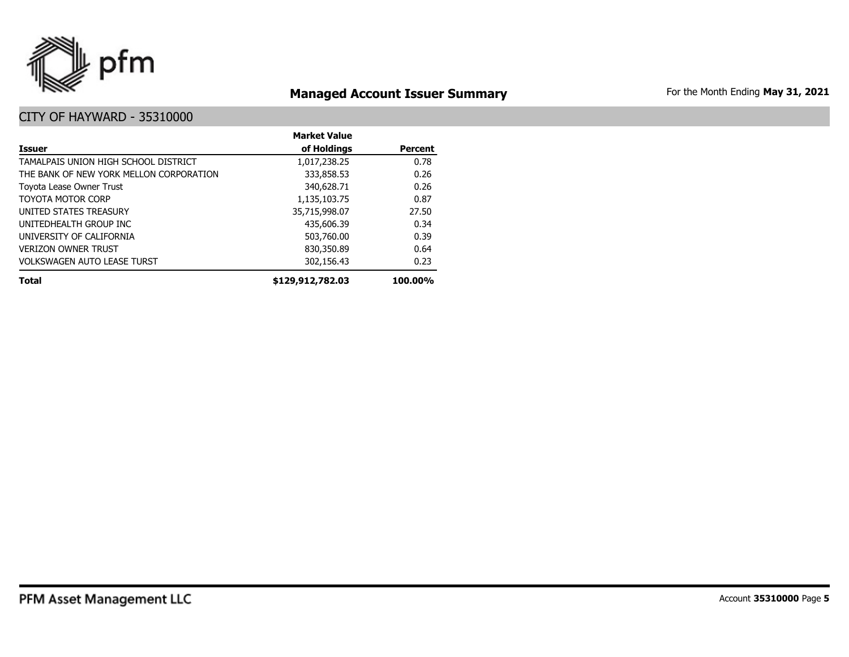

# **Managed Account Issuer Summary** For the Month Ending May 31, 2021

|                                         | <b>Market Value</b> |                |
|-----------------------------------------|---------------------|----------------|
| <b>Issuer</b>                           | of Holdings         | <b>Percent</b> |
| TAMALPAIS UNION HIGH SCHOOL DISTRICT    | 1,017,238.25        | 0.78           |
| THE BANK OF NEW YORK MELLON CORPORATION | 333,858.53          | 0.26           |
| Toyota Lease Owner Trust                | 340,628.71          | 0.26           |
| TOYOTA MOTOR CORP                       | 1,135,103.75        | 0.87           |
| UNITED STATES TREASURY                  | 35,715,998.07       | 27.50          |
| UNITEDHEALTH GROUP INC                  | 435,606.39          | 0.34           |
| UNIVERSITY OF CALIFORNIA                | 503,760.00          | 0.39           |
| <b>VERIZON OWNER TRUST</b>              | 830,350.89          | 0.64           |
| <b>VOLKSWAGEN AUTO LEASE TURST</b>      | 302,156.43          | 0.23           |
| <b>Total</b>                            | \$129,912,782.03    | 100.00%        |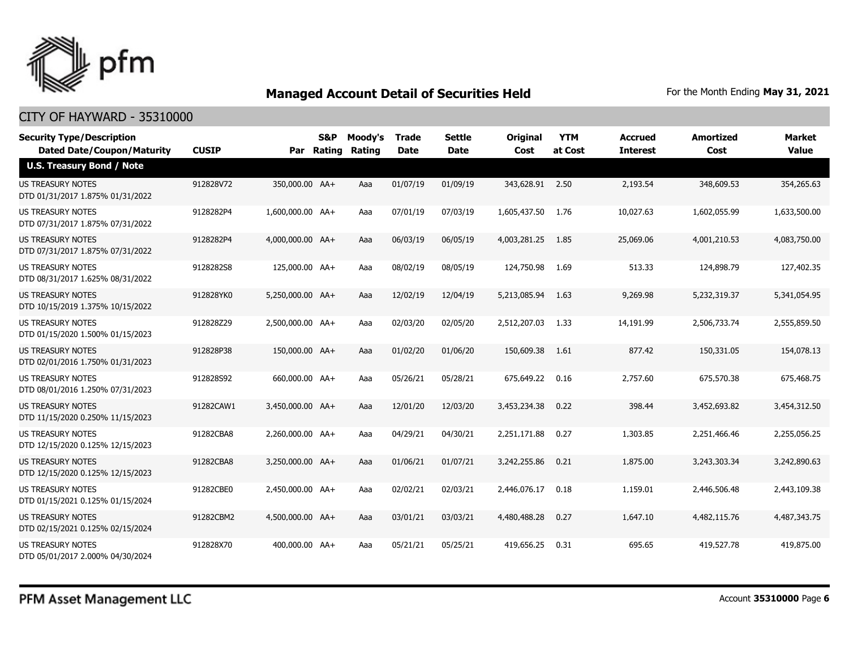

| <b>Security Type/Description</b><br><b>Dated Date/Coupon/Maturity</b> | <b>CUSIP</b> | Par              | S&P<br>Rating | Moody's<br>Rating | Trade<br><b>Date</b> | <b>Settle</b><br><b>Date</b> | <b>Original</b><br>Cost | <b>YTM</b><br>at Cost | <b>Accrued</b><br><b>Interest</b> | Amortized<br>Cost | Market<br><b>Value</b> |
|-----------------------------------------------------------------------|--------------|------------------|---------------|-------------------|----------------------|------------------------------|-------------------------|-----------------------|-----------------------------------|-------------------|------------------------|
| <b>U.S. Treasury Bond / Note</b>                                      |              |                  |               |                   |                      |                              |                         |                       |                                   |                   |                        |
| <b>US TREASURY NOTES</b><br>DTD 01/31/2017 1.875% 01/31/2022          | 912828V72    | 350,000.00 AA+   |               | Aaa               | 01/07/19             | 01/09/19                     | 343,628.91 2.50         |                       | 2,193.54                          | 348,609.53        | 354,265.63             |
| US TREASURY NOTES<br>DTD 07/31/2017 1.875% 07/31/2022                 | 9128282P4    | 1,600,000.00 AA+ |               | Aaa               | 07/01/19             | 07/03/19                     | 1,605,437.50            | 1.76                  | 10,027.63                         | 1,602,055.99      | 1,633,500.00           |
| <b>US TREASURY NOTES</b><br>DTD 07/31/2017 1.875% 07/31/2022          | 9128282P4    | 4,000,000.00 AA+ |               | Aaa               | 06/03/19             | 06/05/19                     | 4,003,281.25            | 1.85                  | 25,069.06                         | 4,001,210.53      | 4,083,750.00           |
| <b>US TREASURY NOTES</b><br>DTD 08/31/2017 1.625% 08/31/2022          | 9128282S8    | 125,000.00 AA+   |               | Aaa               | 08/02/19             | 08/05/19                     | 124,750.98              | 1.69                  | 513.33                            | 124,898.79        | 127,402.35             |
| <b>US TREASURY NOTES</b><br>DTD 10/15/2019 1.375% 10/15/2022          | 912828YK0    | 5,250,000.00 AA+ |               | Aaa               | 12/02/19             | 12/04/19                     | 5,213,085.94            | 1.63                  | 9,269.98                          | 5,232,319.37      | 5,341,054.95           |
| <b>US TREASURY NOTES</b><br>DTD 01/15/2020 1.500% 01/15/2023          | 912828Z29    | 2,500,000.00 AA+ |               | Aaa               | 02/03/20             | 02/05/20                     | 2,512,207.03            | 1.33                  | 14,191.99                         | 2,506,733.74      | 2,555,859.50           |
| <b>US TREASURY NOTES</b><br>DTD 02/01/2016 1.750% 01/31/2023          | 912828P38    | 150,000.00 AA+   |               | Aaa               | 01/02/20             | 01/06/20                     | 150,609.38              | 1.61                  | 877.42                            | 150,331.05        | 154,078.13             |
| <b>US TREASURY NOTES</b><br>DTD 08/01/2016 1.250% 07/31/2023          | 912828S92    | 660,000.00 AA+   |               | Aaa               | 05/26/21             | 05/28/21                     | 675,649.22              | 0.16                  | 2,757.60                          | 675,570.38        | 675,468.75             |
| US TREASURY NOTES<br>DTD 11/15/2020 0.250% 11/15/2023                 | 91282CAW1    | 3,450,000.00 AA+ |               | Aaa               | 12/01/20             | 12/03/20                     | 3,453,234.38            | 0.22                  | 398.44                            | 3,452,693.82      | 3,454,312.50           |
| <b>US TREASURY NOTES</b><br>DTD 12/15/2020 0.125% 12/15/2023          | 91282CBA8    | 2.260.000.00 AA+ |               | Aaa               | 04/29/21             | 04/30/21                     | 2,251,171.88            | 0.27                  | 1,303.85                          | 2,251,466.46      | 2,255,056.25           |
| <b>US TREASURY NOTES</b><br>DTD 12/15/2020 0.125% 12/15/2023          | 91282CBA8    | 3,250,000.00 AA+ |               | Aaa               | 01/06/21             | 01/07/21                     | 3,242,255.86            | 0.21                  | 1,875.00                          | 3,243,303.34      | 3,242,890.63           |
| <b>US TREASURY NOTES</b><br>DTD 01/15/2021 0.125% 01/15/2024          | 91282CBE0    | 2,450,000.00 AA+ |               | Aaa               | 02/02/21             | 02/03/21                     | 2,446,076.17            | 0.18                  | 1,159.01                          | 2,446,506.48      | 2,443,109.38           |
| <b>US TREASURY NOTES</b><br>DTD 02/15/2021 0.125% 02/15/2024          | 91282CBM2    | 4,500,000.00 AA+ |               | Aaa               | 03/01/21             | 03/03/21                     | 4,480,488,28            | 0.27                  | 1,647.10                          | 4,482,115.76      | 4,487,343,75           |
| <b>US TREASURY NOTES</b><br>DTD 05/01/2017 2.000% 04/30/2024          | 912828X70    | 400,000.00 AA+   |               | Aaa               | 05/21/21             | 05/25/21                     | 419,656.25              | 0.31                  | 695.65                            | 419,527.78        | 419,875.00             |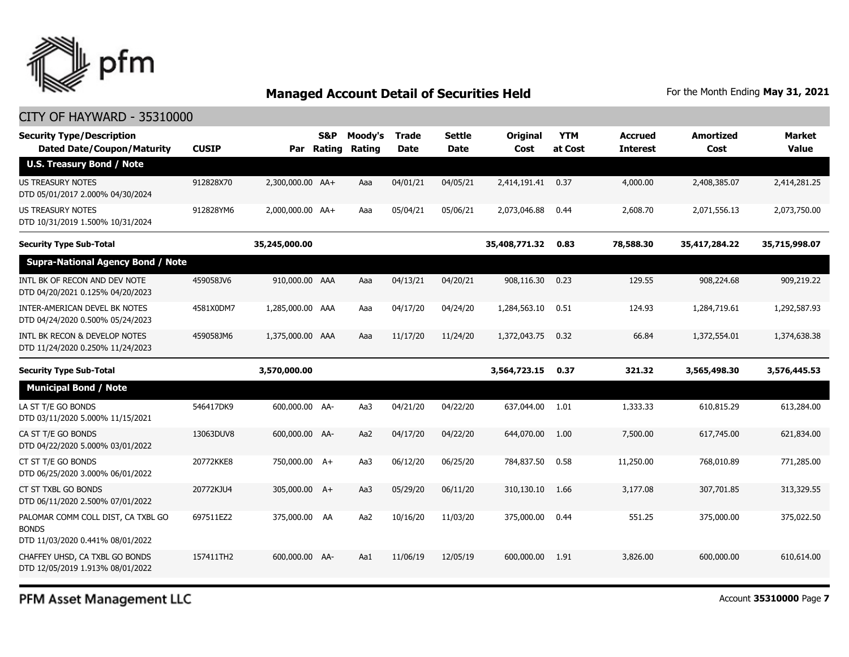

| <b>Security Type/Description</b><br><b>Dated Date/Coupon/Maturity</b>                  | <b>CUSIP</b> | Par              | S&P<br>Rating | Moody's<br>Rating | <b>Trade</b><br><b>Date</b> | Settle<br>Date | Original<br>Cost | <b>YTM</b><br>at Cost | <b>Accrued</b><br><b>Interest</b> | <b>Amortized</b><br>Cost | <b>Market</b><br><b>Value</b> |
|----------------------------------------------------------------------------------------|--------------|------------------|---------------|-------------------|-----------------------------|----------------|------------------|-----------------------|-----------------------------------|--------------------------|-------------------------------|
| <b>U.S. Treasury Bond / Note</b>                                                       |              |                  |               |                   |                             |                |                  |                       |                                   |                          |                               |
| <b>US TREASURY NOTES</b><br>DTD 05/01/2017 2.000% 04/30/2024                           | 912828X70    | 2,300,000.00 AA+ |               | Aaa               | 04/01/21                    | 04/05/21       | 2,414,191.41     | 0.37                  | 4,000.00                          | 2,408,385.07             | 2,414,281.25                  |
| US TREASURY NOTES<br>DTD 10/31/2019 1.500% 10/31/2024                                  | 912828YM6    | 2,000,000.00 AA+ |               | Aaa               | 05/04/21                    | 05/06/21       | 2,073,046.88     | 0.44                  | 2,608.70                          | 2,071,556.13             | 2,073,750.00                  |
| <b>Security Type Sub-Total</b>                                                         |              | 35,245,000.00    |               |                   |                             |                | 35,408,771.32    | 0.83                  | 78,588.30                         | 35,417,284.22            | 35,715,998.07                 |
| <b>Supra-National Agency Bond / Note</b>                                               |              |                  |               |                   |                             |                |                  |                       |                                   |                          |                               |
| INTL BK OF RECON AND DEV NOTE<br>DTD 04/20/2021 0.125% 04/20/2023                      | 459058JV6    | 910,000.00 AAA   |               | Aaa               | 04/13/21                    | 04/20/21       | 908,116.30       | 0.23                  | 129.55                            | 908,224.68               | 909,219.22                    |
| INTER-AMERICAN DEVEL BK NOTES<br>DTD 04/24/2020 0.500% 05/24/2023                      | 4581X0DM7    | 1,285,000.00 AAA |               | Aaa               | 04/17/20                    | 04/24/20       | 1,284,563.10     | 0.51                  | 124.93                            | 1,284,719.61             | 1,292,587.93                  |
| INTL BK RECON & DEVELOP NOTES<br>DTD 11/24/2020 0.250% 11/24/2023                      | 459058JM6    | 1,375,000.00 AAA |               | Aaa               | 11/17/20                    | 11/24/20       | 1,372,043.75     | 0.32                  | 66.84                             | 1,372,554.01             | 1,374,638.38                  |
| <b>Security Type Sub-Total</b>                                                         |              | 3,570,000.00     |               |                   |                             |                | 3,564,723.15     | 0.37                  | 321.32                            | 3,565,498.30             | 3,576,445.53                  |
| <b>Municipal Bond / Note</b>                                                           |              |                  |               |                   |                             |                |                  |                       |                                   |                          |                               |
| LA ST T/E GO BONDS<br>DTD 03/11/2020 5.000% 11/15/2021                                 | 546417DK9    | 600,000.00 AA-   |               | Aa3               | 04/21/20                    | 04/22/20       | 637,044.00       | 1.01                  | 1,333.33                          | 610,815.29               | 613,284.00                    |
| CA ST T/E GO BONDS<br>DTD 04/22/2020 5.000% 03/01/2022                                 | 13063DUV8    | 600,000.00 AA-   |               | Aa2               | 04/17/20                    | 04/22/20       | 644,070.00       | 1.00                  | 7,500.00                          | 617,745.00               | 621,834.00                    |
| CT ST T/E GO BONDS<br>DTD 06/25/2020 3.000% 06/01/2022                                 | 20772KKE8    | 750,000.00 A+    |               | Aa3               | 06/12/20                    | 06/25/20       | 784,837.50       | 0.58                  | 11,250.00                         | 768,010.89               | 771,285.00                    |
| CT ST TXBL GO BONDS<br>DTD 06/11/2020 2.500% 07/01/2022                                | 20772KJU4    | 305,000.00 A+    |               | Aa3               | 05/29/20                    | 06/11/20       | 310,130.10       | 1.66                  | 3,177,08                          | 307,701.85               | 313,329.55                    |
| PALOMAR COMM COLL DIST, CA TXBL GO<br><b>BONDS</b><br>DTD 11/03/2020 0.441% 08/01/2022 | 697511EZ2    | 375,000.00 AA    |               | Aa2               | 10/16/20                    | 11/03/20       | 375,000.00       | 0.44                  | 551.25                            | 375,000.00               | 375,022.50                    |
| CHAFFEY UHSD, CA TXBL GO BONDS<br>DTD 12/05/2019 1.913% 08/01/2022                     | 157411TH2    | 600,000.00 AA-   |               | Aa1               | 11/06/19                    | 12/05/19       | 600,000.00       | 1.91                  | 3,826.00                          | 600,000.00               | 610,614.00                    |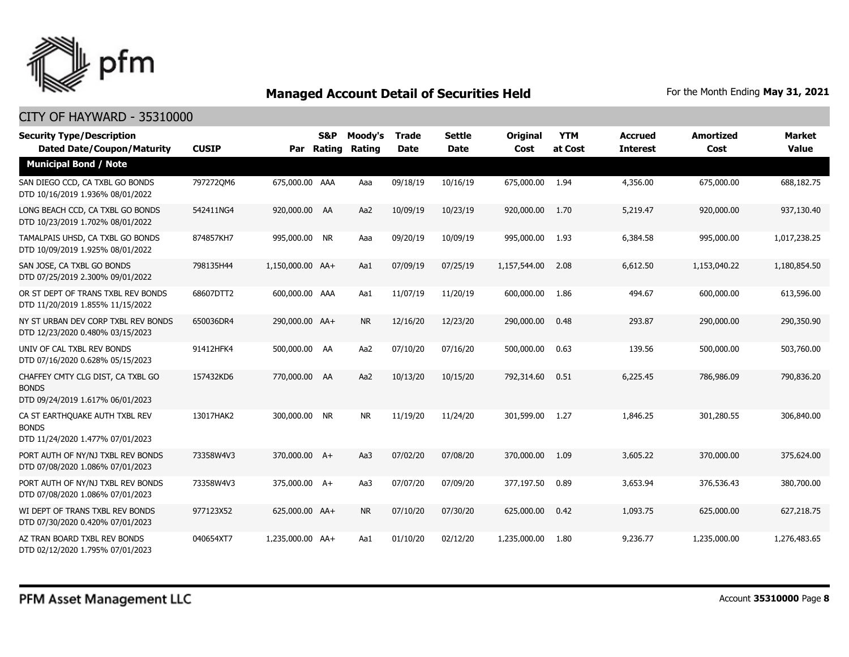

| <b>Security Type/Description</b><br><b>Dated Date/Coupon/Maturity</b>                 | <b>CUSIP</b> |                  | <b>S&amp;P</b><br>Par Rating | Moody's<br>Rating | Trade<br><b>Date</b> | <b>Settle</b><br><b>Date</b> | <b>Original</b><br>Cost | <b>YTM</b><br>at Cost | <b>Accrued</b><br><b>Interest</b> | Amortized<br>Cost | <b>Market</b><br><b>Value</b> |
|---------------------------------------------------------------------------------------|--------------|------------------|------------------------------|-------------------|----------------------|------------------------------|-------------------------|-----------------------|-----------------------------------|-------------------|-------------------------------|
| <b>Municipal Bond / Note</b>                                                          |              |                  |                              |                   |                      |                              |                         |                       |                                   |                   |                               |
| SAN DIEGO CCD, CA TXBL GO BONDS<br>DTD 10/16/2019 1.936% 08/01/2022                   | 7972720M6    | 675,000.00 AAA   |                              | Aaa               | 09/18/19             | 10/16/19                     | 675,000.00              | 1.94                  | 4,356.00                          | 675,000.00        | 688,182.75                    |
| LONG BEACH CCD, CA TXBL GO BONDS<br>DTD 10/23/2019 1.702% 08/01/2022                  | 542411NG4    | 920,000.00 AA    |                              | Aa2               | 10/09/19             | 10/23/19                     | 920,000.00              | 1.70                  | 5,219.47                          | 920,000.00        | 937,130.40                    |
| TAMALPAIS UHSD, CA TXBL GO BONDS<br>DTD 10/09/2019 1.925% 08/01/2022                  | 874857KH7    | 995,000.00 NR    |                              | Aaa               | 09/20/19             | 10/09/19                     | 995,000.00              | 1.93                  | 6,384.58                          | 995,000.00        | 1,017,238.25                  |
| SAN JOSE, CA TXBL GO BONDS<br>DTD 07/25/2019 2.300% 09/01/2022                        | 798135H44    | 1,150,000.00 AA+ |                              | Aa1               | 07/09/19             | 07/25/19                     | 1,157,544.00            | 2.08                  | 6,612.50                          | 1,153,040.22      | 1,180,854.50                  |
| OR ST DEPT OF TRANS TXBL REV BONDS<br>DTD 11/20/2019 1.855% 11/15/2022                | 68607DTT2    | 600,000.00 AAA   |                              | Aa1               | 11/07/19             | 11/20/19                     | 600,000.00              | 1.86                  | 494.67                            | 600,000.00        | 613,596.00                    |
| NY ST URBAN DEV CORP TXBL REV BONDS<br>DTD 12/23/2020 0.480% 03/15/2023               | 650036DR4    | 290,000.00 AA+   |                              | <b>NR</b>         | 12/16/20             | 12/23/20                     | 290,000.00              | 0.48                  | 293.87                            | 290,000.00        | 290,350.90                    |
| UNIV OF CAL TXBL REV BONDS<br>DTD 07/16/2020 0.628% 05/15/2023                        | 91412HFK4    | 500,000.00 AA    |                              | Aa2               | 07/10/20             | 07/16/20                     | 500,000.00              | 0.63                  | 139.56                            | 500,000.00        | 503,760.00                    |
| CHAFFEY CMTY CLG DIST, CA TXBL GO<br><b>BONDS</b><br>DTD 09/24/2019 1.617% 06/01/2023 | 157432KD6    | 770,000.00 AA    |                              | Aa2               | 10/13/20             | 10/15/20                     | 792,314.60              | 0.51                  | 6,225.45                          | 786,986.09        | 790,836.20                    |
| CA ST EARTHQUAKE AUTH TXBL REV<br><b>BONDS</b><br>DTD 11/24/2020 1.477% 07/01/2023    | 13017HAK2    | 300,000.00 NR    |                              | <b>NR</b>         | 11/19/20             | 11/24/20                     | 301,599.00              | 1.27                  | 1,846.25                          | 301,280.55        | 306,840.00                    |
| PORT AUTH OF NY/NJ TXBL REV BONDS<br>DTD 07/08/2020 1.086% 07/01/2023                 | 73358W4V3    | 370,000.00 A+    |                              | Aa3               | 07/02/20             | 07/08/20                     | 370,000.00              | 1.09                  | 3,605.22                          | 370,000.00        | 375,624.00                    |
| PORT AUTH OF NY/NJ TXBL REV BONDS<br>DTD 07/08/2020 1.086% 07/01/2023                 | 73358W4V3    | 375,000.00 A+    |                              | Aa3               | 07/07/20             | 07/09/20                     | 377,197.50              | 0.89                  | 3,653.94                          | 376,536.43        | 380,700.00                    |
| WI DEPT OF TRANS TXBL REV BONDS<br>DTD 07/30/2020 0.420% 07/01/2023                   | 977123X52    | 625,000.00 AA+   |                              | <b>NR</b>         | 07/10/20             | 07/30/20                     | 625,000.00              | 0.42                  | 1,093.75                          | 625,000.00        | 627,218.75                    |
| AZ TRAN BOARD TXBL REV BONDS<br>DTD 02/12/2020 1.795% 07/01/2023                      | 040654XT7    | 1,235,000.00 AA+ |                              | Aa1               | 01/10/20             | 02/12/20                     | 1,235,000.00            | 1.80                  | 9,236.77                          | 1,235,000.00      | 1,276,483.65                  |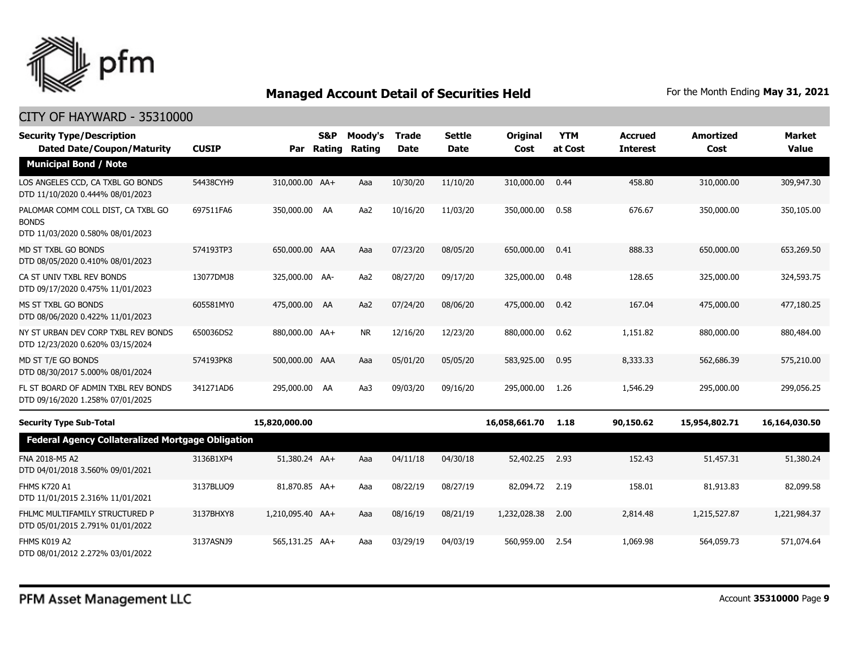

| <b>Security Type/Description</b><br><b>Dated Date/Coupon/Maturity</b>                  | <b>CUSIP</b> | Par              | S&P<br>Rating | Moody's<br>Rating | <b>Trade</b><br><b>Date</b> | <b>Settle</b><br><b>Date</b> | <b>Original</b><br>Cost | <b>YTM</b><br>at Cost | <b>Accrued</b><br><b>Interest</b> | <b>Amortized</b><br>Cost | <b>Market</b><br><b>Value</b> |
|----------------------------------------------------------------------------------------|--------------|------------------|---------------|-------------------|-----------------------------|------------------------------|-------------------------|-----------------------|-----------------------------------|--------------------------|-------------------------------|
| <b>Municipal Bond / Note</b>                                                           |              |                  |               |                   |                             |                              |                         |                       |                                   |                          |                               |
| LOS ANGELES CCD, CA TXBL GO BONDS<br>DTD 11/10/2020 0.444% 08/01/2023                  | 54438CYH9    | 310,000.00 AA+   |               | Aaa               | 10/30/20                    | 11/10/20                     | 310,000.00              | 0.44                  | 458.80                            | 310,000.00               | 309,947.30                    |
| PALOMAR COMM COLL DIST, CA TXBL GO<br><b>BONDS</b><br>DTD 11/03/2020 0.580% 08/01/2023 | 697511FA6    | 350,000.00 AA    |               | Aa2               | 10/16/20                    | 11/03/20                     | 350,000.00              | 0.58                  | 676.67                            | 350,000.00               | 350,105.00                    |
| MD ST TXBL GO BONDS<br>DTD 08/05/2020 0.410% 08/01/2023                                | 574193TP3    | 650,000.00 AAA   |               | Aaa               | 07/23/20                    | 08/05/20                     | 650,000.00              | 0.41                  | 888.33                            | 650,000.00               | 653,269.50                    |
| CA ST UNIV TXBL REV BONDS<br>DTD 09/17/2020 0.475% 11/01/2023                          | 13077DMJ8    | 325,000.00 AA-   |               | Aa2               | 08/27/20                    | 09/17/20                     | 325,000.00              | 0.48                  | 128.65                            | 325,000.00               | 324,593.75                    |
| MS ST TXBL GO BONDS<br>DTD 08/06/2020 0.422% 11/01/2023                                | 605581MY0    | 475,000.00 AA    |               | Aa2               | 07/24/20                    | 08/06/20                     | 475,000.00              | 0.42                  | 167.04                            | 475,000.00               | 477,180.25                    |
| NY ST URBAN DEV CORP TXBL REV BONDS<br>DTD 12/23/2020 0.620% 03/15/2024                | 650036DS2    | 880,000.00 AA+   |               | <b>NR</b>         | 12/16/20                    | 12/23/20                     | 880,000.00              | 0.62                  | 1,151.82                          | 880,000.00               | 880,484.00                    |
| MD ST T/E GO BONDS<br>DTD 08/30/2017 5.000% 08/01/2024                                 | 574193PK8    | 500,000.00 AAA   |               | Aaa               | 05/01/20                    | 05/05/20                     | 583,925.00              | 0.95                  | 8,333.33                          | 562,686.39               | 575,210.00                    |
| FL ST BOARD OF ADMIN TXBL REV BONDS<br>DTD 09/16/2020 1.258% 07/01/2025                | 341271AD6    | 295,000.00 AA    |               | Aa3               | 09/03/20                    | 09/16/20                     | 295,000.00              | 1.26                  | 1,546.29                          | 295,000.00               | 299,056.25                    |
| <b>Security Type Sub-Total</b>                                                         |              | 15,820,000.00    |               |                   |                             |                              | 16,058,661.70           | 1.18                  | 90,150.62                         | 15,954,802.71            | 16,164,030.50                 |
| <b>Federal Agency Collateralized Mortgage Obligation</b>                               |              |                  |               |                   |                             |                              |                         |                       |                                   |                          |                               |
| FNA 2018-M5 A2<br>DTD 04/01/2018 3.560% 09/01/2021                                     | 3136B1XP4    | 51,380.24 AA+    |               | Aaa               | 04/11/18                    | 04/30/18                     | 52,402.25               | 2.93                  | 152.43                            | 51,457.31                | 51,380.24                     |
| FHMS K720 A1<br>DTD 11/01/2015 2.316% 11/01/2021                                       | 3137BLUO9    | 81,870.85 AA+    |               | Aaa               | 08/22/19                    | 08/27/19                     | 82,094.72               | 2.19                  | 158.01                            | 81,913.83                | 82,099.58                     |
| FHLMC MULTIFAMILY STRUCTURED P<br>DTD 05/01/2015 2.791% 01/01/2022                     | 3137BHXY8    | 1,210,095.40 AA+ |               | Aaa               | 08/16/19                    | 08/21/19                     | 1,232,028.38            | 2.00                  | 2,814.48                          | 1,215,527.87             | 1,221,984.37                  |
| FHMS K019 A2<br>DTD 08/01/2012 2.272% 03/01/2022                                       | 3137ASNJ9    | 565,131.25 AA+   |               | Aaa               | 03/29/19                    | 04/03/19                     | 560,959.00              | 2.54                  | 1,069.98                          | 564,059.73               | 571,074.64                    |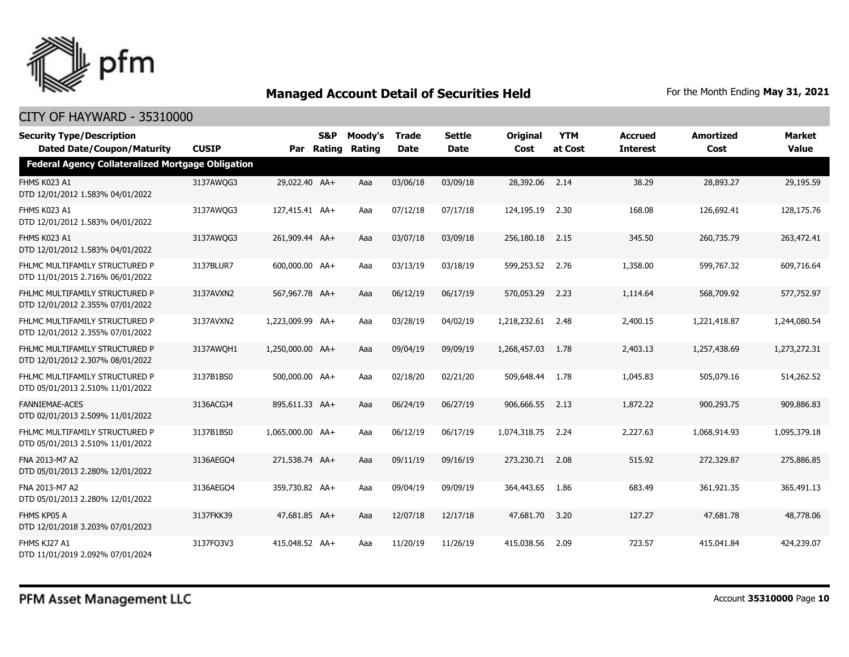

| <b>Security Type/Description</b>                                   |              |                  | S&P        | Moody's | <b>Trade</b> | <b>Settle</b> | Original        | <b>YTM</b> | <b>Accrued</b>  | <b>Amortized</b> | <b>Market</b> |
|--------------------------------------------------------------------|--------------|------------------|------------|---------|--------------|---------------|-----------------|------------|-----------------|------------------|---------------|
| <b>Dated Date/Coupon/Maturity</b>                                  | <b>CUSIP</b> |                  | Par Rating | Rating  | <b>Date</b>  | <b>Date</b>   | Cost            | at Cost    | <b>Interest</b> | Cost             | <b>Value</b>  |
| <b>Federal Agency Collateralized Mortgage Obligation</b>           |              |                  |            |         |              |               |                 |            |                 |                  |               |
| FHMS K023 A1<br>DTD 12/01/2012 1.583% 04/01/2022                   | 3137AWQG3    | 29,022,40 AA+    |            | Aaa     | 03/06/18     | 03/09/18      | 28,392.06 2.14  |            | 38.29           | 28,893,27        | 29,195.59     |
| FHMS K023 A1<br>DTD 12/01/2012 1.583% 04/01/2022                   | 3137AWQG3    | 127,415.41 AA+   |            | Aaa     | 07/12/18     | 07/17/18      | 124,195.19      | 2.30       | 168.08          | 126,692.41       | 128,175.76    |
| FHMS K023 A1<br>DTD 12/01/2012 1.583% 04/01/2022                   | 3137AWQG3    | 261,909.44 AA+   |            | Aaa     | 03/07/18     | 03/09/18      | 256,180.18      | 2.15       | 345.50          | 260,735.79       | 263,472.41    |
| FHLMC MULTIFAMILY STRUCTURED P<br>DTD 11/01/2015 2.716% 06/01/2022 | 3137BLUR7    | 600,000,00 AA+   |            | Aaa     | 03/13/19     | 03/18/19      | 599.253.52 2.76 |            | 1,358,00        | 599,767.32       | 609,716.64    |
| FHLMC MULTIFAMILY STRUCTURED P<br>DTD 12/01/2012 2.355% 07/01/2022 | 3137AVXN2    | 567,967.78 AA+   |            | Aaa     | 06/12/19     | 06/17/19      | 570,053.29      | 2.23       | 1,114.64        | 568,709.92       | 577,752.97    |
| FHLMC MULTIFAMILY STRUCTURED P<br>DTD 12/01/2012 2.355% 07/01/2022 | 3137AVXN2    | 1,223,009.99 AA+ |            | Aaa     | 03/28/19     | 04/02/19      | 1,218,232.61    | - 2.48     | 2,400.15        | 1,221,418.87     | 1,244,080.54  |
| FHLMC MULTIFAMILY STRUCTURED P<br>DTD 12/01/2012 2.307% 08/01/2022 | 3137AWOH1    | 1,250,000.00 AA+ |            | Aaa     | 09/04/19     | 09/09/19      | 1,268,457.03    | 1.78       | 2,403.13        | 1,257,438.69     | 1,273,272.31  |
| FHLMC MULTIFAMILY STRUCTURED P<br>DTD 05/01/2013 2.510% 11/01/2022 | 3137B1BS0    | 500,000.00 AA+   |            | Aaa     | 02/18/20     | 02/21/20      | 509,648.44 1.78 |            | 1,045.83        | 505,079.16       | 514,262.52    |
| <b>FANNIEMAE-ACES</b><br>DTD 02/01/2013 2.509% 11/01/2022          | 3136ACGJ4    | 895,611.33 AA+   |            | Aaa     | 06/24/19     | 06/27/19      | 906,666.55      | 2.13       | 1,872.22        | 900,293.75       | 909,886.83    |
| FHLMC MULTIFAMILY STRUCTURED P<br>DTD 05/01/2013 2.510% 11/01/2022 | 3137B1BS0    | 1,065,000.00 AA+ |            | Aaa     | 06/12/19     | 06/17/19      | 1,074,318.75    | 2.24       | 2,227.63        | 1,068,914.93     | 1,095,379.18  |
| FNA 2013-M7 A2<br>DTD 05/01/2013 2.280% 12/01/2022                 | 3136AEGO4    | 271,538,74 AA+   |            | Aaa     | 09/11/19     | 09/16/19      | 273,230.71      | 2.08       | 515.92          | 272,329.87       | 275,886.85    |
| FNA 2013-M7 A2<br>DTD 05/01/2013 2.280% 12/01/2022                 | 3136AEGO4    | 359,730.82 AA+   |            | Aaa     | 09/04/19     | 09/09/19      | 364,443.65      | 1.86       | 683.49          | 361,921.35       | 365,491.13    |
| FHMS KP05 A<br>DTD 12/01/2018 3.203% 07/01/2023                    | 3137FKK39    | 47,681.85 AA+    |            | Aaa     | 12/07/18     | 12/17/18      | 47,681.70       | 3.20       | 127.27          | 47,681.78        | 48,778.06     |
| FHMS KJ27 A1<br>DTD 11/01/2019 2.092% 07/01/2024                   | 3137FQ3V3    | 415,048.52 AA+   |            | Aaa     | 11/20/19     | 11/26/19      | 415,038.56      | 2.09       | 723.57          | 415,041.84       | 424,239.07    |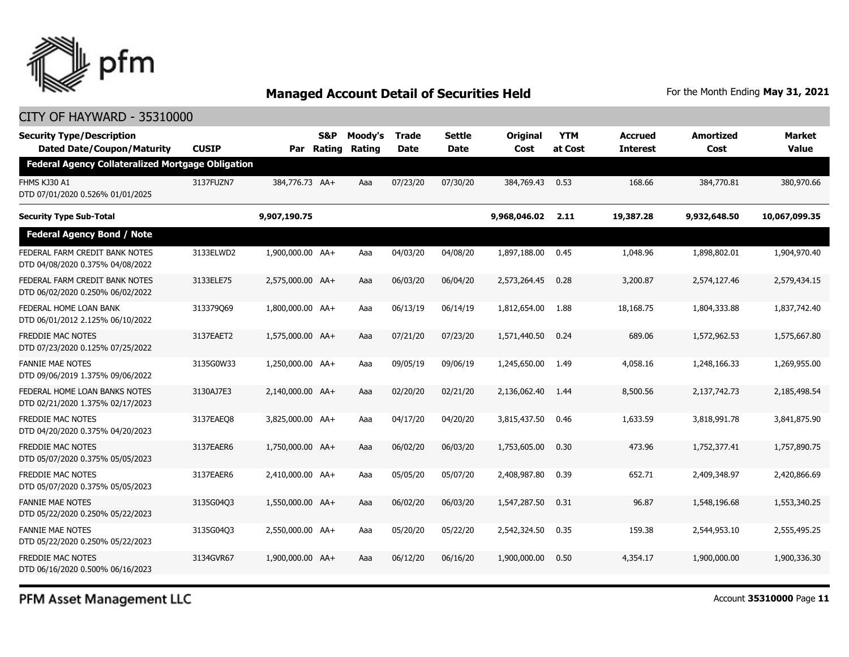

### CITY OF HAYWARD - 35310000

| <b>Security Type/Description</b><br><b>Dated Date/Coupon/Maturity</b> | <b>CUSIP</b> | Par              | S&P<br>Rating | Moody's<br>Rating | <b>Trade</b><br><b>Date</b> | <b>Settle</b><br>Date | <b>Original</b><br>Cost | <b>YTM</b><br>at Cost | Accrued<br><b>Interest</b> | <b>Amortized</b><br>Cost | Market<br><b>Value</b> |
|-----------------------------------------------------------------------|--------------|------------------|---------------|-------------------|-----------------------------|-----------------------|-------------------------|-----------------------|----------------------------|--------------------------|------------------------|
| <b>Federal Agency Collateralized Mortgage Obligation</b>              |              |                  |               |                   |                             |                       |                         |                       |                            |                          |                        |
| FHMS KJ30 A1<br>DTD 07/01/2020 0.526% 01/01/2025                      | 3137FUZN7    | 384,776.73 AA+   |               | Aaa               | 07/23/20                    | 07/30/20              | 384,769.43              | 0.53                  | 168.66                     | 384,770.81               | 380,970.66             |
| <b>Security Type Sub-Total</b>                                        |              | 9,907,190.75     |               |                   |                             |                       | 9,968,046.02            | 2.11                  | 19,387.28                  | 9,932,648.50             | 10,067,099.35          |
| <b>Federal Agency Bond / Note</b>                                     |              |                  |               |                   |                             |                       |                         |                       |                            |                          |                        |
| FEDERAL FARM CREDIT BANK NOTES<br>DTD 04/08/2020 0.375% 04/08/2022    | 3133ELWD2    | 1,900,000.00 AA+ |               | Aaa               | 04/03/20                    | 04/08/20              | 1,897,188.00            | 0.45                  | 1,048.96                   | 1,898,802.01             | 1,904,970.40           |
| FEDERAL FARM CREDIT BANK NOTES<br>DTD 06/02/2020 0.250% 06/02/2022    | 3133ELE75    | 2,575,000.00 AA+ |               | Aaa               | 06/03/20                    | 06/04/20              | 2,573,264.45            | 0.28                  | 3,200.87                   | 2,574,127.46             | 2,579,434.15           |
| FEDERAL HOME LOAN BANK<br>DTD 06/01/2012 2.125% 06/10/2022            | 313379069    | 1,800,000.00 AA+ |               | Aaa               | 06/13/19                    | 06/14/19              | 1,812,654.00            | 1.88                  | 18,168.75                  | 1,804,333.88             | 1,837,742.40           |
| <b>FREDDIE MAC NOTES</b><br>DTD 07/23/2020 0.125% 07/25/2022          | 3137EAET2    | 1,575,000.00 AA+ |               | Aaa               | 07/21/20                    | 07/23/20              | 1,571,440.50            | 0.24                  | 689.06                     | 1,572,962.53             | 1,575,667.80           |
| <b>FANNIE MAE NOTES</b><br>DTD 09/06/2019 1.375% 09/06/2022           | 3135G0W33    | 1,250,000.00 AA+ |               | Aaa               | 09/05/19                    | 09/06/19              | 1,245,650.00            | 1.49                  | 4,058.16                   | 1,248,166.33             | 1,269,955.00           |
| FEDERAL HOME LOAN BANKS NOTES<br>DTD 02/21/2020 1.375% 02/17/2023     | 3130AJ7E3    | 2,140,000.00 AA+ |               | Aaa               | 02/20/20                    | 02/21/20              | 2,136,062.40            | 1.44                  | 8,500.56                   | 2,137,742.73             | 2,185,498.54           |
| <b>FREDDIE MAC NOTES</b><br>DTD 04/20/2020 0.375% 04/20/2023          | 3137EAEO8    | 3,825,000.00 AA+ |               | Aaa               | 04/17/20                    | 04/20/20              | 3,815,437.50            | 0.46                  | 1,633.59                   | 3,818,991.78             | 3,841,875.90           |
| FREDDIE MAC NOTES<br>DTD 05/07/2020 0.375% 05/05/2023                 | 3137EAER6    | 1,750,000.00 AA+ |               | Aaa               | 06/02/20                    | 06/03/20              | 1,753,605.00            | 0.30                  | 473.96                     | 1,752,377.41             | 1,757,890.75           |
| <b>FREDDIE MAC NOTES</b><br>DTD 05/07/2020 0.375% 05/05/2023          | 3137EAER6    | 2,410,000.00 AA+ |               | Aaa               | 05/05/20                    | 05/07/20              | 2,408,987,80            | 0.39                  | 652.71                     | 2,409,348.97             | 2,420,866.69           |
| <b>FANNIE MAE NOTES</b><br>DTD 05/22/2020 0.250% 05/22/2023           | 3135G04Q3    | 1,550,000.00 AA+ |               | Aaa               | 06/02/20                    | 06/03/20              | 1,547,287.50            | 0.31                  | 96.87                      | 1,548,196.68             | 1,553,340.25           |
| <b>FANNIE MAE NOTES</b><br>DTD 05/22/2020 0.250% 05/22/2023           | 3135G04Q3    | 2,550,000.00 AA+ |               | Aaa               | 05/20/20                    | 05/22/20              | 2,542,324.50            | 0.35                  | 159.38                     | 2,544,953.10             | 2,555,495.25           |
| <b>FREDDIE MAC NOTES</b><br>DTD 06/16/2020 0.500% 06/16/2023          | 3134GVR67    | 1,900,000.00 AA+ |               | Aaa               | 06/12/20                    | 06/16/20              | 1,900,000,00            | 0.50                  | 4,354.17                   | 1,900,000,00             | 1,900,336,30           |

PFM Asset Management LLC

Account **35310000** Page **11**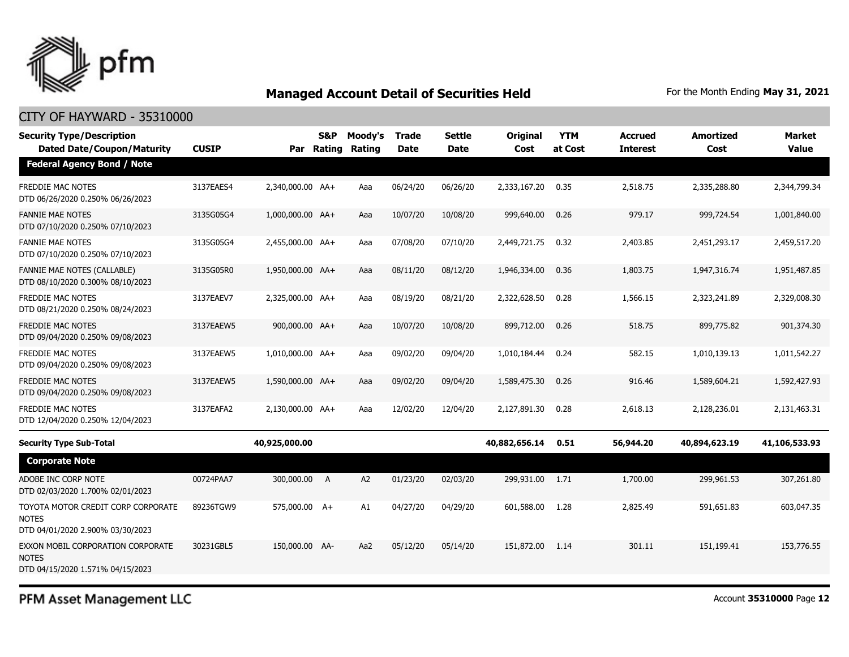

### CITY OF HAYWARD - 35310000

| <b>Security Type/Description</b><br><b>Dated Date/Coupon/Maturity</b>                  | <b>CUSIP</b> | Par              | S&P<br>Rating  | Moody's<br>Rating | <b>Trade</b><br><b>Date</b> | Settle<br><b>Date</b> | <b>Original</b><br>Cost | <b>YTM</b><br>at Cost | Accrued<br><b>Interest</b> | <b>Amortized</b><br>Cost | Market<br><b>Value</b> |
|----------------------------------------------------------------------------------------|--------------|------------------|----------------|-------------------|-----------------------------|-----------------------|-------------------------|-----------------------|----------------------------|--------------------------|------------------------|
| <b>Federal Agency Bond / Note</b>                                                      |              |                  |                |                   |                             |                       |                         |                       |                            |                          |                        |
| <b>FREDDIE MAC NOTES</b><br>DTD 06/26/2020 0.250% 06/26/2023                           | 3137EAES4    | 2,340,000.00 AA+ |                | Aaa               | 06/24/20                    | 06/26/20              | 2,333,167.20            | 0.35                  | 2,518.75                   | 2,335,288.80             | 2,344,799.34           |
| <b>FANNIE MAE NOTES</b><br>DTD 07/10/2020 0.250% 07/10/2023                            | 3135G05G4    | 1,000,000.00 AA+ |                | Aaa               | 10/07/20                    | 10/08/20              | 999,640.00              | 0.26                  | 979.17                     | 999,724.54               | 1,001,840.00           |
| <b>FANNIE MAE NOTES</b><br>DTD 07/10/2020 0.250% 07/10/2023                            | 3135G05G4    | 2,455,000.00 AA+ |                | Aaa               | 07/08/20                    | 07/10/20              | 2,449,721.75            | 0.32                  | 2,403.85                   | 2,451,293.17             | 2,459,517.20           |
| <b>FANNIE MAE NOTES (CALLABLE)</b><br>DTD 08/10/2020 0.300% 08/10/2023                 | 3135G05R0    | 1,950,000.00 AA+ |                | Aaa               | 08/11/20                    | 08/12/20              | 1,946,334.00            | 0.36                  | 1,803.75                   | 1,947,316.74             | 1,951,487.85           |
| <b>FREDDIE MAC NOTES</b><br>DTD 08/21/2020 0.250% 08/24/2023                           | 3137EAEV7    | 2,325,000.00 AA+ |                | Aaa               | 08/19/20                    | 08/21/20              | 2,322,628.50            | 0.28                  | 1,566.15                   | 2,323,241.89             | 2,329,008.30           |
| <b>FREDDIE MAC NOTES</b><br>DTD 09/04/2020 0.250% 09/08/2023                           | 3137EAEW5    | 900,000.00 AA+   |                | Aaa               | 10/07/20                    | 10/08/20              | 899,712.00              | 0.26                  | 518.75                     | 899,775.82               | 901,374.30             |
| <b>FREDDIE MAC NOTES</b><br>DTD 09/04/2020 0.250% 09/08/2023                           | 3137EAEW5    | 1,010,000.00 AA+ |                | Aaa               | 09/02/20                    | 09/04/20              | 1,010,184.44            | 0.24                  | 582.15                     | 1,010,139.13             | 1,011,542.27           |
| FREDDIE MAC NOTES<br>DTD 09/04/2020 0.250% 09/08/2023                                  | 3137EAEW5    | 1,590,000.00 AA+ |                | Aaa               | 09/02/20                    | 09/04/20              | 1,589,475.30            | 0.26                  | 916.46                     | 1,589,604.21             | 1,592,427.93           |
| <b>FREDDIE MAC NOTES</b><br>DTD 12/04/2020 0.250% 12/04/2023                           | 3137EAFA2    | 2,130,000.00 AA+ |                | Aaa               | 12/02/20                    | 12/04/20              | 2,127,891.30            | 0.28                  | 2,618.13                   | 2,128,236.01             | 2,131,463.31           |
| <b>Security Type Sub-Total</b>                                                         |              | 40,925,000.00    |                |                   |                             |                       | 40,882,656.14           | 0.51                  | 56,944.20                  | 40,894,623.19            | 41,106,533.93          |
| <b>Corporate Note</b>                                                                  |              |                  |                |                   |                             |                       |                         |                       |                            |                          |                        |
| ADOBE INC CORP NOTE<br>DTD 02/03/2020 1.700% 02/01/2023                                | 00724PAA7    | 300,000.00       | $\overline{A}$ | A <sub>2</sub>    | 01/23/20                    | 02/03/20              | 299,931.00              | 1.71                  | 1,700.00                   | 299,961.53               | 307,261.80             |
| TOYOTA MOTOR CREDIT CORP CORPORATE<br><b>NOTES</b><br>DTD 04/01/2020 2.900% 03/30/2023 | 89236TGW9    | 575,000.00 A+    |                | A1                | 04/27/20                    | 04/29/20              | 601,588.00              | 1.28                  | 2,825.49                   | 591,651.83               | 603,047.35             |
| EXXON MOBIL CORPORATION CORPORATE<br><b>NOTES</b><br>DTD 04/15/2020 1.571% 04/15/2023  | 30231GBL5    | 150,000.00 AA-   |                | Aa2               | 05/12/20                    | 05/14/20              | 151,872.00              | 1.14                  | 301.11                     | 151,199.41               | 153,776.55             |

PFM Asset Management LLC

Account **35310000** Page **12**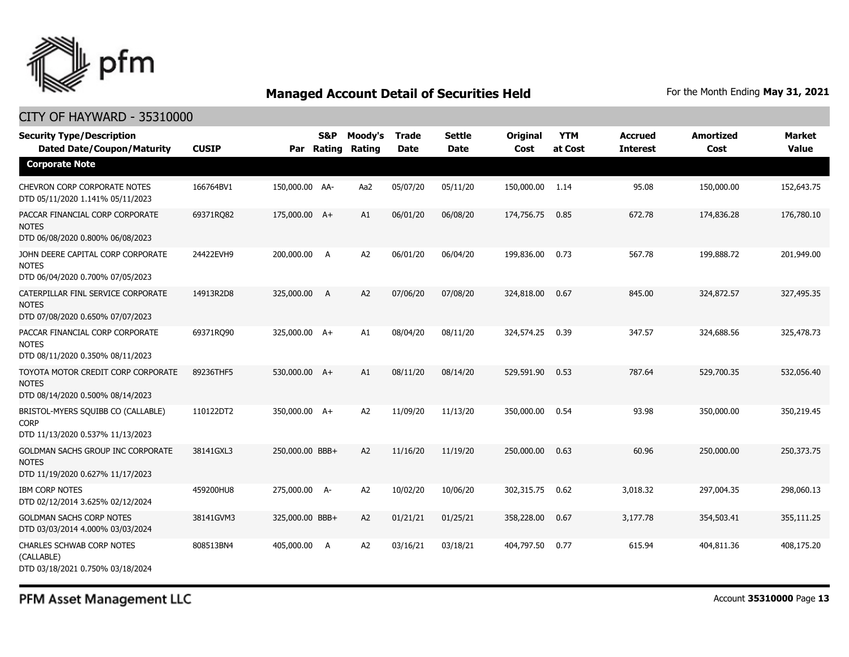

### CITY OF HAYWARD - 35310000

| <b>Security Type/Description</b><br><b>Dated Date/Coupon/Maturity</b>                  | <b>CUSIP</b> |                 | <b>S&amp;P</b><br>Par Rating | Moody's<br>Rating | <b>Trade</b><br><b>Date</b> | <b>Settle</b><br><b>Date</b> | <b>Original</b><br>Cost | <b>YTM</b><br>at Cost | <b>Accrued</b><br><b>Interest</b> | <b>Amortized</b><br>Cost | <b>Market</b><br><b>Value</b> |
|----------------------------------------------------------------------------------------|--------------|-----------------|------------------------------|-------------------|-----------------------------|------------------------------|-------------------------|-----------------------|-----------------------------------|--------------------------|-------------------------------|
| <b>Corporate Note</b>                                                                  |              |                 |                              |                   |                             |                              |                         |                       |                                   |                          |                               |
| <b>CHEVRON CORP CORPORATE NOTES</b><br>DTD 05/11/2020 1.141% 05/11/2023                | 166764BV1    | 150,000.00 AA-  |                              | Aa2               | 05/07/20                    | 05/11/20                     | 150,000.00              | 1.14                  | 95.08                             | 150,000.00               | 152,643.75                    |
| PACCAR FINANCIAL CORP CORPORATE<br><b>NOTES</b><br>DTD 06/08/2020 0.800% 06/08/2023    | 69371RQ82    | 175,000.00 A+   |                              | A1                | 06/01/20                    | 06/08/20                     | 174,756.75              | 0.85                  | 672.78                            | 174,836.28               | 176,780.10                    |
| JOHN DEERE CAPITAL CORP CORPORATE<br><b>NOTES</b><br>DTD 06/04/2020 0.700% 07/05/2023  | 24422EVH9    | 200,000.00 A    |                              | A <sub>2</sub>    | 06/01/20                    | 06/04/20                     | 199,836.00              | 0.73                  | 567.78                            | 199,888.72               | 201,949.00                    |
| CATERPILLAR FINL SERVICE CORPORATE<br><b>NOTES</b><br>DTD 07/08/2020 0.650% 07/07/2023 | 14913R2D8    | 325,000.00 A    |                              | A2                | 07/06/20                    | 07/08/20                     | 324,818,00              | 0.67                  | 845.00                            | 324,872.57               | 327,495.35                    |
| PACCAR FINANCIAL CORP CORPORATE<br><b>NOTES</b><br>DTD 08/11/2020 0.350% 08/11/2023    | 69371RQ90    | 325,000.00 A+   |                              | A1                | 08/04/20                    | 08/11/20                     | 324,574.25              | 0.39                  | 347.57                            | 324,688.56               | 325,478.73                    |
| TOYOTA MOTOR CREDIT CORP CORPORATE<br><b>NOTES</b><br>DTD 08/14/2020 0.500% 08/14/2023 | 89236THF5    | 530,000.00 A+   |                              | A1                | 08/11/20                    | 08/14/20                     | 529,591.90              | 0.53                  | 787.64                            | 529,700.35               | 532,056.40                    |
| BRISTOL-MYERS SQUIBB CO (CALLABLE)<br><b>CORP</b><br>DTD 11/13/2020 0.537% 11/13/2023  | 110122DT2    | 350,000.00 A+   |                              | A <sub>2</sub>    | 11/09/20                    | 11/13/20                     | 350,000.00              | 0.54                  | 93.98                             | 350,000.00               | 350,219.45                    |
| GOLDMAN SACHS GROUP INC CORPORATE<br><b>NOTES</b><br>DTD 11/19/2020 0.627% 11/17/2023  | 38141GXL3    | 250,000.00 BBB+ |                              | A2                | 11/16/20                    | 11/19/20                     | 250,000.00              | 0.63                  | 60.96                             | 250,000.00               | 250,373.75                    |
| <b>IBM CORP NOTES</b><br>DTD 02/12/2014 3.625% 02/12/2024                              | 459200HU8    | 275,000.00 A-   |                              | A <sub>2</sub>    | 10/02/20                    | 10/06/20                     | 302,315.75              | 0.62                  | 3,018.32                          | 297,004.35               | 298,060.13                    |
| <b>GOLDMAN SACHS CORP NOTES</b><br>DTD 03/03/2014 4.000% 03/03/2024                    | 38141GVM3    | 325,000.00 BBB+ |                              | A2                | 01/21/21                    | 01/25/21                     | 358,228.00              | 0.67                  | 3,177.78                          | 354,503.41               | 355,111.25                    |
| <b>CHARLES SCHWAB CORP NOTES</b><br>(CALLABLE)<br>DTD 03/18/2021 0.750% 03/18/2024     | 808513BN4    | 405,000.00      | A                            | A <sub>2</sub>    | 03/16/21                    | 03/18/21                     | 404,797.50              | 0.77                  | 615.94                            | 404,811.36               | 408,175.20                    |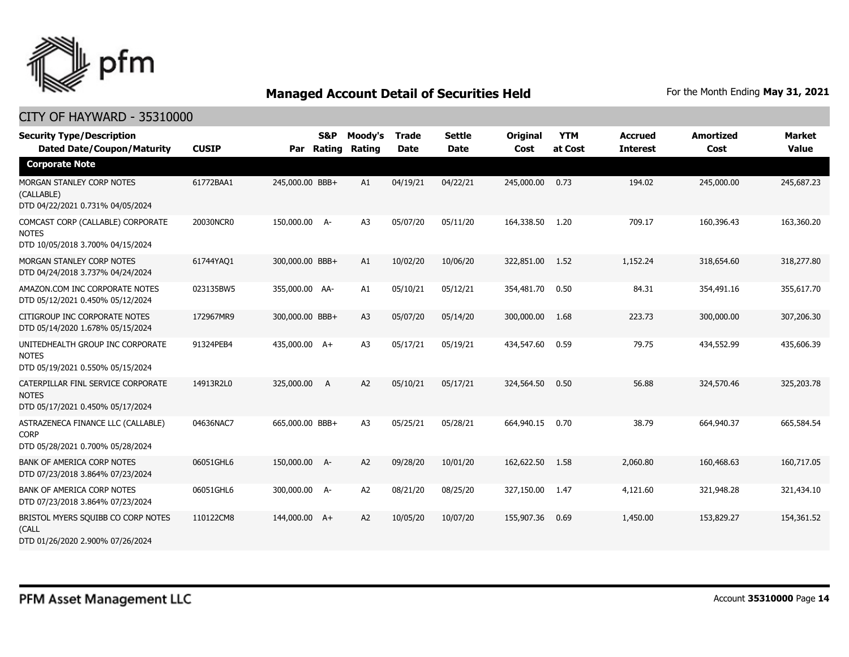

| <b>Security Type/Description</b><br><b>Dated Date/Coupon/Maturity</b>                  | <b>CUSIP</b> | Par             | S&P<br>Rating | Moody's<br>Rating | Trade<br><b>Date</b> | <b>Settle</b><br><b>Date</b> | <b>Original</b><br>Cost | <b>YTM</b><br>at Cost | <b>Accrued</b><br><b>Interest</b> | <b>Amortized</b><br>Cost | Market<br><b>Value</b> |
|----------------------------------------------------------------------------------------|--------------|-----------------|---------------|-------------------|----------------------|------------------------------|-------------------------|-----------------------|-----------------------------------|--------------------------|------------------------|
| <b>Corporate Note</b>                                                                  |              |                 |               |                   |                      |                              |                         |                       |                                   |                          |                        |
| MORGAN STANLEY CORP NOTES<br>(CALLABLE)<br>DTD 04/22/2021 0.731% 04/05/2024            | 61772BAA1    | 245,000.00 BBB+ |               | A1                | 04/19/21             | 04/22/21                     | 245,000.00              | 0.73                  | 194.02                            | 245,000.00               | 245,687.23             |
| COMCAST CORP (CALLABLE) CORPORATE<br><b>NOTES</b><br>DTD 10/05/2018 3.700% 04/15/2024  | 20030NCR0    | 150,000.00 A-   |               | A <sub>3</sub>    | 05/07/20             | 05/11/20                     | 164,338.50              | 1.20                  | 709.17                            | 160,396.43               | 163,360.20             |
| MORGAN STANLEY CORP NOTES<br>DTD 04/24/2018 3.737% 04/24/2024                          | 61744YAQ1    | 300,000.00 BBB+ |               | A1                | 10/02/20             | 10/06/20                     | 322,851.00              | 1.52                  | 1,152.24                          | 318,654.60               | 318,277.80             |
| AMAZON.COM INC CORPORATE NOTES<br>DTD 05/12/2021 0.450% 05/12/2024                     | 023135BW5    | 355,000.00 AA-  |               | A1                | 05/10/21             | 05/12/21                     | 354,481.70              | 0.50                  | 84.31                             | 354,491.16               | 355,617.70             |
| CITIGROUP INC CORPORATE NOTES<br>DTD 05/14/2020 1.678% 05/15/2024                      | 172967MR9    | 300,000.00 BBB+ |               | A <sub>3</sub>    | 05/07/20             | 05/14/20                     | 300,000.00              | 1.68                  | 223.73                            | 300,000.00               | 307,206.30             |
| UNITEDHEALTH GROUP INC CORPORATE<br><b>NOTES</b><br>DTD 05/19/2021 0.550% 05/15/2024   | 91324PEB4    | 435,000.00 A+   |               | A <sub>3</sub>    | 05/17/21             | 05/19/21                     | 434,547.60              | 0.59                  | 79.75                             | 434,552.99               | 435,606.39             |
| CATERPILLAR FINL SERVICE CORPORATE<br><b>NOTES</b><br>DTD 05/17/2021 0.450% 05/17/2024 | 14913R2L0    | 325,000.00      | A             | A2                | 05/10/21             | 05/17/21                     | 324,564.50              | 0.50                  | 56.88                             | 324,570.46               | 325,203.78             |
| ASTRAZENECA FINANCE LLC (CALLABLE)<br><b>CORP</b><br>DTD 05/28/2021 0.700% 05/28/2024  | 04636NAC7    | 665,000.00 BBB+ |               | A <sub>3</sub>    | 05/25/21             | 05/28/21                     | 664,940.15              | 0.70                  | 38.79                             | 664,940.37               | 665,584.54             |
| <b>BANK OF AMERICA CORP NOTES</b><br>DTD 07/23/2018 3.864% 07/23/2024                  | 06051GHL6    | 150,000.00 A-   |               | A2                | 09/28/20             | 10/01/20                     | 162,622.50              | 1.58                  | 2,060.80                          | 160,468.63               | 160,717.05             |
| <b>BANK OF AMERICA CORP NOTES</b><br>DTD 07/23/2018 3.864% 07/23/2024                  | 06051GHL6    | 300,000.00 A-   |               | A <sub>2</sub>    | 08/21/20             | 08/25/20                     | 327,150.00              | 1.47                  | 4,121.60                          | 321,948.28               | 321,434.10             |
| BRISTOL MYERS SQUIBB CO CORP NOTES<br>(CALL<br>DTD 01/26/2020 2.900% 07/26/2024        | 110122CM8    | 144,000.00 A+   |               | A2                | 10/05/20             | 10/07/20                     | 155,907.36              | 0.69                  | 1,450.00                          | 153,829.27               | 154,361.52             |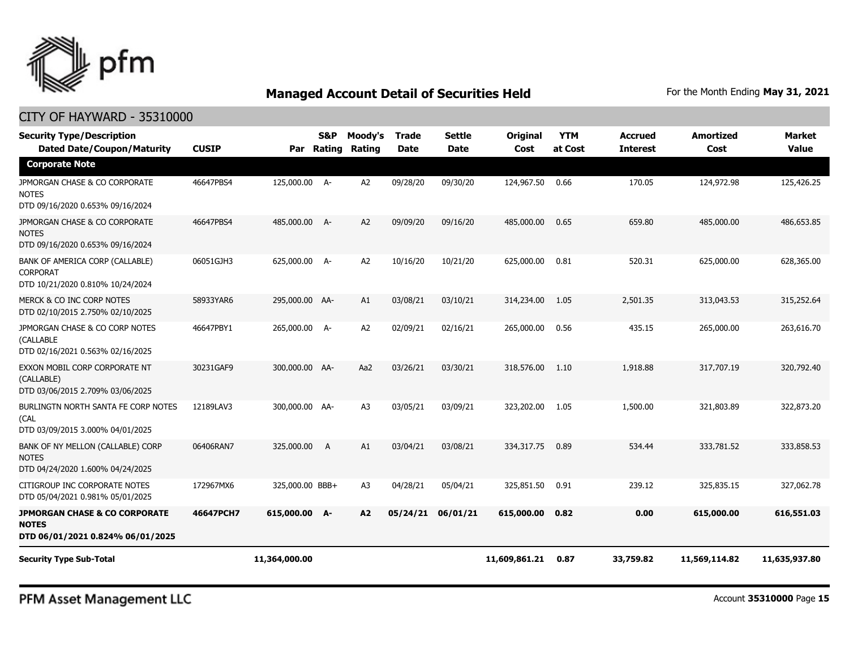

### CITY OF HAYWARD - 35310000

| <b>Security Type/Description</b><br><b>Dated Date/Coupon/Maturity</b>                        | <b>CUSIP</b> | Par             | <b>S&amp;P</b><br>Rating | Moody's<br>Rating | <b>Trade</b><br><b>Date</b> | <b>Settle</b><br><b>Date</b> | <b>Original</b><br>Cost | <b>YTM</b><br>at Cost | <b>Accrued</b><br><b>Interest</b> | <b>Amortized</b><br>Cost | <b>Market</b><br><b>Value</b> |
|----------------------------------------------------------------------------------------------|--------------|-----------------|--------------------------|-------------------|-----------------------------|------------------------------|-------------------------|-----------------------|-----------------------------------|--------------------------|-------------------------------|
| <b>Corporate Note</b>                                                                        |              |                 |                          |                   |                             |                              |                         |                       |                                   |                          |                               |
| JPMORGAN CHASE & CO CORPORATE<br><b>NOTES</b><br>DTD 09/16/2020 0.653% 09/16/2024            | 46647PBS4    | 125,000.00 A-   |                          | A2                | 09/28/20                    | 09/30/20                     | 124,967.50              | 0.66                  | 170.05                            | 124,972.98               | 125,426.25                    |
| JPMORGAN CHASE & CO CORPORATE<br><b>NOTES</b><br>DTD 09/16/2020 0.653% 09/16/2024            | 46647PBS4    | 485,000.00 A-   |                          | A2                | 09/09/20                    | 09/16/20                     | 485,000.00              | 0.65                  | 659.80                            | 485,000.00               | 486,653.85                    |
| BANK OF AMERICA CORP (CALLABLE)<br>CORPORAT<br>DTD 10/21/2020 0.810% 10/24/2024              | 06051GJH3    | 625,000.00 A-   |                          | A2                | 10/16/20                    | 10/21/20                     | 625,000.00              | 0.81                  | 520.31                            | 625,000,00               | 628,365.00                    |
| MERCK & CO INC CORP NOTES<br>DTD 02/10/2015 2.750% 02/10/2025                                | 58933YAR6    | 295,000.00 AA-  |                          | A1                | 03/08/21                    | 03/10/21                     | 314,234.00              | 1.05                  | 2,501.35                          | 313,043.53               | 315,252.64                    |
| JPMORGAN CHASE & CO CORP NOTES<br>(CALLABLE<br>DTD 02/16/2021 0.563% 02/16/2025              | 46647PBY1    | 265,000.00 A-   |                          | A <sub>2</sub>    | 02/09/21                    | 02/16/21                     | 265,000.00              | 0.56                  | 435.15                            | 265,000.00               | 263,616.70                    |
| EXXON MOBIL CORP CORPORATE NT<br>(CALLABLE)<br>DTD 03/06/2015 2.709% 03/06/2025              | 30231GAF9    | 300,000.00 AA-  |                          | Aa2               | 03/26/21                    | 03/30/21                     | 318,576.00              | 1.10                  | 1,918.88                          | 317,707.19               | 320,792.40                    |
| BURLINGTN NORTH SANTA FE CORP NOTES<br>(CAL<br>DTD 03/09/2015 3.000% 04/01/2025              | 12189LAV3    | 300,000.00 AA-  |                          | A <sub>3</sub>    | 03/05/21                    | 03/09/21                     | 323,202.00              | 1.05                  | 1,500.00                          | 321,803.89               | 322,873.20                    |
| BANK OF NY MELLON (CALLABLE) CORP<br><b>NOTES</b><br>DTD 04/24/2020 1.600% 04/24/2025        | 06406RAN7    | 325,000.00      | A                        | A1                | 03/04/21                    | 03/08/21                     | 334,317.75              | 0.89                  | 534.44                            | 333,781.52               | 333,858.53                    |
| CITIGROUP INC CORPORATE NOTES<br>DTD 05/04/2021 0.981% 05/01/2025                            | 172967MX6    | 325,000.00 BBB+ |                          | A <sub>3</sub>    | 04/28/21                    | 05/04/21                     | 325,851.50              | 0.91                  | 239.12                            | 325,835.15               | 327,062.78                    |
| <b>JPMORGAN CHASE &amp; CO CORPORATE</b><br><b>NOTES</b><br>DTD 06/01/2021 0.824% 06/01/2025 | 46647PCH7    | 615,000.00 A-   |                          | A2                | 05/24/21                    | 06/01/21                     | 615,000.00              | 0.82                  | 0.00                              | 615,000.00               | 616,551.03                    |
| <b>Security Type Sub-Total</b>                                                               |              | 11,364,000.00   |                          |                   |                             |                              | 11,609,861.21           | 0.87                  | 33,759.82                         | 11,569,114.82            | 11,635,937.80                 |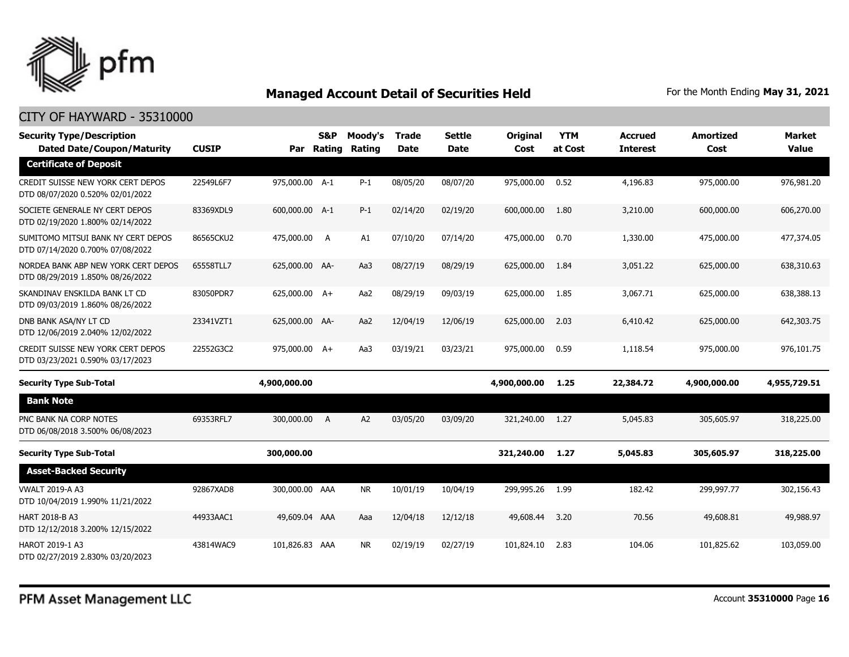

| <b>Security Type/Description</b><br><b>Dated Date/Coupon/Maturity</b>   | <b>CUSIP</b> | Par            | S&P<br>Rating  | Moodv's<br>Rating | <b>Trade</b><br><b>Date</b> | <b>Settle</b><br><b>Date</b> | <b>Original</b><br>Cost | <b>YTM</b><br>at Cost | Accrued<br><b>Interest</b> | <b>Amortized</b><br>Cost | Market<br><b>Value</b> |
|-------------------------------------------------------------------------|--------------|----------------|----------------|-------------------|-----------------------------|------------------------------|-------------------------|-----------------------|----------------------------|--------------------------|------------------------|
| <b>Certificate of Deposit</b>                                           |              |                |                |                   |                             |                              |                         |                       |                            |                          |                        |
| CREDIT SUISSE NEW YORK CERT DEPOS<br>DTD 08/07/2020 0.520% 02/01/2022   | 22549L6F7    | 975,000.00 A-1 |                | $P-1$             | 08/05/20                    | 08/07/20                     | 975,000.00              | 0.52                  | 4,196.83                   | 975,000.00               | 976,981.20             |
| SOCIETE GENERALE NY CERT DEPOS<br>DTD 02/19/2020 1.800% 02/14/2022      | 83369XDL9    | 600,000.00 A-1 |                | $P-1$             | 02/14/20                    | 02/19/20                     | 600,000.00              | 1.80                  | 3,210.00                   | 600,000.00               | 606,270.00             |
| SUMITOMO MITSUI BANK NY CERT DEPOS<br>DTD 07/14/2020 0.700% 07/08/2022  | 86565CKU2    | 475,000.00 A   |                | A1                | 07/10/20                    | 07/14/20                     | 475,000.00              | 0.70                  | 1,330.00                   | 475,000.00               | 477,374.05             |
| NORDEA BANK ABP NEW YORK CERT DEPOS<br>DTD 08/29/2019 1.850% 08/26/2022 | 65558TLL7    | 625,000.00 AA- |                | Aa3               | 08/27/19                    | 08/29/19                     | 625,000,00              | 1.84                  | 3,051.22                   | 625,000.00               | 638,310.63             |
| SKANDINAV ENSKILDA BANK LT CD<br>DTD 09/03/2019 1.860% 08/26/2022       | 83050PDR7    | 625,000.00 A+  |                | Aa2               | 08/29/19                    | 09/03/19                     | 625,000.00              | 1.85                  | 3,067.71                   | 625,000.00               | 638,388.13             |
| DNB BANK ASA/NY LT CD<br>DTD 12/06/2019 2.040% 12/02/2022               | 23341VZT1    | 625,000.00 AA- |                | Aa2               | 12/04/19                    | 12/06/19                     | 625,000.00              | 2.03                  | 6,410.42                   | 625,000.00               | 642,303.75             |
| CREDIT SUISSE NEW YORK CERT DEPOS<br>DTD 03/23/2021 0.590% 03/17/2023   | 22552G3C2    | 975,000.00 A+  |                | Aa3               | 03/19/21                    | 03/23/21                     | 975,000.00              | 0.59                  | 1,118.54                   | 975,000.00               | 976,101.75             |
| <b>Security Type Sub-Total</b>                                          |              | 4,900,000.00   |                |                   |                             |                              | 4,900,000.00            | 1.25                  | 22,384.72                  | 4,900,000.00             | 4,955,729.51           |
| <b>Bank Note</b>                                                        |              |                |                |                   |                             |                              |                         |                       |                            |                          |                        |
| PNC BANK NA CORP NOTES<br>DTD 06/08/2018 3.500% 06/08/2023              | 69353RFL7    | 300,000.00     | $\overline{A}$ | A <sub>2</sub>    | 03/05/20                    | 03/09/20                     | 321,240.00              | 1.27                  | 5,045.83                   | 305,605.97               | 318,225.00             |
| <b>Security Type Sub-Total</b>                                          |              | 300,000.00     |                |                   |                             |                              | 321,240.00              | 1.27                  | 5,045.83                   | 305,605.97               | 318,225.00             |
| <b>Asset-Backed Security</b>                                            |              |                |                |                   |                             |                              |                         |                       |                            |                          |                        |
| <b>VWALT 2019-A A3</b><br>DTD 10/04/2019 1.990% 11/21/2022              | 92867XAD8    | 300,000.00 AAA |                | <b>NR</b>         | 10/01/19                    | 10/04/19                     | 299,995.26              | 1.99                  | 182.42                     | 299,997.77               | 302,156.43             |
| <b>HART 2018-B A3</b><br>DTD 12/12/2018 3.200% 12/15/2022               | 44933AAC1    | 49,609.04 AAA  |                | Aaa               | 12/04/18                    | 12/12/18                     | 49,608.44               | 3.20                  | 70.56                      | 49,608.81                | 49,988.97              |
| <b>HAROT 2019-1 A3</b><br>DTD 02/27/2019 2.830% 03/20/2023              | 43814WAC9    | 101,826.83 AAA |                | <b>NR</b>         | 02/19/19                    | 02/27/19                     | 101,824.10              | 2.83                  | 104.06                     | 101,825.62               | 103,059.00             |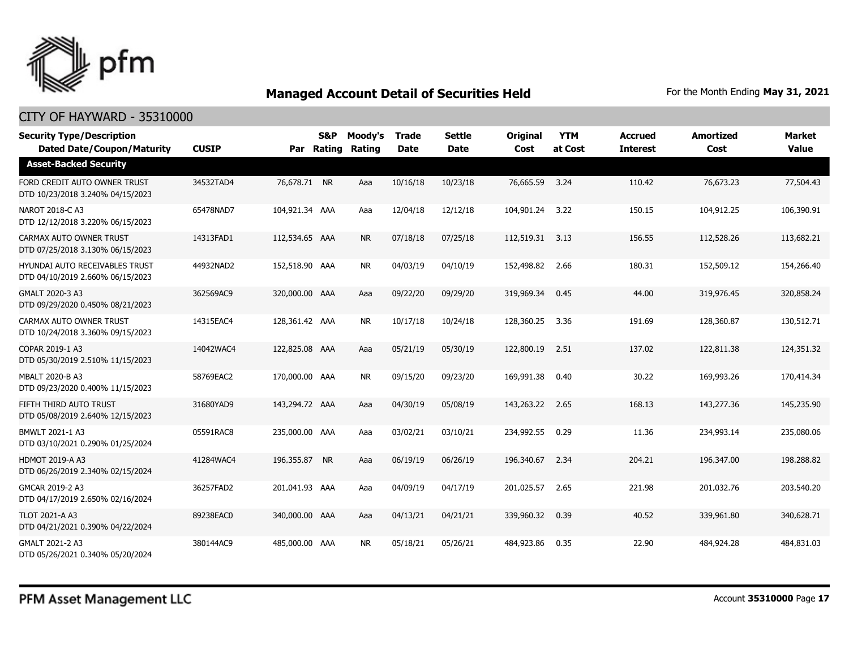

| <b>Security Type/Description</b><br><b>Dated Date/Coupon/Maturity</b> | <b>CUSIP</b> |                | S&P<br>Par Rating | Moody's<br>Rating | <b>Trade</b><br><b>Date</b> | <b>Settle</b><br><b>Date</b> | <b>Original</b><br>Cost | <b>YTM</b><br>at Cost | <b>Accrued</b><br><b>Interest</b> | <b>Amortized</b><br>Cost | <b>Market</b><br><b>Value</b> |
|-----------------------------------------------------------------------|--------------|----------------|-------------------|-------------------|-----------------------------|------------------------------|-------------------------|-----------------------|-----------------------------------|--------------------------|-------------------------------|
| <b>Asset-Backed Security</b>                                          |              |                |                   |                   |                             |                              |                         |                       |                                   |                          |                               |
| FORD CREDIT AUTO OWNER TRUST<br>DTD 10/23/2018 3.240% 04/15/2023      | 34532TAD4    | 76,678.71 NR   |                   | Aaa               | 10/16/18                    | 10/23/18                     | 76,665.59               | 3.24                  | 110.42                            | 76,673.23                | 77,504.43                     |
| NAROT 2018-C A3<br>DTD 12/12/2018 3.220% 06/15/2023                   | 65478NAD7    | 104,921.34 AAA |                   | Aaa               | 12/04/18                    | 12/12/18                     | 104,901.24              | 3.22                  | 150.15                            | 104,912.25               | 106,390.91                    |
| CARMAX AUTO OWNER TRUST<br>DTD 07/25/2018 3.130% 06/15/2023           | 14313FAD1    | 112,534.65 AAA |                   | <b>NR</b>         | 07/18/18                    | 07/25/18                     | 112,519.31 3.13         |                       | 156.55                            | 112,528.26               | 113,682.21                    |
| HYUNDAI AUTO RECEIVABLES TRUST<br>DTD 04/10/2019 2.660% 06/15/2023    | 44932NAD2    | 152,518.90 AAA |                   | <b>NR</b>         | 04/03/19                    | 04/10/19                     | 152,498.82              | 2.66                  | 180.31                            | 152,509.12               | 154,266.40                    |
| GMALT 2020-3 A3<br>DTD 09/29/2020 0.450% 08/21/2023                   | 362569AC9    | 320,000.00 AAA |                   | Aaa               | 09/22/20                    | 09/29/20                     | 319,969.34              | 0.45                  | 44.00                             | 319,976.45               | 320,858.24                    |
| CARMAX AUTO OWNER TRUST<br>DTD 10/24/2018 3.360% 09/15/2023           | 14315EAC4    | 128,361.42 AAA |                   | <b>NR</b>         | 10/17/18                    | 10/24/18                     | 128,360.25              | 3.36                  | 191.69                            | 128,360.87               | 130,512.71                    |
| COPAR 2019-1 A3<br>DTD 05/30/2019 2.510% 11/15/2023                   | 14042WAC4    | 122,825.08 AAA |                   | Aaa               | 05/21/19                    | 05/30/19                     | 122,800.19              | 2.51                  | 137.02                            | 122,811.38               | 124,351.32                    |
| <b>MBALT 2020-B A3</b><br>DTD 09/23/2020 0.400% 11/15/2023            | 58769EAC2    | 170,000.00 AAA |                   | <b>NR</b>         | 09/15/20                    | 09/23/20                     | 169,991.38              | 0.40                  | 30.22                             | 169,993.26               | 170,414.34                    |
| FIFTH THIRD AUTO TRUST<br>DTD 05/08/2019 2.640% 12/15/2023            | 31680YAD9    | 143,294.72 AAA |                   | Aaa               | 04/30/19                    | 05/08/19                     | 143,263.22              | 2.65                  | 168.13                            | 143,277.36               | 145,235.90                    |
| BMWLT 2021-1 A3<br>DTD 03/10/2021 0.290% 01/25/2024                   | 05591RAC8    | 235,000.00 AAA |                   | Aaa               | 03/02/21                    | 03/10/21                     | 234,992.55              | 0.29                  | 11.36                             | 234,993.14               | 235,080.06                    |
| <b>HDMOT 2019-A A3</b><br>DTD 06/26/2019 2.340% 02/15/2024            | 41284WAC4    | 196,355.87 NR  |                   | Aaa               | 06/19/19                    | 06/26/19                     | 196,340.67              | 2.34                  | 204.21                            | 196,347.00               | 198,288.82                    |
| GMCAR 2019-2 A3<br>DTD 04/17/2019 2.650% 02/16/2024                   | 36257FAD2    | 201,041.93 AAA |                   | Aaa               | 04/09/19                    | 04/17/19                     | 201,025.57              | 2.65                  | 221.98                            | 201,032.76               | 203,540.20                    |
| <b>TLOT 2021-A A3</b><br>DTD 04/21/2021 0.390% 04/22/2024             | 89238EAC0    | 340,000.00 AAA |                   | Aaa               | 04/13/21                    | 04/21/21                     | 339,960.32              | 0.39                  | 40.52                             | 339,961.80               | 340,628.71                    |
| GMALT 2021-2 A3<br>DTD 05/26/2021 0.340% 05/20/2024                   | 380144AC9    | 485,000.00 AAA |                   | <b>NR</b>         | 05/18/21                    | 05/26/21                     | 484,923.86              | 0.35                  | 22.90                             | 484,924.28               | 484,831.03                    |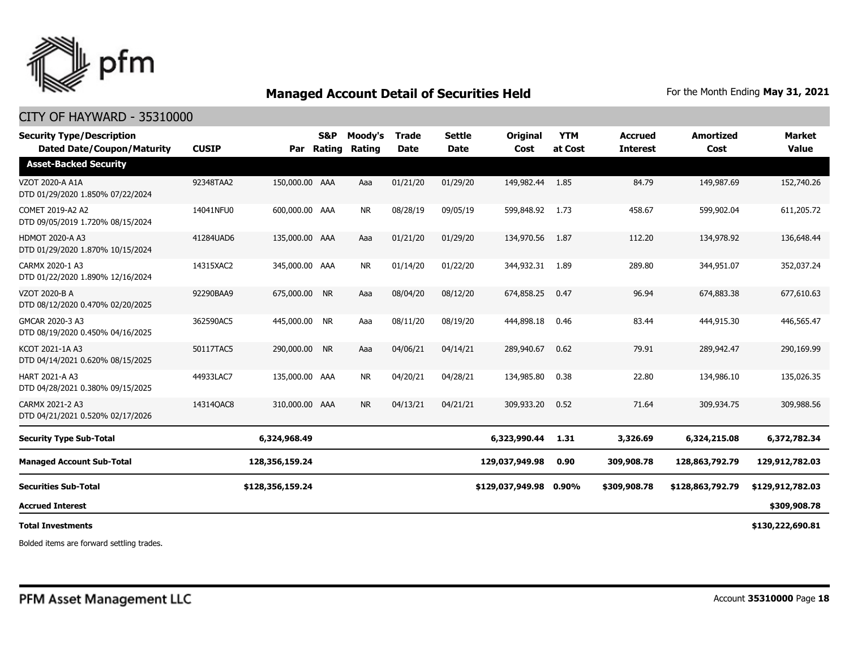

### CITY OF HAYWARD - 35310000

| <b>Security Type/Description</b><br><b>Dated Date/Coupon/Maturity</b> | <b>CUSIP</b> | Par              | <b>S&amp;P</b><br>Rating | Moody's<br>Rating | <b>Trade</b><br><b>Date</b> | <b>Settle</b><br><b>Date</b> | <b>Original</b><br>Cost | <b>YTM</b><br>at Cost | <b>Accrued</b><br><b>Interest</b> | <b>Amortized</b><br>Cost | <b>Market</b><br><b>Value</b> |
|-----------------------------------------------------------------------|--------------|------------------|--------------------------|-------------------|-----------------------------|------------------------------|-------------------------|-----------------------|-----------------------------------|--------------------------|-------------------------------|
| <b>Asset-Backed Security</b>                                          |              |                  |                          |                   |                             |                              |                         |                       |                                   |                          |                               |
| <b>VZOT 2020-A A1A</b><br>DTD 01/29/2020 1.850% 07/22/2024            | 92348TAA2    | 150,000.00 AAA   |                          | Aaa               | 01/21/20                    | 01/29/20                     | 149,982.44              | 1.85                  | 84.79                             | 149,987.69               | 152,740.26                    |
| COMET 2019-A2 A2<br>DTD 09/05/2019 1.720% 08/15/2024                  | 14041NFU0    | 600,000.00 AAA   |                          | <b>NR</b>         | 08/28/19                    | 09/05/19                     | 599,848.92              | 1.73                  | 458.67                            | 599,902.04               | 611,205.72                    |
| <b>HDMOT 2020-A A3</b><br>DTD 01/29/2020 1.870% 10/15/2024            | 41284UAD6    | 135,000.00 AAA   |                          | Aaa               | 01/21/20                    | 01/29/20                     | 134,970.56              | 1.87                  | 112.20                            | 134,978.92               | 136,648.44                    |
| CARMX 2020-1 A3<br>DTD 01/22/2020 1.890% 12/16/2024                   | 14315XAC2    | 345,000.00 AAA   |                          | NR.               | 01/14/20                    | 01/22/20                     | 344,932.31              | 1.89                  | 289.80                            | 344,951.07               | 352,037.24                    |
| VZOT 2020-B A<br>DTD 08/12/2020 0.470% 02/20/2025                     | 92290BAA9    | 675,000.00 NR    |                          | Aaa               | 08/04/20                    | 08/12/20                     | 674,858.25              | 0.47                  | 96.94                             | 674,883.38               | 677,610.63                    |
| GMCAR 2020-3 A3<br>DTD 08/19/2020 0.450% 04/16/2025                   | 362590AC5    | 445,000.00 NR    |                          | Aaa               | 08/11/20                    | 08/19/20                     | 444,898.18              | 0.46                  | 83.44                             | 444,915.30               | 446,565.47                    |
| KCOT 2021-1A A3<br>DTD 04/14/2021 0.620% 08/15/2025                   | 50117TAC5    | 290,000.00 NR    |                          | Aaa               | 04/06/21                    | 04/14/21                     | 289,940.67              | 0.62                  | 79.91                             | 289,942.47               | 290,169.99                    |
| <b>HART 2021-A A3</b><br>DTD 04/28/2021 0.380% 09/15/2025             | 44933LAC7    | 135,000.00 AAA   |                          | <b>NR</b>         | 04/20/21                    | 04/28/21                     | 134,985.80              | 0.38                  | 22.80                             | 134,986.10               | 135,026.35                    |
| CARMX 2021-2 A3<br>DTD 04/21/2021 0.520% 02/17/2026                   | 143140AC8    | 310,000.00 AAA   |                          | <b>NR</b>         | 04/13/21                    | 04/21/21                     | 309,933,20              | 0.52                  | 71.64                             | 309,934.75               | 309,988.56                    |
| <b>Security Type Sub-Total</b>                                        |              | 6,324,968.49     |                          |                   |                             |                              | 6,323,990.44            | 1.31                  | 3,326.69                          | 6,324,215.08             | 6,372,782.34                  |
| <b>Managed Account Sub-Total</b>                                      |              | 128,356,159.24   |                          |                   |                             |                              | 129,037,949.98          | 0.90                  | 309,908.78                        | 128,863,792.79           | 129,912,782.03                |
| <b>Securities Sub-Total</b>                                           |              | \$128,356,159.24 |                          |                   |                             |                              | \$129,037,949.98        | $0.90\%$              | \$309,908.78                      | \$128,863,792.79         | \$129,912,782.03              |
| <b>Accrued Interest</b>                                               |              |                  |                          |                   |                             |                              |                         |                       |                                   |                          | \$309,908.78                  |
| <b>Total Investments</b>                                              |              |                  |                          |                   |                             |                              |                         |                       |                                   |                          | \$130,222,690.81              |

Bolded items are forward settling trades.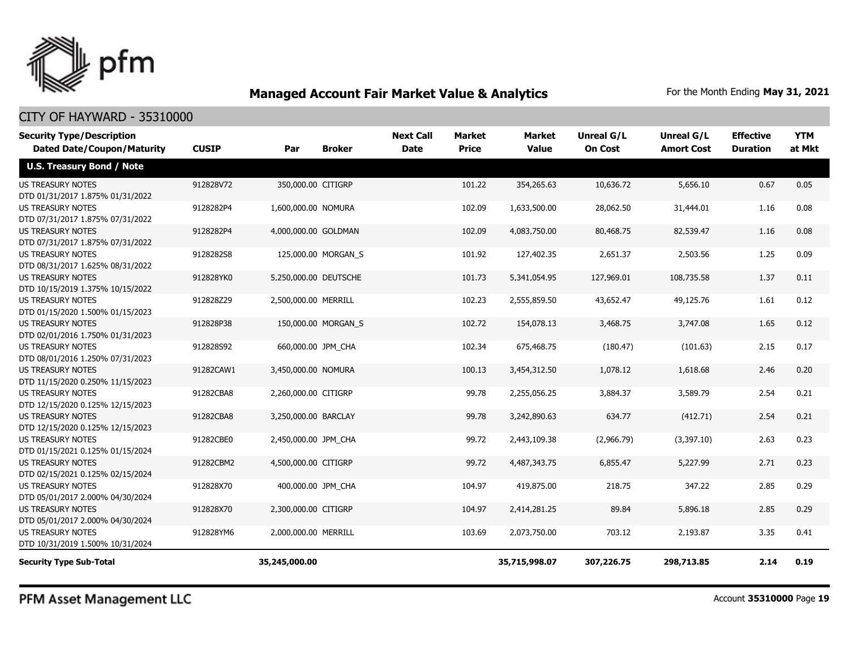

### CITY OF HAYWARD - 35310000

| <b>Security Type/Description</b><br><b>Dated Date/Coupon/Maturity</b> | <b>CUSIP</b> | Par                   | <b>Broker</b>       | <b>Next Call</b><br><b>Date</b> | Market<br><b>Price</b> | <b>Market</b><br><b>Value</b> | <b>Unreal G/L</b><br><b>On Cost</b> | Unreal G/L<br><b>Amort Cost</b> | <b>Effective</b><br><b>Duration</b> | <b>YTM</b><br>at Mkt |
|-----------------------------------------------------------------------|--------------|-----------------------|---------------------|---------------------------------|------------------------|-------------------------------|-------------------------------------|---------------------------------|-------------------------------------|----------------------|
| <b>U.S. Treasury Bond / Note</b>                                      |              |                       |                     |                                 |                        |                               |                                     |                                 |                                     |                      |
| <b>US TREASURY NOTES</b><br>DTD 01/31/2017 1.875% 01/31/2022          | 912828V72    | 350,000.00 CITIGRP    |                     |                                 | 101.22                 | 354,265.63                    | 10,636.72                           | 5,656.10                        | 0.67                                | 0.05                 |
| <b>US TREASURY NOTES</b><br>DTD 07/31/2017 1.875% 07/31/2022          | 9128282P4    | 1,600,000.00 NOMURA   |                     |                                 | 102.09                 | 1,633,500.00                  | 28,062.50                           | 31,444.01                       | 1.16                                | 0.08                 |
| US TREASURY NOTES<br>DTD 07/31/2017 1.875% 07/31/2022                 | 9128282P4    | 4,000,000.00 GOLDMAN  |                     |                                 | 102.09                 | 4,083,750.00                  | 80,468.75                           | 82,539.47                       | 1.16                                | 0.08                 |
| <b>US TREASURY NOTES</b><br>DTD 08/31/2017 1.625% 08/31/2022          | 9128282S8    |                       | 125,000.00 MORGAN S |                                 | 101.92                 | 127,402.35                    | 2,651.37                            | 2,503.56                        | 1.25                                | 0.09                 |
| <b>US TREASURY NOTES</b><br>DTD 10/15/2019 1.375% 10/15/2022          | 912828YK0    | 5,250,000.00 DEUTSCHE |                     |                                 | 101.73                 | 5,341,054.95                  | 127,969.01                          | 108,735.58                      | 1.37                                | 0.11                 |
| <b>US TREASURY NOTES</b><br>DTD 01/15/2020 1.500% 01/15/2023          | 912828Z29    | 2,500,000.00 MERRILL  |                     |                                 | 102.23                 | 2,555,859.50                  | 43,652.47                           | 49,125.76                       | 1.61                                | 0.12                 |
| <b>US TREASURY NOTES</b><br>DTD 02/01/2016 1.750% 01/31/2023          | 912828P38    |                       | 150,000.00 MORGAN S |                                 | 102.72                 | 154,078.13                    | 3,468.75                            | 3,747.08                        | 1.65                                | 0.12                 |
| <b>US TREASURY NOTES</b><br>DTD 08/01/2016 1.250% 07/31/2023          | 912828S92    |                       | 660,000.00 JPM CHA  |                                 | 102.34                 | 675,468.75                    | (180.47)                            | (101.63)                        | 2.15                                | 0.17                 |
| <b>US TREASURY NOTES</b><br>DTD 11/15/2020 0.250% 11/15/2023          | 91282CAW1    | 3,450,000.00 NOMURA   |                     |                                 | 100.13                 | 3,454,312.50                  | 1,078.12                            | 1,618.68                        | 2.46                                | 0.20                 |
| <b>US TREASURY NOTES</b><br>DTD 12/15/2020 0.125% 12/15/2023          | 91282CBA8    | 2,260,000.00 CITIGRP  |                     |                                 | 99.78                  | 2,255,056.25                  | 3,884.37                            | 3,589.79                        | 2.54                                | 0.21                 |
| <b>US TREASURY NOTES</b><br>DTD 12/15/2020 0.125% 12/15/2023          | 91282CBA8    | 3,250,000.00 BARCLAY  |                     |                                 | 99.78                  | 3,242,890.63                  | 634.77                              | (412.71)                        | 2.54                                | 0.21                 |
| <b>US TREASURY NOTES</b><br>DTD 01/15/2021 0.125% 01/15/2024          | 91282CBE0    | 2,450,000.00 JPM_CHA  |                     |                                 | 99.72                  | 2,443,109.38                  | (2,966.79)                          | (3,397.10)                      | 2.63                                | 0.23                 |
| <b>US TREASURY NOTES</b><br>DTD 02/15/2021 0.125% 02/15/2024          | 91282CBM2    | 4,500,000.00 CITIGRP  |                     |                                 | 99.72                  | 4,487,343.75                  | 6,855.47                            | 5,227.99                        | 2.71                                | 0.23                 |
| <b>US TREASURY NOTES</b><br>DTD 05/01/2017 2.000% 04/30/2024          | 912828X70    |                       | 400,000.00 JPM_CHA  |                                 | 104.97                 | 419,875.00                    | 218.75                              | 347.22                          | 2.85                                | 0.29                 |
| <b>US TREASURY NOTES</b><br>DTD 05/01/2017 2.000% 04/30/2024          | 912828X70    | 2,300,000.00 CITIGRP  |                     |                                 | 104.97                 | 2,414,281.25                  | 89.84                               | 5,896.18                        | 2.85                                | 0.29                 |
| <b>US TREASURY NOTES</b><br>DTD 10/31/2019 1.500% 10/31/2024          | 912828YM6    | 2,000,000.00 MERRILL  |                     |                                 | 103.69                 | 2,073,750.00                  | 703.12                              | 2,193.87                        | 3.35                                | 0.41                 |
| <b>Security Type Sub-Total</b>                                        |              | 35,245,000.00         |                     |                                 |                        | 35,715,998.07                 | 307,226.75                          | 298,713.85                      | 2.14                                | 0.19                 |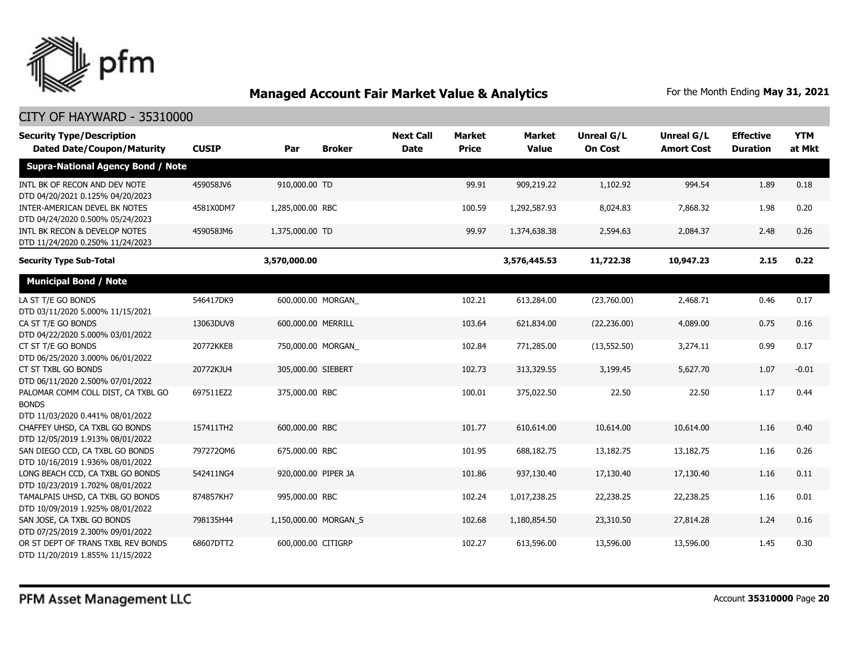

| <b>Security Type/Description</b><br><b>Dated Date/Coupon/Maturity</b>                  | <b>CUSIP</b> | Par                   | <b>Broker</b> | <b>Next Call</b><br><b>Date</b> | <b>Market</b><br><b>Price</b> | Market<br><b>Value</b> | <b>Unreal G/L</b><br><b>On Cost</b> | Unreal G/L<br><b>Amort Cost</b> | <b>Effective</b><br><b>Duration</b> | <b>YTM</b><br>at Mkt |
|----------------------------------------------------------------------------------------|--------------|-----------------------|---------------|---------------------------------|-------------------------------|------------------------|-------------------------------------|---------------------------------|-------------------------------------|----------------------|
| <b>Supra-National Agency Bond / Note</b>                                               |              |                       |               |                                 |                               |                        |                                     |                                 |                                     |                      |
| INTL BK OF RECON AND DEV NOTE<br>DTD 04/20/2021 0.125% 04/20/2023                      | 459058JV6    | 910,000.00 TD         |               |                                 | 99.91                         | 909,219.22             | 1,102.92                            | 994.54                          | 1.89                                | 0.18                 |
| INTER-AMERICAN DEVEL BK NOTES<br>DTD 04/24/2020 0.500% 05/24/2023                      | 4581X0DM7    | 1,285,000.00 RBC      |               |                                 | 100.59                        | 1,292,587.93           | 8,024.83                            | 7,868.32                        | 1.98                                | 0.20                 |
| INTL BK RECON & DEVELOP NOTES<br>DTD 11/24/2020 0.250% 11/24/2023                      | 459058JM6    | 1,375,000.00 TD       |               |                                 | 99.97                         | 1,374,638.38           | 2,594.63                            | 2,084.37                        | 2.48                                | 0.26                 |
| <b>Security Type Sub-Total</b>                                                         |              | 3,570,000.00          |               |                                 |                               | 3,576,445.53           | 11,722.38                           | 10,947.23                       | 2.15                                | 0.22                 |
| <b>Municipal Bond / Note</b>                                                           |              |                       |               |                                 |                               |                        |                                     |                                 |                                     |                      |
| LA ST T/E GO BONDS<br>DTD 03/11/2020 5.000% 11/15/2021                                 | 546417DK9    | 600,000.00 MORGAN     |               |                                 | 102.21                        | 613,284.00             | (23,760.00)                         | 2,468.71                        | 0.46                                | 0.17                 |
| CA ST T/E GO BONDS<br>DTD 04/22/2020 5.000% 03/01/2022                                 | 13063DUV8    | 600,000.00 MERRILL    |               |                                 | 103.64                        | 621,834.00             | (22, 236.00)                        | 4,089.00                        | 0.75                                | 0.16                 |
| CT ST T/E GO BONDS<br>DTD 06/25/2020 3.000% 06/01/2022                                 | 20772KKE8    | 750,000.00 MORGAN     |               |                                 | 102.84                        | 771,285.00             | (13, 552.50)                        | 3,274.11                        | 0.99                                | 0.17                 |
| CT ST TXBL GO BONDS<br>DTD 06/11/2020 2.500% 07/01/2022                                | 20772KJU4    | 305,000.00 SIEBERT    |               |                                 | 102.73                        | 313,329.55             | 3,199.45                            | 5,627.70                        | 1.07                                | $-0.01$              |
| PALOMAR COMM COLL DIST, CA TXBL GO<br><b>BONDS</b><br>DTD 11/03/2020 0.441% 08/01/2022 | 697511EZ2    | 375,000.00 RBC        |               |                                 | 100.01                        | 375,022.50             | 22.50                               | 22.50                           | 1.17                                | 0.44                 |
| CHAFFEY UHSD, CA TXBL GO BONDS<br>DTD 12/05/2019 1.913% 08/01/2022                     | 157411TH2    | 600,000.00 RBC        |               |                                 | 101.77                        | 610,614.00             | 10,614.00                           | 10,614.00                       | 1.16                                | 0.40                 |
| SAN DIEGO CCD, CA TXBL GO BONDS<br>DTD 10/16/2019 1.936% 08/01/2022                    | 7972720M6    | 675,000.00 RBC        |               |                                 | 101.95                        | 688,182.75             | 13,182.75                           | 13,182.75                       | 1.16                                | 0.26                 |
| LONG BEACH CCD, CA TXBL GO BONDS<br>DTD 10/23/2019 1.702% 08/01/2022                   | 542411NG4    | 920,000.00 PIPER JA   |               |                                 | 101.86                        | 937,130.40             | 17,130.40                           | 17,130.40                       | 1.16                                | 0.11                 |
| TAMALPAIS UHSD, CA TXBL GO BONDS<br>DTD 10/09/2019 1.925% 08/01/2022                   | 874857KH7    | 995,000.00 RBC        |               |                                 | 102.24                        | 1,017,238.25           | 22,238.25                           | 22,238.25                       | 1.16                                | 0.01                 |
| SAN JOSE, CA TXBL GO BONDS<br>DTD 07/25/2019 2.300% 09/01/2022                         | 798135H44    | 1,150,000.00 MORGAN_S |               |                                 | 102.68                        | 1,180,854.50           | 23,310.50                           | 27,814.28                       | 1.24                                | 0.16                 |
| OR ST DEPT OF TRANS TXBL REV BONDS<br>DTD 11/20/2019 1.855% 11/15/2022                 | 68607DTT2    | 600,000.00 CITIGRP    |               |                                 | 102.27                        | 613,596.00             | 13,596.00                           | 13,596.00                       | 1.45                                | 0.30                 |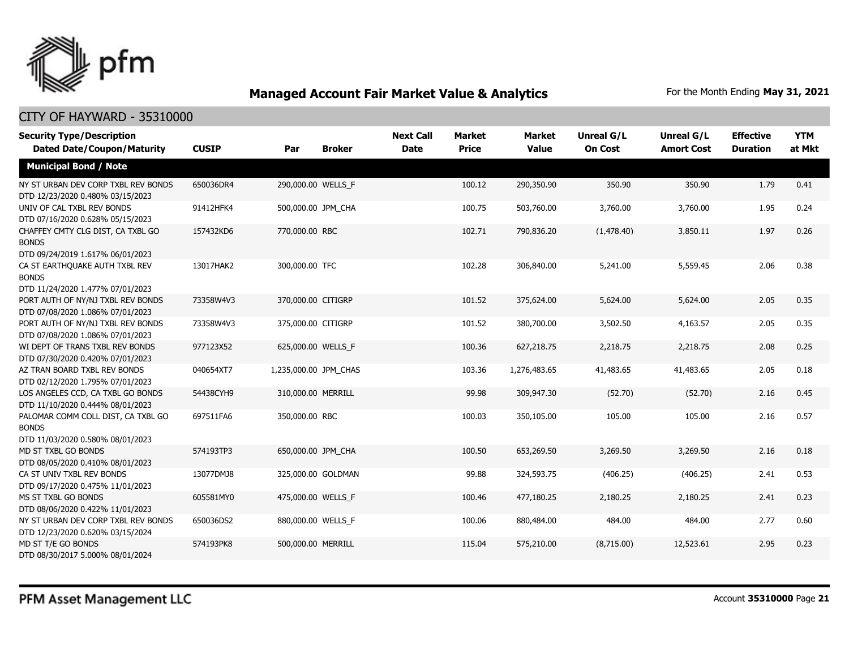

| <b>Security Type/Description</b><br><b>Dated Date/Coupon/Maturity</b>                  | <b>CUSIP</b> | Par                   | <b>Broker</b> | <b>Next Call</b><br><b>Date</b> | <b>Market</b><br><b>Price</b> | <b>Market</b><br><b>Value</b> | <b>Unreal G/L</b><br><b>On Cost</b> | <b>Unreal G/L</b><br><b>Amort Cost</b> | <b>Effective</b><br><b>Duration</b> | <b>YTM</b><br>at Mkt |
|----------------------------------------------------------------------------------------|--------------|-----------------------|---------------|---------------------------------|-------------------------------|-------------------------------|-------------------------------------|----------------------------------------|-------------------------------------|----------------------|
| <b>Municipal Bond / Note</b>                                                           |              |                       |               |                                 |                               |                               |                                     |                                        |                                     |                      |
| NY ST URBAN DEV CORP TXBL REV BONDS<br>DTD 12/23/2020 0.480% 03/15/2023                | 650036DR4    | 290,000.00 WELLS_F    |               |                                 | 100.12                        | 290,350.90                    | 350.90                              | 350.90                                 | 1.79                                | 0.41                 |
| UNIV OF CAL TXBL REV BONDS<br>DTD 07/16/2020 0.628% 05/15/2023                         | 91412HFK4    | 500,000.00 JPM CHA    |               |                                 | 100.75                        | 503,760.00                    | 3,760.00                            | 3,760.00                               | 1.95                                | 0.24                 |
| CHAFFEY CMTY CLG DIST, CA TXBL GO<br><b>BONDS</b><br>DTD 09/24/2019 1.617% 06/01/2023  | 157432KD6    | 770,000.00 RBC        |               |                                 | 102.71                        | 790,836.20                    | (1,478.40)                          | 3,850.11                               | 1.97                                | 0.26                 |
| CA ST EARTHQUAKE AUTH TXBL REV<br><b>BONDS</b><br>DTD 11/24/2020 1.477% 07/01/2023     | 13017HAK2    | 300,000.00 TFC        |               |                                 | 102.28                        | 306,840.00                    | 5,241.00                            | 5,559.45                               | 2.06                                | 0.38                 |
| PORT AUTH OF NY/NJ TXBL REV BONDS<br>DTD 07/08/2020 1.086% 07/01/2023                  | 73358W4V3    | 370,000.00 CITIGRP    |               |                                 | 101.52                        | 375,624.00                    | 5,624.00                            | 5,624.00                               | 2.05                                | 0.35                 |
| PORT AUTH OF NY/NJ TXBL REV BONDS<br>DTD 07/08/2020 1.086% 07/01/2023                  | 73358W4V3    | 375,000.00 CITIGRP    |               |                                 | 101.52                        | 380,700.00                    | 3,502.50                            | 4,163.57                               | 2.05                                | 0.35                 |
| WI DEPT OF TRANS TXBL REV BONDS<br>DTD 07/30/2020 0.420% 07/01/2023                    | 977123X52    | 625,000.00 WELLS F    |               |                                 | 100.36                        | 627,218.75                    | 2,218.75                            | 2,218.75                               | 2.08                                | 0.25                 |
| AZ TRAN BOARD TXBL REV BONDS<br>DTD 02/12/2020 1.795% 07/01/2023                       | 040654XT7    | 1,235,000.00 JPM_CHAS |               |                                 | 103.36                        | 1,276,483.65                  | 41,483.65                           | 41,483.65                              | 2.05                                | 0.18                 |
| LOS ANGELES CCD, CA TXBL GO BONDS<br>DTD 11/10/2020 0.444% 08/01/2023                  | 54438CYH9    | 310,000.00 MERRILL    |               |                                 | 99.98                         | 309,947.30                    | (52.70)                             | (52.70)                                | 2.16                                | 0.45                 |
| PALOMAR COMM COLL DIST, CA TXBL GO<br><b>BONDS</b><br>DTD 11/03/2020 0.580% 08/01/2023 | 697511FA6    | 350,000.00 RBC        |               |                                 | 100.03                        | 350,105.00                    | 105.00                              | 105.00                                 | 2.16                                | 0.57                 |
| MD ST TXBL GO BONDS<br>DTD 08/05/2020 0.410% 08/01/2023                                | 574193TP3    | 650,000.00 JPM_CHA    |               |                                 | 100.50                        | 653,269.50                    | 3,269.50                            | 3,269.50                               | 2.16                                | 0.18                 |
| CA ST UNIV TXBL REV BONDS<br>DTD 09/17/2020 0.475% 11/01/2023                          | 13077DMJ8    | 325,000.00 GOLDMAN    |               |                                 | 99.88                         | 324,593.75                    | (406.25)                            | (406.25)                               | 2.41                                | 0.53                 |
| MS ST TXBL GO BONDS<br>DTD 08/06/2020 0.422% 11/01/2023                                | 605581MY0    | 475,000.00 WELLS F    |               |                                 | 100.46                        | 477,180.25                    | 2,180.25                            | 2,180.25                               | 2.41                                | 0.23                 |
| NY ST URBAN DEV CORP TXBL REV BONDS<br>DTD 12/23/2020 0.620% 03/15/2024                | 650036DS2    | 880,000.00 WELLS_F    |               |                                 | 100.06                        | 880,484.00                    | 484.00                              | 484.00                                 | 2.77                                | 0.60                 |
| MD ST T/E GO BONDS<br>DTD 08/30/2017 5.000% 08/01/2024                                 | 574193PK8    | 500,000.00 MERRILL    |               |                                 | 115.04                        | 575,210.00                    | (8,715.00)                          | 12,523.61                              | 2.95                                | 0.23                 |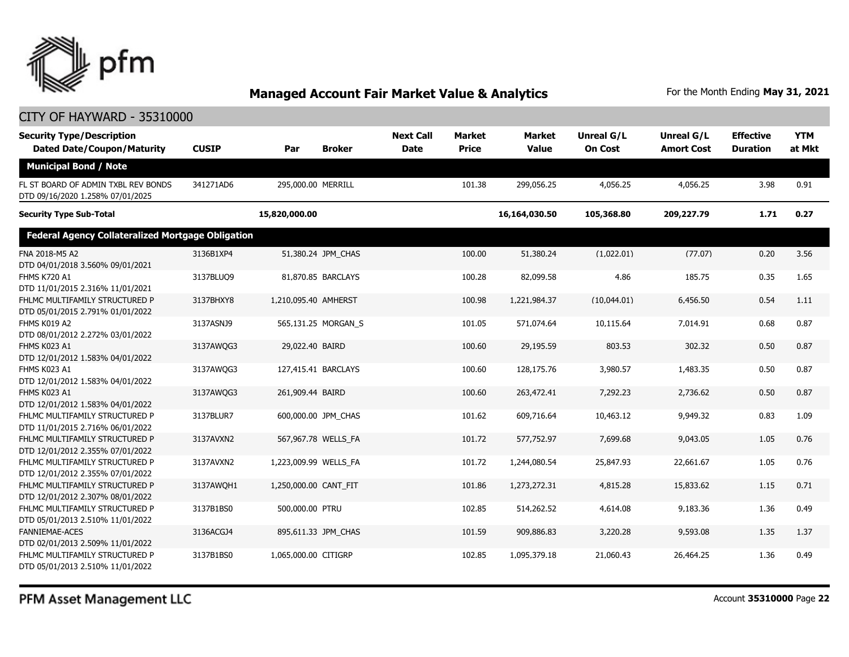

### CITY OF HAYWARD - 35310000

| <b>Security Type/Description</b><br><b>Dated Date/Coupon/Maturity</b>   | <b>CUSIP</b> | Par                   | <b>Broker</b>       | <b>Next Call</b><br><b>Date</b> | <b>Market</b><br><b>Price</b> | <b>Market</b><br><b>Value</b> | <b>Unreal G/L</b><br><b>On Cost</b> | Unreal G/L<br><b>Amort Cost</b> | <b>Effective</b><br><b>Duration</b> | <b>YTM</b><br>at Mkt |
|-------------------------------------------------------------------------|--------------|-----------------------|---------------------|---------------------------------|-------------------------------|-------------------------------|-------------------------------------|---------------------------------|-------------------------------------|----------------------|
| <b>Municipal Bond / Note</b>                                            |              |                       |                     |                                 |                               |                               |                                     |                                 |                                     |                      |
| FL ST BOARD OF ADMIN TXBL REV BONDS<br>DTD 09/16/2020 1.258% 07/01/2025 | 341271AD6    | 295,000.00 MERRILL    |                     |                                 | 101.38                        | 299,056.25                    | 4,056.25                            | 4,056.25                        | 3.98                                | 0.91                 |
| <b>Security Type Sub-Total</b>                                          |              | 15,820,000.00         |                     |                                 |                               | 16,164,030.50                 | 105,368.80                          | 209,227.79                      | 1.71                                | 0.27                 |
| <b>Federal Agency Collateralized Mortgage Obligation</b>                |              |                       |                     |                                 |                               |                               |                                     |                                 |                                     |                      |
| FNA 2018-M5 A2<br>DTD 04/01/2018 3.560% 09/01/2021                      | 3136B1XP4    |                       | 51,380.24 JPM CHAS  |                                 | 100.00                        | 51,380.24                     | (1,022.01)                          | (77.07)                         | 0.20                                | 3.56                 |
| <b>FHMS K720 A1</b><br>DTD 11/01/2015 2.316% 11/01/2021                 | 3137BLUQ9    | 81,870.85 BARCLAYS    |                     |                                 | 100.28                        | 82,099.58                     | 4.86                                | 185.75                          | 0.35                                | 1.65                 |
| FHLMC MULTIFAMILY STRUCTURED P<br>DTD 05/01/2015 2.791% 01/01/2022      | 3137BHXY8    | 1,210,095.40 AMHERST  |                     |                                 | 100.98                        | 1,221,984.37                  | (10,044.01)                         | 6,456.50                        | 0.54                                | 1.11                 |
| FHMS K019 A2<br>DTD 08/01/2012 2.272% 03/01/2022                        | 3137ASNJ9    |                       | 565,131.25 MORGAN S |                                 | 101.05                        | 571.074.64                    | 10,115.64                           | 7.014.91                        | 0.68                                | 0.87                 |
| FHMS K023 A1<br>DTD 12/01/2012 1.583% 04/01/2022                        | 3137AWQG3    | 29,022.40 BAIRD       |                     |                                 | 100.60                        | 29,195.59                     | 803.53                              | 302.32                          | 0.50                                | 0.87                 |
| FHMS K023 A1<br>DTD 12/01/2012 1.583% 04/01/2022                        | 3137AWQG3    | 127,415.41 BARCLAYS   |                     |                                 | 100.60                        | 128,175.76                    | 3,980.57                            | 1,483.35                        | 0.50                                | 0.87                 |
| FHMS K023 A1<br>DTD 12/01/2012 1.583% 04/01/2022                        | 3137AWQG3    | 261,909.44 BAIRD      |                     |                                 | 100.60                        | 263,472.41                    | 7,292.23                            | 2,736.62                        | 0.50                                | 0.87                 |
| FHLMC MULTIFAMILY STRUCTURED P<br>DTD 11/01/2015 2.716% 06/01/2022      | 3137BLUR7    | 600,000.00 JPM CHAS   |                     |                                 | 101.62                        | 609,716.64                    | 10,463.12                           | 9,949.32                        | 0.83                                | 1.09                 |
| FHLMC MULTIFAMILY STRUCTURED P<br>DTD 12/01/2012 2.355% 07/01/2022      | 3137AVXN2    | 567,967.78 WELLS_FA   |                     |                                 | 101.72                        | 577,752.97                    | 7,699.68                            | 9,043.05                        | 1.05                                | 0.76                 |
| FHLMC MULTIFAMILY STRUCTURED P<br>DTD 12/01/2012 2.355% 07/01/2022      | 3137AVXN2    | 1,223,009.99 WELLS FA |                     |                                 | 101.72                        | 1,244,080.54                  | 25,847.93                           | 22,661.67                       | 1.05                                | 0.76                 |
| FHLMC MULTIFAMILY STRUCTURED P<br>DTD 12/01/2012 2.307% 08/01/2022      | 3137AWOH1    | 1,250,000.00 CANT FIT |                     |                                 | 101.86                        | 1,273,272.31                  | 4,815.28                            | 15,833.62                       | 1.15                                | 0.71                 |
| FHLMC MULTIFAMILY STRUCTURED P<br>DTD 05/01/2013 2.510% 11/01/2022      | 3137B1BS0    | 500,000.00 PTRU       |                     |                                 | 102.85                        | 514,262.52                    | 4,614.08                            | 9,183.36                        | 1.36                                | 0.49                 |
| <b>FANNIEMAE-ACES</b><br>DTD 02/01/2013 2.509% 11/01/2022               | 3136ACGJ4    | 895,611.33 JPM_CHAS   |                     |                                 | 101.59                        | 909,886.83                    | 3,220.28                            | 9,593.08                        | 1.35                                | 1.37                 |
| FHLMC MULTIFAMILY STRUCTURED P<br>DTD 05/01/2013 2.510% 11/01/2022      | 3137B1BS0    | 1,065,000.00 CITIGRP  |                     |                                 | 102.85                        | 1,095,379.18                  | 21,060.43                           | 26,464.25                       | 1.36                                | 0.49                 |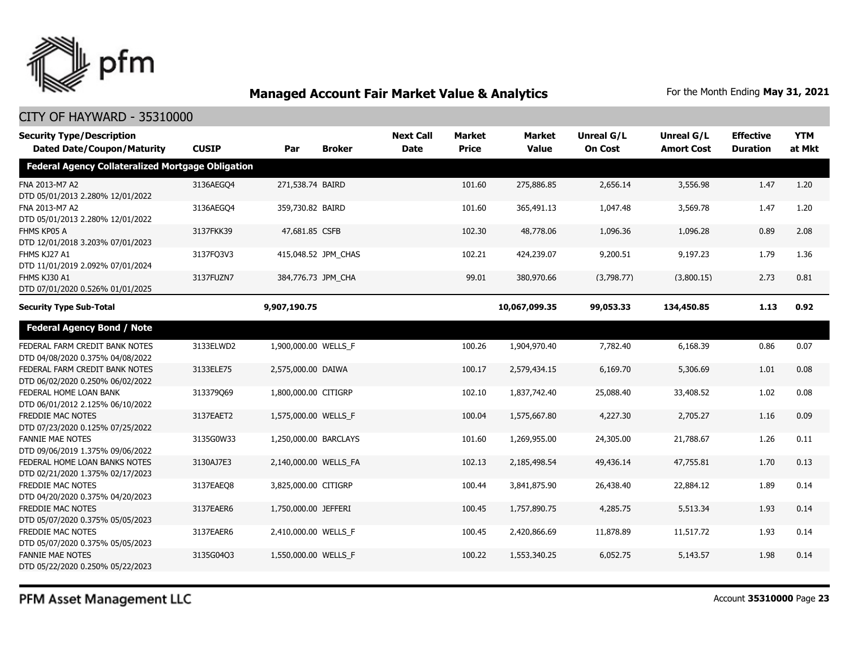

### CITY OF HAYWARD - 35310000

| <b>Security Type/Description</b><br><b>Dated Date/Coupon/Maturity</b> | <b>CUSIP</b> | Par                  | <b>Broker</b>         | <b>Next Call</b><br><b>Date</b> | <b>Market</b><br><b>Price</b> | <b>Market</b><br><b>Value</b> | <b>Unreal G/L</b><br><b>On Cost</b> | <b>Unreal G/L</b><br><b>Amort Cost</b> | <b>Effective</b><br><b>Duration</b> | <b>YTM</b><br>at Mkt |
|-----------------------------------------------------------------------|--------------|----------------------|-----------------------|---------------------------------|-------------------------------|-------------------------------|-------------------------------------|----------------------------------------|-------------------------------------|----------------------|
| <b>Federal Agency Collateralized Mortgage Obligation</b>              |              |                      |                       |                                 |                               |                               |                                     |                                        |                                     |                      |
| FNA 2013-M7 A2<br>DTD 05/01/2013 2.280% 12/01/2022                    | 3136AEGO4    | 271,538.74 BAIRD     |                       |                                 | 101.60                        | 275,886.85                    | 2,656.14                            | 3,556.98                               | 1.47                                | 1.20                 |
| FNA 2013-M7 A2<br>DTD 05/01/2013 2.280% 12/01/2022                    | 3136AEGO4    | 359,730.82 BAIRD     |                       |                                 | 101.60                        | 365,491.13                    | 1,047.48                            | 3,569.78                               | 1.47                                | 1.20                 |
| FHMS KP05 A<br>DTD 12/01/2018 3.203% 07/01/2023                       | 3137FKK39    | 47,681.85 CSFB       |                       |                                 | 102.30                        | 48,778.06                     | 1,096.36                            | 1,096.28                               | 0.89                                | 2.08                 |
| FHMS KJ27 A1<br>DTD 11/01/2019 2.092% 07/01/2024                      | 3137FQ3V3    |                      | 415,048.52 JPM_CHAS   |                                 | 102.21                        | 424,239.07                    | 9,200.51                            | 9,197.23                               | 1.79                                | 1.36                 |
| FHMS KJ30 A1<br>DTD 07/01/2020 0.526% 01/01/2025                      | 3137FUZN7    |                      | 384,776.73 JPM_CHA    |                                 | 99.01                         | 380,970.66                    | (3,798.77)                          | (3,800.15)                             | 2.73                                | 0.81                 |
| <b>Security Type Sub-Total</b>                                        |              | 9,907,190.75         |                       |                                 |                               | 10,067,099.35                 | 99,053.33                           | 134,450.85                             | 1.13                                | 0.92                 |
| <b>Federal Agency Bond / Note</b>                                     |              |                      |                       |                                 |                               |                               |                                     |                                        |                                     |                      |
| FEDERAL FARM CREDIT BANK NOTES<br>DTD 04/08/2020 0.375% 04/08/2022    | 3133ELWD2    | 1,900,000.00 WELLS F |                       |                                 | 100.26                        | 1,904,970.40                  | 7,782.40                            | 6,168.39                               | 0.86                                | 0.07                 |
| FEDERAL FARM CREDIT BANK NOTES<br>DTD 06/02/2020 0.250% 06/02/2022    | 3133ELE75    | 2,575,000.00 DAIWA   |                       |                                 | 100.17                        | 2,579,434.15                  | 6,169.70                            | 5,306.69                               | 1.01                                | 0.08                 |
| FEDERAL HOME LOAN BANK<br>DTD 06/01/2012 2.125% 06/10/2022            | 313379069    | 1,800,000.00 CITIGRP |                       |                                 | 102.10                        | 1,837,742.40                  | 25,088.40                           | 33,408.52                              | 1.02                                | 0.08                 |
| <b>FREDDIE MAC NOTES</b><br>DTD 07/23/2020 0.125% 07/25/2022          | 3137EAET2    | 1,575,000.00 WELLS_F |                       |                                 | 100.04                        | 1,575,667.80                  | 4,227.30                            | 2,705.27                               | 1.16                                | 0.09                 |
| <b>FANNIE MAE NOTES</b><br>DTD 09/06/2019 1.375% 09/06/2022           | 3135G0W33    |                      | 1,250,000.00 BARCLAYS |                                 | 101.60                        | 1,269,955.00                  | 24,305.00                           | 21,788.67                              | 1.26                                | 0.11                 |
| FEDERAL HOME LOAN BANKS NOTES<br>DTD 02/21/2020 1.375% 02/17/2023     | 3130AJ7E3    |                      | 2,140,000.00 WELLS_FA |                                 | 102.13                        | 2,185,498.54                  | 49,436.14                           | 47,755.81                              | 1.70                                | 0.13                 |
| FREDDIE MAC NOTES<br>DTD 04/20/2020 0.375% 04/20/2023                 | 3137EAEO8    | 3,825,000.00 CITIGRP |                       |                                 | 100.44                        | 3,841,875.90                  | 26,438.40                           | 22,884.12                              | 1.89                                | 0.14                 |
| <b>FREDDIE MAC NOTES</b><br>DTD 05/07/2020 0.375% 05/05/2023          | 3137EAER6    | 1,750,000.00 JEFFERI |                       |                                 | 100.45                        | 1,757,890.75                  | 4,285.75                            | 5,513.34                               | 1.93                                | 0.14                 |
| FREDDIE MAC NOTES<br>DTD 05/07/2020 0.375% 05/05/2023                 | 3137EAER6    | 2,410,000.00 WELLS_F |                       |                                 | 100.45                        | 2,420,866.69                  | 11,878.89                           | 11,517.72                              | 1.93                                | 0.14                 |
| <b>FANNIE MAE NOTES</b><br>DTD 05/22/2020 0.250% 05/22/2023           | 3135G04O3    | 1,550,000.00 WELLS F |                       |                                 | 100.22                        | 1,553,340.25                  | 6,052.75                            | 5,143.57                               | 1.98                                | 0.14                 |

PFM Asset Management LLC

Account **35310000** Page **23**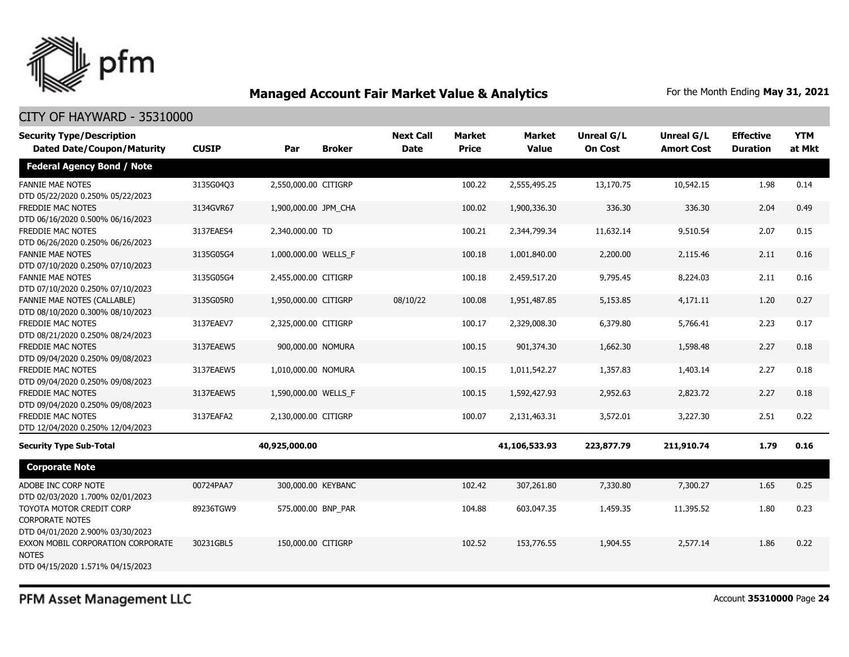

### CITY OF HAYWARD - 35310000

| <b>Security Type/Description</b><br><b>Dated Date/Coupon/Maturity</b>                  | <b>CUSIP</b> | Par                  | <b>Broker</b> | <b>Next Call</b><br><b>Date</b> | <b>Market</b><br><b>Price</b> | Market<br><b>Value</b> | <b>Unreal G/L</b><br><b>On Cost</b> | Unreal G/L<br><b>Amort Cost</b> | <b>Effective</b><br><b>Duration</b> | <b>YTM</b><br>at Mkt |
|----------------------------------------------------------------------------------------|--------------|----------------------|---------------|---------------------------------|-------------------------------|------------------------|-------------------------------------|---------------------------------|-------------------------------------|----------------------|
| <b>Federal Agency Bond / Note</b>                                                      |              |                      |               |                                 |                               |                        |                                     |                                 |                                     |                      |
| <b>FANNIE MAE NOTES</b><br>DTD 05/22/2020 0.250% 05/22/2023                            | 3135G04Q3    | 2,550,000.00 CITIGRP |               |                                 | 100.22                        | 2,555,495.25           | 13,170.75                           | 10,542.15                       | 1.98                                | 0.14                 |
| <b>FREDDIE MAC NOTES</b><br>DTD 06/16/2020 0.500% 06/16/2023                           | 3134GVR67    | 1,900,000.00 JPM_CHA |               |                                 | 100.02                        | 1,900,336.30           | 336.30                              | 336.30                          | 2.04                                | 0.49                 |
| FREDDIE MAC NOTES<br>DTD 06/26/2020 0.250% 06/26/2023                                  | 3137EAES4    | 2,340,000.00 TD      |               |                                 | 100.21                        | 2,344,799.34           | 11,632.14                           | 9,510.54                        | 2.07                                | 0.15                 |
| <b>FANNIE MAE NOTES</b><br>DTD 07/10/2020 0.250% 07/10/2023                            | 3135G05G4    | 1,000,000.00 WELLS_F |               |                                 | 100.18                        | 1,001,840.00           | 2,200.00                            | 2,115.46                        | 2.11                                | 0.16                 |
| <b>FANNIE MAE NOTES</b><br>DTD 07/10/2020 0.250% 07/10/2023                            | 3135G05G4    | 2,455,000.00 CITIGRP |               |                                 | 100.18                        | 2,459,517.20           | 9,795.45                            | 8,224.03                        | 2.11                                | 0.16                 |
| FANNIE MAE NOTES (CALLABLE)<br>DTD 08/10/2020 0.300% 08/10/2023                        | 3135G05R0    | 1,950,000.00 CITIGRP |               | 08/10/22                        | 100.08                        | 1,951,487.85           | 5,153.85                            | 4,171.11                        | 1.20                                | 0.27                 |
| FREDDIE MAC NOTES<br>DTD 08/21/2020 0.250% 08/24/2023                                  | 3137EAEV7    | 2,325,000.00 CITIGRP |               |                                 | 100.17                        | 2,329,008.30           | 6,379.80                            | 5,766.41                        | 2.23                                | 0.17                 |
| <b>FREDDIE MAC NOTES</b><br>DTD 09/04/2020 0.250% 09/08/2023                           | 3137EAEW5    | 900,000.00 NOMURA    |               |                                 | 100.15                        | 901,374.30             | 1,662.30                            | 1,598.48                        | 2.27                                | 0.18                 |
| FREDDIE MAC NOTES<br>DTD 09/04/2020 0.250% 09/08/2023                                  | 3137EAEW5    | 1,010,000.00 NOMURA  |               |                                 | 100.15                        | 1,011,542.27           | 1,357.83                            | 1,403.14                        | 2.27                                | 0.18                 |
| FREDDIE MAC NOTES<br>DTD 09/04/2020 0.250% 09/08/2023                                  | 3137EAEW5    | 1,590,000.00 WELLS_F |               |                                 | 100.15                        | 1,592,427.93           | 2,952.63                            | 2,823.72                        | 2.27                                | 0.18                 |
| FREDDIE MAC NOTES<br>DTD 12/04/2020 0.250% 12/04/2023                                  | 3137EAFA2    | 2,130,000.00 CITIGRP |               |                                 | 100.07                        | 2,131,463.31           | 3,572.01                            | 3,227.30                        | 2.51                                | 0.22                 |
| <b>Security Type Sub-Total</b>                                                         |              | 40,925,000.00        |               |                                 |                               | 41,106,533.93          | 223,877.79                          | 211,910.74                      | 1.79                                | 0.16                 |
| <b>Corporate Note</b>                                                                  |              |                      |               |                                 |                               |                        |                                     |                                 |                                     |                      |
| ADOBE INC CORP NOTE<br>DTD 02/03/2020 1.700% 02/01/2023                                | 00724PAA7    | 300,000.00 KEYBANC   |               |                                 | 102.42                        | 307,261.80             | 7,330.80                            | 7,300.27                        | 1.65                                | 0.25                 |
| TOYOTA MOTOR CREDIT CORP<br><b>CORPORATE NOTES</b><br>DTD 04/01/2020 2.900% 03/30/2023 | 89236TGW9    | 575,000.00 BNP_PAR   |               |                                 | 104.88                        | 603,047.35             | 1,459.35                            | 11,395.52                       | 1.80                                | 0.23                 |
| EXXON MOBIL CORPORATION CORPORATE<br><b>NOTES</b><br>DTD 04/15/2020 1.571% 04/15/2023  | 30231GBL5    | 150,000.00 CITIGRP   |               |                                 | 102.52                        | 153,776.55             | 1,904.55                            | 2,577.14                        | 1.86                                | 0.22                 |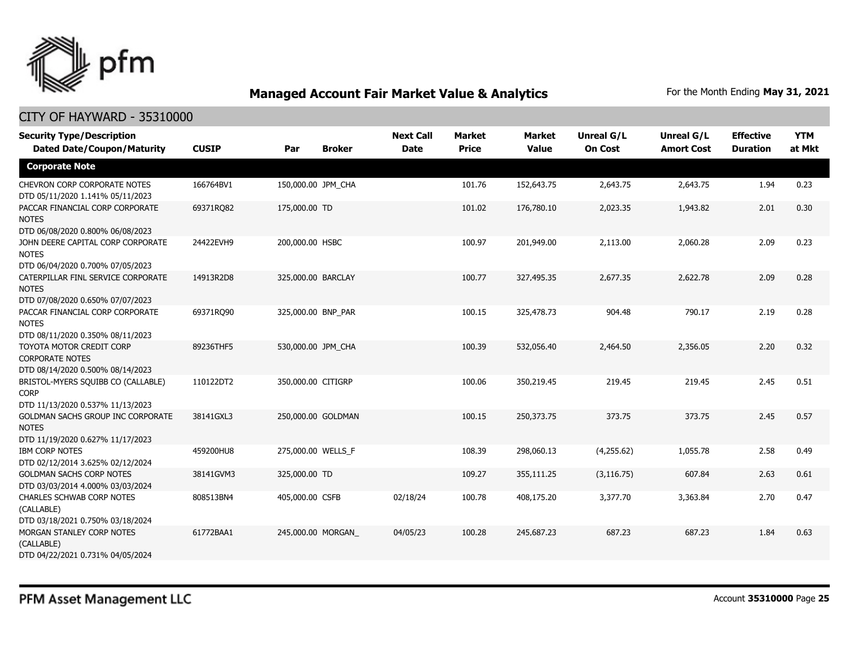

| <b>Security Type/Description</b>                                                             |              |                    |                    | <b>Next Call</b> | <b>Market</b> | <b>Market</b> | <b>Unreal G/L</b> | Unreal G/L        | <b>Effective</b> | <b>YTM</b> |
|----------------------------------------------------------------------------------------------|--------------|--------------------|--------------------|------------------|---------------|---------------|-------------------|-------------------|------------------|------------|
| <b>Dated Date/Coupon/Maturity</b>                                                            | <b>CUSIP</b> | Par                | <b>Broker</b>      | <b>Date</b>      | <b>Price</b>  | <b>Value</b>  | <b>On Cost</b>    | <b>Amort Cost</b> | <b>Duration</b>  | at Mkt     |
| <b>Corporate Note</b>                                                                        |              |                    |                    |                  |               |               |                   |                   |                  |            |
| CHEVRON CORP CORPORATE NOTES<br>DTD 05/11/2020 1.141% 05/11/2023                             | 166764BV1    | 150,000.00 JPM_CHA |                    |                  | 101.76        | 152,643.75    | 2,643.75          | 2,643.75          | 1.94             | 0.23       |
| PACCAR FINANCIAL CORP CORPORATE<br><b>NOTES</b><br>DTD 06/08/2020 0.800% 06/08/2023          | 69371RQ82    | 175,000.00 TD      |                    |                  | 101.02        | 176,780.10    | 2,023.35          | 1,943.82          | 2.01             | 0.30       |
| JOHN DEERE CAPITAL CORP CORPORATE<br><b>NOTES</b><br>DTD 06/04/2020 0.700% 07/05/2023        | 24422EVH9    | 200,000.00 HSBC    |                    |                  | 100.97        | 201,949.00    | 2,113.00          | 2,060.28          | 2.09             | 0.23       |
| CATERPILLAR FINL SERVICE CORPORATE<br><b>NOTES</b><br>DTD 07/08/2020 0.650% 07/07/2023       | 14913R2D8    | 325,000.00 BARCLAY |                    |                  | 100.77        | 327,495.35    | 2,677.35          | 2,622.78          | 2.09             | 0.28       |
| PACCAR FINANCIAL CORP CORPORATE<br><b>NOTES</b><br>DTD 08/11/2020 0.350% 08/11/2023          | 69371RO90    | 325,000.00 BNP PAR |                    |                  | 100.15        | 325,478.73    | 904.48            | 790.17            | 2.19             | 0.28       |
| TOYOTA MOTOR CREDIT CORP<br><b>CORPORATE NOTES</b><br>DTD 08/14/2020 0.500% 08/14/2023       | 89236THF5    | 530,000.00 JPM_CHA |                    |                  | 100.39        | 532,056.40    | 2,464.50          | 2,356.05          | 2.20             | 0.32       |
| BRISTOL-MYERS SQUIBB CO (CALLABLE)<br><b>CORP</b><br>DTD 11/13/2020 0.537% 11/13/2023        | 110122DT2    | 350,000.00 CITIGRP |                    |                  | 100.06        | 350,219.45    | 219.45            | 219.45            | 2.45             | 0.51       |
| <b>GOLDMAN SACHS GROUP INC CORPORATE</b><br><b>NOTES</b><br>DTD 11/19/2020 0.627% 11/17/2023 | 38141GXL3    |                    | 250,000.00 GOLDMAN |                  | 100.15        | 250,373,75    | 373.75            | 373.75            | 2.45             | 0.57       |
| <b>IBM CORP NOTES</b><br>DTD 02/12/2014 3.625% 02/12/2024                                    | 459200HU8    | 275,000.00 WELLS_F |                    |                  | 108.39        | 298,060.13    | (4,255.62)        | 1,055.78          | 2.58             | 0.49       |
| <b>GOLDMAN SACHS CORP NOTES</b><br>DTD 03/03/2014 4.000% 03/03/2024                          | 38141GVM3    | 325,000.00 TD      |                    |                  | 109.27        | 355,111.25    | (3, 116.75)       | 607.84            | 2.63             | 0.61       |
| <b>CHARLES SCHWAB CORP NOTES</b><br>(CALLABLE)<br>DTD 03/18/2021 0.750% 03/18/2024           | 808513BN4    | 405,000.00 CSFB    |                    | 02/18/24         | 100.78        | 408,175.20    | 3,377.70          | 3,363.84          | 2.70             | 0.47       |
| MORGAN STANLEY CORP NOTES<br>(CALLABLE)<br>DTD 04/22/2021 0.731% 04/05/2024                  | 61772BAA1    |                    | 245,000.00 MORGAN  | 04/05/23         | 100.28        | 245,687.23    | 687.23            | 687.23            | 1.84             | 0.63       |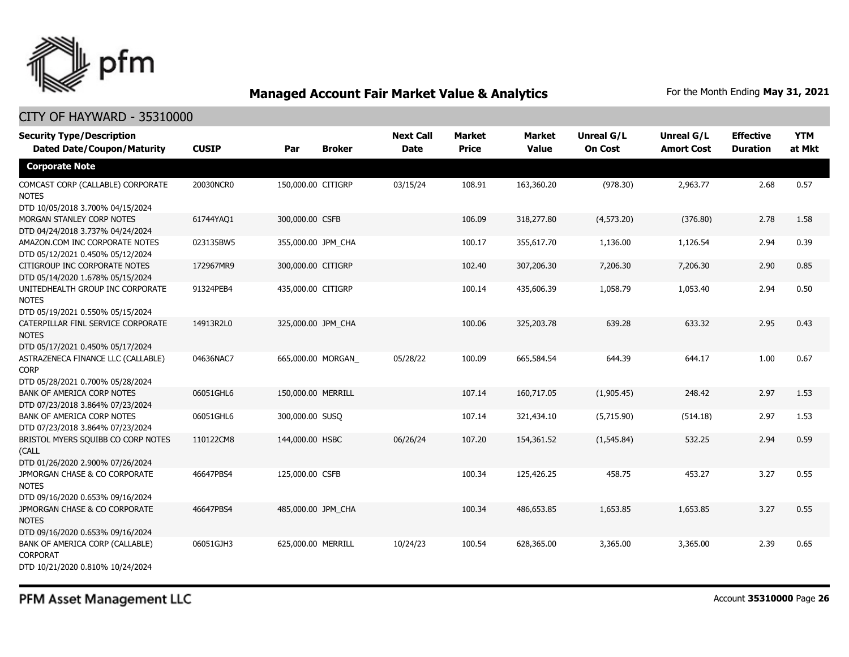

### CITY OF HAYWARD - 35310000

| <b>Security Type/Description</b><br><b>Dated Date/Coupon/Maturity</b>                  | <b>CUSIP</b> | Par                | <b>Broker</b>     | <b>Next Call</b><br><b>Date</b> | <b>Market</b><br><b>Price</b> | <b>Market</b><br><b>Value</b> | <b>Unreal G/L</b><br><b>On Cost</b> | <b>Unreal G/L</b><br><b>Amort Cost</b> | <b>Effective</b><br><b>Duration</b> | <b>YTM</b><br>at Mkt |
|----------------------------------------------------------------------------------------|--------------|--------------------|-------------------|---------------------------------|-------------------------------|-------------------------------|-------------------------------------|----------------------------------------|-------------------------------------|----------------------|
| <b>Corporate Note</b>                                                                  |              |                    |                   |                                 |                               |                               |                                     |                                        |                                     |                      |
| COMCAST CORP (CALLABLE) CORPORATE<br><b>NOTES</b><br>DTD 10/05/2018 3.700% 04/15/2024  | 20030NCR0    | 150,000.00 CITIGRP |                   | 03/15/24                        | 108.91                        | 163,360.20                    | (978.30)                            | 2,963.77                               | 2.68                                | 0.57                 |
| MORGAN STANLEY CORP NOTES<br>DTD 04/24/2018 3.737% 04/24/2024                          | 61744YAQ1    | 300,000.00 CSFB    |                   |                                 | 106.09                        | 318,277.80                    | (4,573.20)                          | (376.80)                               | 2.78                                | 1.58                 |
| AMAZON.COM INC CORPORATE NOTES<br>DTD 05/12/2021 0.450% 05/12/2024                     | 023135BW5    | 355,000.00 JPM_CHA |                   |                                 | 100.17                        | 355,617.70                    | 1,136.00                            | 1,126.54                               | 2.94                                | 0.39                 |
| CITIGROUP INC CORPORATE NOTES<br>DTD 05/14/2020 1.678% 05/15/2024                      | 172967MR9    | 300,000.00 CITIGRP |                   |                                 | 102.40                        | 307,206.30                    | 7,206.30                            | 7,206.30                               | 2.90                                | 0.85                 |
| UNITEDHEALTH GROUP INC CORPORATE<br><b>NOTES</b><br>DTD 05/19/2021 0.550% 05/15/2024   | 91324PEB4    | 435,000.00 CITIGRP |                   |                                 | 100.14                        | 435,606.39                    | 1,058.79                            | 1,053.40                               | 2.94                                | 0.50                 |
| CATERPILLAR FINL SERVICE CORPORATE<br><b>NOTES</b><br>DTD 05/17/2021 0.450% 05/17/2024 | 14913R2L0    | 325,000.00 JPM_CHA |                   |                                 | 100.06                        | 325,203.78                    | 639.28                              | 633.32                                 | 2.95                                | 0.43                 |
| ASTRAZENECA FINANCE LLC (CALLABLE)<br><b>CORP</b><br>DTD 05/28/2021 0.700% 05/28/2024  | 04636NAC7    |                    | 665,000.00 MORGAN | 05/28/22                        | 100.09                        | 665,584.54                    | 644.39                              | 644.17                                 | 1.00                                | 0.67                 |
| <b>BANK OF AMERICA CORP NOTES</b><br>DTD 07/23/2018 3.864% 07/23/2024                  | 06051GHL6    | 150,000.00 MERRILL |                   |                                 | 107.14                        | 160,717.05                    | (1,905.45)                          | 248.42                                 | 2.97                                | 1.53                 |
| BANK OF AMERICA CORP NOTES<br>DTD 07/23/2018 3.864% 07/23/2024                         | 06051GHL6    | 300,000.00 SUSQ    |                   |                                 | 107.14                        | 321,434.10                    | (5,715.90)                          | (514.18)                               | 2.97                                | 1.53                 |
| BRISTOL MYERS SQUIBB CO CORP NOTES<br>(CALL<br>DTD 01/26/2020 2.900% 07/26/2024        | 110122CM8    | 144,000.00 HSBC    |                   | 06/26/24                        | 107.20                        | 154,361.52                    | (1, 545.84)                         | 532.25                                 | 2.94                                | 0.59                 |
| JPMORGAN CHASE & CO CORPORATE<br><b>NOTES</b><br>DTD 09/16/2020 0.653% 09/16/2024      | 46647PBS4    | 125,000.00 CSFB    |                   |                                 | 100.34                        | 125,426.25                    | 458.75                              | 453.27                                 | 3.27                                | 0.55                 |
| JPMORGAN CHASE & CO CORPORATE<br><b>NOTES</b><br>DTD 09/16/2020 0.653% 09/16/2024      | 46647PBS4    | 485,000.00 JPM CHA |                   |                                 | 100.34                        | 486,653.85                    | 1,653.85                            | 1,653.85                               | 3.27                                | 0.55                 |
| BANK OF AMERICA CORP (CALLABLE)<br><b>CORPORAT</b><br>DTD 10/21/2020 0.810% 10/24/2024 | 06051GJH3    | 625,000.00 MERRILL |                   | 10/24/23                        | 100.54                        | 628,365.00                    | 3,365.00                            | 3,365.00                               | 2.39                                | 0.65                 |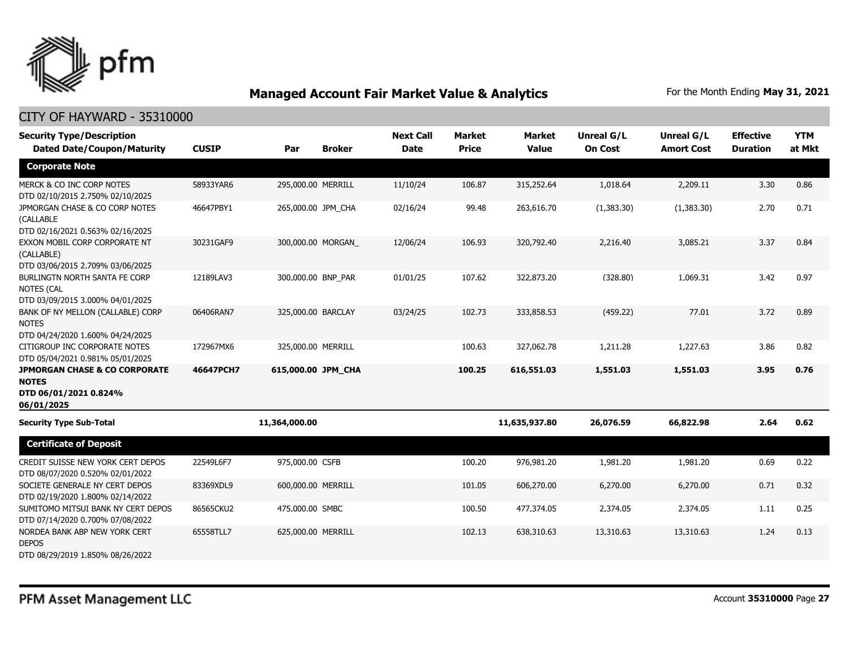

| <b>Security Type/Description</b><br><b>Dated Date/Coupon/Maturity</b>                           | <b>CUSIP</b> | Par                | <b>Broker</b> | <b>Next Call</b><br><b>Date</b> | <b>Market</b><br><b>Price</b> | <b>Market</b><br><b>Value</b> | <b>Unreal G/L</b><br><b>On Cost</b> | <b>Unreal G/L</b><br><b>Amort Cost</b> | <b>Effective</b><br><b>Duration</b> | <b>YTM</b><br>at Mkt |
|-------------------------------------------------------------------------------------------------|--------------|--------------------|---------------|---------------------------------|-------------------------------|-------------------------------|-------------------------------------|----------------------------------------|-------------------------------------|----------------------|
| <b>Corporate Note</b>                                                                           |              |                    |               |                                 |                               |                               |                                     |                                        |                                     |                      |
| MERCK & CO INC CORP NOTES<br>DTD 02/10/2015 2.750% 02/10/2025                                   | 58933YAR6    | 295,000.00 MERRILL |               | 11/10/24                        | 106.87                        | 315,252.64                    | 1,018.64                            | 2,209.11                               | 3.30                                | 0.86                 |
| JPMORGAN CHASE & CO CORP NOTES<br>(CALLABLE<br>DTD 02/16/2021 0.563% 02/16/2025                 | 46647PBY1    | 265,000.00 JPM CHA |               | 02/16/24                        | 99.48                         | 263,616.70                    | (1,383.30)                          | (1,383.30)                             | 2.70                                | 0.71                 |
| EXXON MOBIL CORP CORPORATE NT<br>(CALLABLE)<br>DTD 03/06/2015 2.709% 03/06/2025                 | 30231GAF9    | 300,000.00 MORGAN  |               | 12/06/24                        | 106.93                        | 320,792.40                    | 2,216.40                            | 3,085.21                               | 3.37                                | 0.84                 |
| BURLINGTN NORTH SANTA FE CORP<br><b>NOTES (CAL</b><br>DTD 03/09/2015 3.000% 04/01/2025          | 12189LAV3    | 300,000.00 BNP_PAR |               | 01/01/25                        | 107.62                        | 322,873.20                    | (328.80)                            | 1,069.31                               | 3.42                                | 0.97                 |
| BANK OF NY MELLON (CALLABLE) CORP<br><b>NOTES</b><br>DTD 04/24/2020 1.600% 04/24/2025           | 06406RAN7    | 325,000.00 BARCLAY |               | 03/24/25                        | 102.73                        | 333,858.53                    | (459.22)                            | 77.01                                  | 3.72                                | 0.89                 |
| CITIGROUP INC CORPORATE NOTES<br>DTD 05/04/2021 0.981% 05/01/2025                               | 172967MX6    | 325,000.00 MERRILL |               |                                 | 100.63                        | 327,062.78                    | 1,211.28                            | 1,227.63                               | 3.86                                | 0.82                 |
| <b>JPMORGAN CHASE &amp; CO CORPORATE</b><br><b>NOTES</b><br>DTD 06/01/2021 0.824%<br>06/01/2025 | 46647PCH7    | 615,000.00 JPM_CHA |               |                                 | 100.25                        | 616,551.03                    | 1,551.03                            | 1,551.03                               | 3.95                                | 0.76                 |
| <b>Security Type Sub-Total</b>                                                                  |              | 11,364,000.00      |               |                                 |                               | 11,635,937.80                 | 26,076.59                           | 66,822.98                              | 2.64                                | 0.62                 |
| <b>Certificate of Deposit</b>                                                                   |              |                    |               |                                 |                               |                               |                                     |                                        |                                     |                      |
| CREDIT SUISSE NEW YORK CERT DEPOS<br>DTD 08/07/2020 0.520% 02/01/2022                           | 22549L6F7    | 975,000.00 CSFB    |               |                                 | 100.20                        | 976,981.20                    | 1,981.20                            | 1,981.20                               | 0.69                                | 0.22                 |
| SOCIETE GENERALE NY CERT DEPOS<br>DTD 02/19/2020 1.800% 02/14/2022                              | 83369XDL9    | 600,000.00 MERRILL |               |                                 | 101.05                        | 606,270.00                    | 6,270.00                            | 6,270.00                               | 0.71                                | 0.32                 |
| SUMITOMO MITSUI BANK NY CERT DEPOS<br>DTD 07/14/2020 0.700% 07/08/2022                          | 86565CKU2    | 475,000.00 SMBC    |               |                                 | 100.50                        | 477,374.05                    | 2,374.05                            | 2,374.05                               | 1.11                                | 0.25                 |
| NORDEA BANK ABP NEW YORK CERT<br><b>DEPOS</b><br>DTD 08/29/2019 1.850% 08/26/2022               | 65558TLL7    | 625,000.00 MERRILL |               |                                 | 102.13                        | 638,310.63                    | 13,310.63                           | 13,310.63                              | 1.24                                | 0.13                 |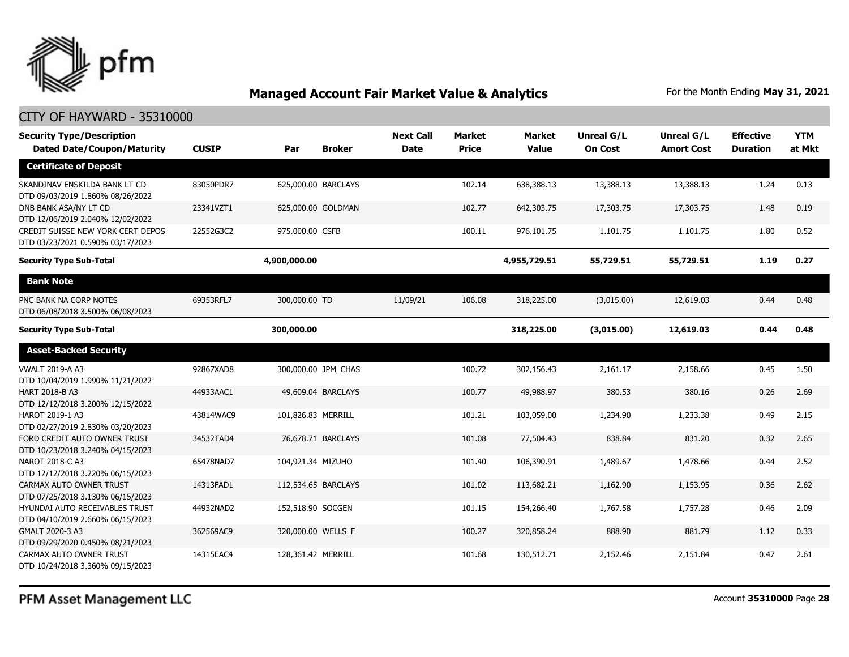

| <b>Security Type/Description</b><br><b>Dated Date/Coupon/Maturity</b> | <b>CUSIP</b> | Par                | <b>Broker</b>       | <b>Next Call</b><br><b>Date</b> | <b>Market</b><br><b>Price</b> | <b>Market</b><br><b>Value</b> | <b>Unreal G/L</b><br><b>On Cost</b> | Unreal G/L<br><b>Amort Cost</b> | <b>Effective</b><br><b>Duration</b> | <b>YTM</b><br>at Mkt |
|-----------------------------------------------------------------------|--------------|--------------------|---------------------|---------------------------------|-------------------------------|-------------------------------|-------------------------------------|---------------------------------|-------------------------------------|----------------------|
| <b>Certificate of Deposit</b>                                         |              |                    |                     |                                 |                               |                               |                                     |                                 |                                     |                      |
| SKANDINAV ENSKILDA BANK LT CD<br>DTD 09/03/2019 1.860% 08/26/2022     | 83050PDR7    |                    | 625,000.00 BARCLAYS |                                 | 102.14                        | 638,388.13                    | 13,388.13                           | 13,388.13                       | 1.24                                | 0.13                 |
| DNB BANK ASA/NY LT CD<br>DTD 12/06/2019 2.040% 12/02/2022             | 23341VZT1    |                    | 625,000.00 GOLDMAN  |                                 | 102.77                        | 642,303.75                    | 17,303.75                           | 17,303.75                       | 1.48                                | 0.19                 |
| CREDIT SUISSE NEW YORK CERT DEPOS<br>DTD 03/23/2021 0.590% 03/17/2023 | 22552G3C2    | 975,000.00 CSFB    |                     |                                 | 100.11                        | 976,101.75                    | 1,101.75                            | 1,101.75                        | 1.80                                | 0.52                 |
| <b>Security Type Sub-Total</b>                                        |              | 4,900,000.00       |                     |                                 |                               | 4,955,729.51                  | 55,729.51                           | 55,729.51                       | 1.19                                | 0.27                 |
| <b>Bank Note</b>                                                      |              |                    |                     |                                 |                               |                               |                                     |                                 |                                     |                      |
| PNC BANK NA CORP NOTES<br>DTD 06/08/2018 3.500% 06/08/2023            | 69353RFL7    | 300,000.00 TD      |                     | 11/09/21                        | 106.08                        | 318,225.00                    | (3,015.00)                          | 12,619.03                       | 0.44                                | 0.48                 |
| <b>Security Type Sub-Total</b>                                        |              | 300,000.00         |                     |                                 |                               | 318,225.00                    | (3,015.00)                          | 12,619.03                       | 0.44                                | 0.48                 |
| <b>Asset-Backed Security</b>                                          |              |                    |                     |                                 |                               |                               |                                     |                                 |                                     |                      |
| <b>VWALT 2019-A A3</b><br>DTD 10/04/2019 1.990% 11/21/2022            | 92867XAD8    |                    | 300,000.00 JPM CHAS |                                 | 100.72                        | 302,156.43                    | 2,161.17                            | 2,158.66                        | 0.45                                | 1.50                 |
| <b>HART 2018-B A3</b><br>DTD 12/12/2018 3.200% 12/15/2022             | 44933AAC1    |                    | 49,609.04 BARCLAYS  |                                 | 100.77                        | 49,988.97                     | 380.53                              | 380.16                          | 0.26                                | 2.69                 |
| HAROT 2019-1 A3<br>DTD 02/27/2019 2.830% 03/20/2023                   | 43814WAC9    | 101,826.83 MERRILL |                     |                                 | 101.21                        | 103,059.00                    | 1,234.90                            | 1,233.38                        | 0.49                                | 2.15                 |
| FORD CREDIT AUTO OWNER TRUST<br>DTD 10/23/2018 3.240% 04/15/2023      | 34532TAD4    |                    | 76,678.71 BARCLAYS  |                                 | 101.08                        | 77,504.43                     | 838.84                              | 831.20                          | 0.32                                | 2.65                 |
| NAROT 2018-C A3<br>DTD 12/12/2018 3.220% 06/15/2023                   | 65478NAD7    | 104,921.34 MIZUHO  |                     |                                 | 101.40                        | 106,390.91                    | 1,489.67                            | 1,478.66                        | 0.44                                | 2.52                 |
| CARMAX AUTO OWNER TRUST<br>DTD 07/25/2018 3.130% 06/15/2023           | 14313FAD1    |                    | 112,534.65 BARCLAYS |                                 | 101.02                        | 113,682.21                    | 1,162.90                            | 1,153.95                        | 0.36                                | 2.62                 |
| HYUNDAI AUTO RECEIVABLES TRUST<br>DTD 04/10/2019 2.660% 06/15/2023    | 44932NAD2    | 152,518.90 SOCGEN  |                     |                                 | 101.15                        | 154,266.40                    | 1,767.58                            | 1,757.28                        | 0.46                                | 2.09                 |
| GMALT 2020-3 A3<br>DTD 09/29/2020 0.450% 08/21/2023                   | 362569AC9    | 320,000.00 WELLS F |                     |                                 | 100.27                        | 320,858.24                    | 888.90                              | 881.79                          | 1.12                                | 0.33                 |
| CARMAX AUTO OWNER TRUST<br>DTD 10/24/2018 3.360% 09/15/2023           | 14315EAC4    | 128.361.42 MERRILL |                     |                                 | 101.68                        | 130,512.71                    | 2,152.46                            | 2,151.84                        | 0.47                                | 2.61                 |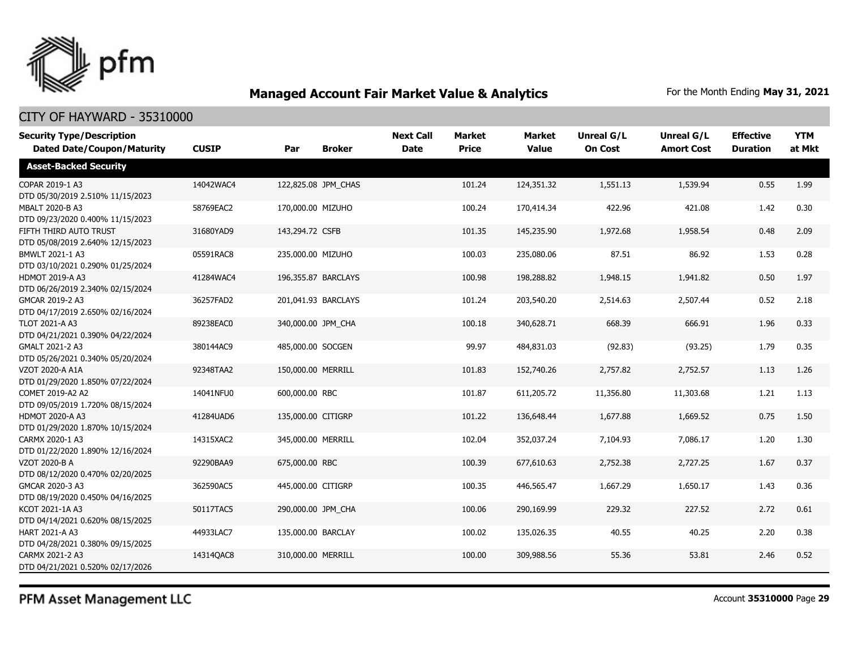

### CITY OF HAYWARD - 35310000

| <b>Security Type/Description</b><br><b>Dated Date/Coupon/Maturity</b> | <b>CUSIP</b> | Par                | <b>Broker</b>       | <b>Next Call</b><br><b>Date</b> | Market<br><b>Price</b> | <b>Market</b><br><b>Value</b> | <b>Unreal G/L</b><br><b>On Cost</b> | Unreal G/L<br><b>Amort Cost</b> | <b>Effective</b><br><b>Duration</b> | <b>YTM</b><br>at Mkt |
|-----------------------------------------------------------------------|--------------|--------------------|---------------------|---------------------------------|------------------------|-------------------------------|-------------------------------------|---------------------------------|-------------------------------------|----------------------|
| <b>Asset-Backed Security</b>                                          |              |                    |                     |                                 |                        |                               |                                     |                                 |                                     |                      |
| COPAR 2019-1 A3<br>DTD 05/30/2019 2.510% 11/15/2023                   | 14042WAC4    |                    | 122,825.08 JPM_CHAS |                                 | 101.24                 | 124,351.32                    | 1,551.13                            | 1,539.94                        | 0.55                                | 1.99                 |
| <b>MBALT 2020-B A3</b><br>DTD 09/23/2020 0.400% 11/15/2023            | 58769EAC2    | 170,000.00 MIZUHO  |                     |                                 | 100.24                 | 170,414.34                    | 422.96                              | 421.08                          | 1.42                                | 0.30                 |
| FIFTH THIRD AUTO TRUST<br>DTD 05/08/2019 2.640% 12/15/2023            | 31680YAD9    | 143,294.72 CSFB    |                     |                                 | 101.35                 | 145,235.90                    | 1,972.68                            | 1,958.54                        | 0.48                                | 2.09                 |
| BMWLT 2021-1 A3<br>DTD 03/10/2021 0.290% 01/25/2024                   | 05591RAC8    | 235,000.00 MIZUHO  |                     |                                 | 100.03                 | 235,080.06                    | 87.51                               | 86.92                           | 1.53                                | 0.28                 |
| <b>HDMOT 2019-A A3</b><br>DTD 06/26/2019 2.340% 02/15/2024            | 41284WAC4    |                    | 196,355.87 BARCLAYS |                                 | 100.98                 | 198,288.82                    | 1,948.15                            | 1,941.82                        | 0.50                                | 1.97                 |
| GMCAR 2019-2 A3<br>DTD 04/17/2019 2.650% 02/16/2024                   | 36257FAD2    |                    | 201,041.93 BARCLAYS |                                 | 101.24                 | 203,540.20                    | 2,514.63                            | 2,507.44                        | 0.52                                | 2.18                 |
| <b>TLOT 2021-A A3</b><br>DTD 04/21/2021 0.390% 04/22/2024             | 89238EAC0    |                    | 340,000.00 JPM CHA  |                                 | 100.18                 | 340,628.71                    | 668.39                              | 666.91                          | 1.96                                | 0.33                 |
| GMALT 2021-2 A3<br>DTD 05/26/2021 0.340% 05/20/2024                   | 380144AC9    | 485,000.00 SOCGEN  |                     |                                 | 99.97                  | 484,831.03                    | (92.83)                             | (93.25)                         | 1.79                                | 0.35                 |
| VZOT 2020-A A1A<br>DTD 01/29/2020 1.850% 07/22/2024                   | 92348TAA2    |                    | 150,000.00 MERRILL  |                                 | 101.83                 | 152,740.26                    | 2,757.82                            | 2,752.57                        | 1.13                                | 1.26                 |
| COMET 2019-A2 A2<br>DTD 09/05/2019 1.720% 08/15/2024                  | 14041NFU0    | 600,000.00 RBC     |                     |                                 | 101.87                 | 611,205.72                    | 11,356.80                           | 11,303.68                       | 1.21                                | 1.13                 |
| <b>HDMOT 2020-A A3</b><br>DTD 01/29/2020 1.870% 10/15/2024            | 41284UAD6    | 135,000.00 CITIGRP |                     |                                 | 101.22                 | 136,648,44                    | 1,677.88                            | 1,669.52                        | 0.75                                | 1.50                 |
| CARMX 2020-1 A3<br>DTD 01/22/2020 1.890% 12/16/2024                   | 14315XAC2    |                    | 345,000.00 MERRILL  |                                 | 102.04                 | 352,037.24                    | 7,104.93                            | 7,086.17                        | 1.20                                | 1.30                 |
| <b>VZOT 2020-B A</b><br>DTD 08/12/2020 0.470% 02/20/2025              | 92290BAA9    | 675,000.00 RBC     |                     |                                 | 100.39                 | 677,610.63                    | 2,752.38                            | 2,727.25                        | 1.67                                | 0.37                 |
| GMCAR 2020-3 A3<br>DTD 08/19/2020 0.450% 04/16/2025                   | 362590AC5    | 445,000.00 CITIGRP |                     |                                 | 100.35                 | 446,565.47                    | 1,667.29                            | 1,650.17                        | 1.43                                | 0.36                 |
| KCOT 2021-1A A3<br>DTD 04/14/2021 0.620% 08/15/2025                   | 50117TAC5    |                    | 290,000.00 JPM_CHA  |                                 | 100.06                 | 290,169.99                    | 229.32                              | 227.52                          | 2.72                                | 0.61                 |
| <b>HART 2021-A A3</b><br>DTD 04/28/2021 0.380% 09/15/2025             | 44933LAC7    |                    | 135,000.00 BARCLAY  |                                 | 100.02                 | 135,026.35                    | 40.55                               | 40.25                           | 2.20                                | 0.38                 |
| CARMX 2021-2 A3<br>DTD 04/21/2021 0.520% 02/17/2026                   | 14314QAC8    |                    | 310,000.00 MERRILL  |                                 | 100.00                 | 309,988.56                    | 55.36                               | 53.81                           | 2.46                                | 0.52                 |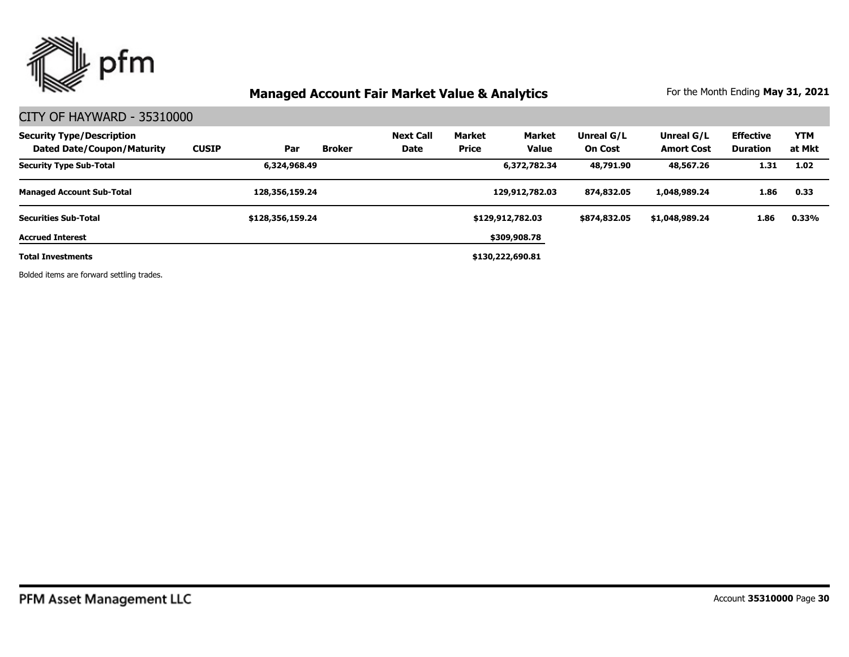

### CITY OF HAYWARD - 35310000

| <b>Security Type/Description</b><br>Dated Date/Coupon/Maturity | <b>CUSIP</b> | Par              | <b>Broker</b> | <b>Next Call</b><br>Date | <b>Market</b><br>Price | <b>Market</b><br><b>Value</b> | Unreal G/L<br><b>On Cost</b> | Unreal G/L<br><b>Amort Cost</b> | <b>Effective</b><br>Duration | <b>YTM</b><br>at Mkt |
|----------------------------------------------------------------|--------------|------------------|---------------|--------------------------|------------------------|-------------------------------|------------------------------|---------------------------------|------------------------------|----------------------|
| <b>Security Type Sub-Total</b>                                 |              | 6,324,968.49     |               |                          |                        | 6,372,782.34                  | 48,791.90                    | 48,567.26                       | 1.31                         | 1.02                 |
| <b>Managed Account Sub-Total</b>                               |              | 128,356,159.24   |               |                          |                        | 129,912,782.03                | 874,832.05                   | 1,048,989.24                    | 1.86                         | 0.33                 |
| <b>Securities Sub-Total</b>                                    |              | \$128,356,159.24 |               |                          |                        | \$129,912,782.03              | \$874,832.05                 | \$1,048,989.24                  | 1.86                         | 0.33%                |
| <b>Accrued Interest</b>                                        |              |                  |               |                          |                        | \$309,908.78                  |                              |                                 |                              |                      |
| <b>Total Investments</b>                                       |              |                  |               |                          |                        | \$130,222,690.81              |                              |                                 |                              |                      |

Bolded items are forward settling trades.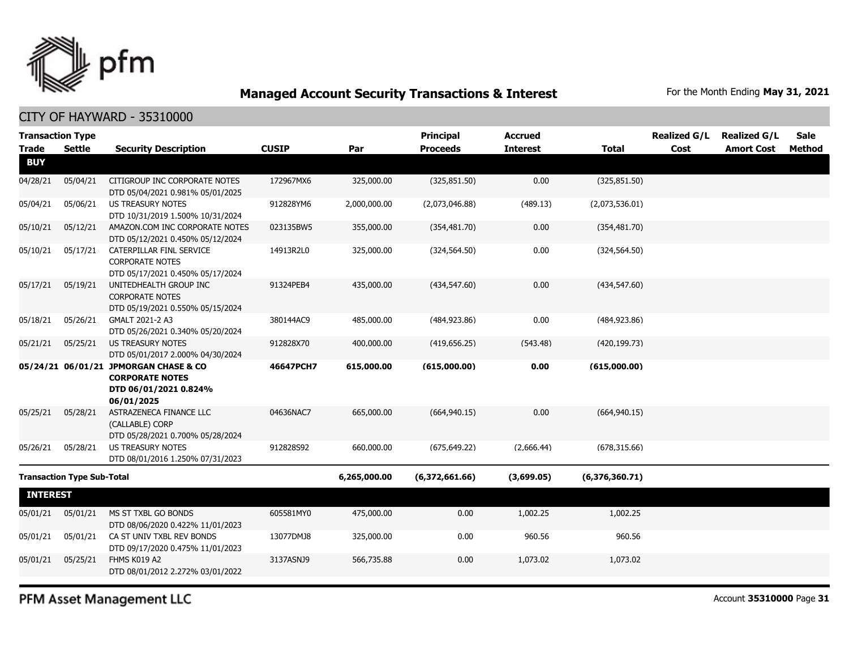

### CITY OF HAYWARD - 35310000

| <b>Transaction Type</b> |                                   |                                                                                                        |              |              | <b>Principal</b> | <b>Accrued</b>  |                | <b>Realized G/L</b> | <b>Realized G/L</b> | <b>Sale</b> |
|-------------------------|-----------------------------------|--------------------------------------------------------------------------------------------------------|--------------|--------------|------------------|-----------------|----------------|---------------------|---------------------|-------------|
| <b>Trade</b>            | <b>Settle</b>                     | <b>Security Description</b>                                                                            | <b>CUSIP</b> | Par          | <b>Proceeds</b>  | <b>Interest</b> | <b>Total</b>   | Cost                | <b>Amort Cost</b>   | Method      |
| <b>BUY</b>              |                                   |                                                                                                        |              |              |                  |                 |                |                     |                     |             |
| 04/28/21                | 05/04/21                          | CITIGROUP INC CORPORATE NOTES<br>DTD 05/04/2021 0.981% 05/01/2025                                      | 172967MX6    | 325,000.00   | (325, 851.50)    | 0.00            | (325, 851.50)  |                     |                     |             |
| 05/04/21                | 05/06/21                          | <b>US TREASURY NOTES</b><br>DTD 10/31/2019 1.500% 10/31/2024                                           | 912828YM6    | 2,000,000.00 | (2,073,046.88)   | (489.13)        | (2,073,536.01) |                     |                     |             |
| 05/10/21                | 05/12/21                          | AMAZON.COM INC CORPORATE NOTES<br>DTD 05/12/2021 0.450% 05/12/2024                                     | 023135BW5    | 355,000.00   | (354, 481.70)    | 0.00            | (354, 481.70)  |                     |                     |             |
| 05/10/21                | 05/17/21                          | CATERPILLAR FINL SERVICE<br><b>CORPORATE NOTES</b><br>DTD 05/17/2021 0.450% 05/17/2024                 | 14913R2L0    | 325,000.00   | (324, 564.50)    | 0.00            | (324, 564.50)  |                     |                     |             |
| 05/17/21                | 05/19/21                          | UNITEDHEALTH GROUP INC<br><b>CORPORATE NOTES</b><br>DTD 05/19/2021 0.550% 05/15/2024                   | 91324PEB4    | 435,000.00   | (434, 547.60)    | 0.00            | (434, 547.60)  |                     |                     |             |
| 05/18/21                | 05/26/21                          | GMALT 2021-2 A3<br>DTD 05/26/2021 0.340% 05/20/2024                                                    | 380144AC9    | 485,000.00   | (484, 923.86)    | 0.00            | (484, 923.86)  |                     |                     |             |
| 05/21/21                | 05/25/21                          | <b>US TREASURY NOTES</b><br>DTD 05/01/2017 2.000% 04/30/2024                                           | 912828X70    | 400,000.00   | (419, 656.25)    | (543.48)        | (420, 199.73)  |                     |                     |             |
|                         |                                   | 05/24/21 06/01/21 JPMORGAN CHASE & CO<br><b>CORPORATE NOTES</b><br>DTD 06/01/2021 0.824%<br>06/01/2025 | 46647PCH7    | 615,000.00   | (615,000.00)     | 0.00            | (615,000.00)   |                     |                     |             |
| 05/25/21                | 05/28/21                          | ASTRAZENECA FINANCE LLC<br>(CALLABLE) CORP<br>DTD 05/28/2021 0.700% 05/28/2024                         | 04636NAC7    | 665,000.00   | (664, 940.15)    | 0.00            | (664, 940.15)  |                     |                     |             |
| 05/26/21                | 05/28/21                          | US TREASURY NOTES<br>DTD 08/01/2016 1.250% 07/31/2023                                                  | 912828S92    | 660,000.00   | (675, 649.22)    | (2,666.44)      | (678, 315.66)  |                     |                     |             |
|                         | <b>Transaction Type Sub-Total</b> |                                                                                                        |              | 6,265,000.00 | (6,372,661.66)   | (3,699.05)      | (6,376,360.71) |                     |                     |             |
| <b>INTEREST</b>         |                                   |                                                                                                        |              |              |                  |                 |                |                     |                     |             |
| 05/01/21                | 05/01/21                          | MS ST TXBL GO BONDS<br>DTD 08/06/2020 0.422% 11/01/2023                                                | 605581MY0    | 475,000.00   | 0.00             | 1,002.25        | 1,002.25       |                     |                     |             |
| 05/01/21                | 05/01/21                          | CA ST UNIV TXBL REV BONDS<br>DTD 09/17/2020 0.475% 11/01/2023                                          | 13077DMJ8    | 325,000.00   | 0.00             | 960.56          | 960.56         |                     |                     |             |
| 05/01/21                | 05/25/21                          | FHMS K019 A2<br>DTD 08/01/2012 2.272% 03/01/2022                                                       | 3137ASNJ9    | 566,735.88   | 0.00             | 1,073.02        | 1,073.02       |                     |                     |             |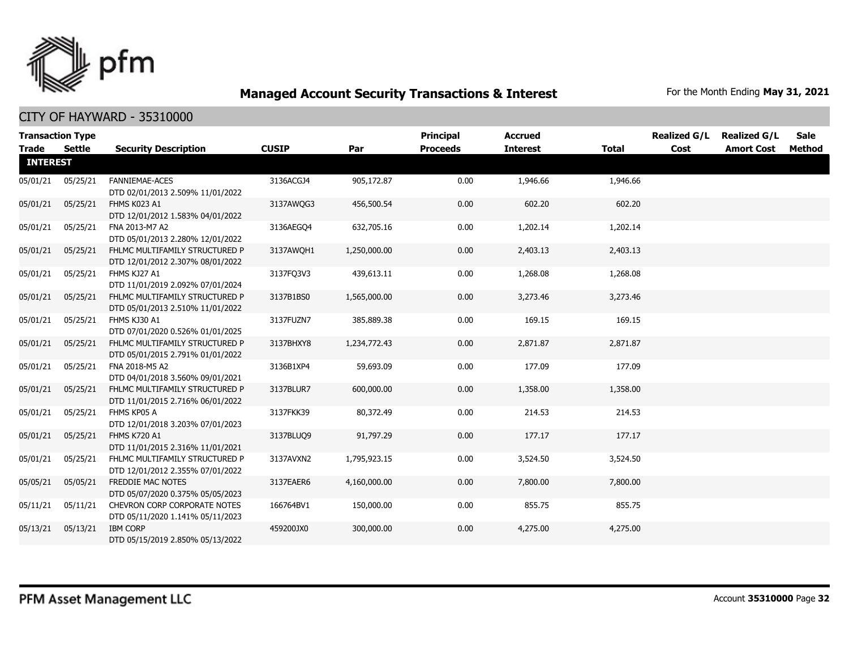

|                 | <b>Transaction Type</b> |                                                                    |              |              | <b>Principal</b> | <b>Accrued</b>  |              | <b>Realized G/L</b> | <b>Realized G/L</b> | <b>Sale</b>   |
|-----------------|-------------------------|--------------------------------------------------------------------|--------------|--------------|------------------|-----------------|--------------|---------------------|---------------------|---------------|
| <b>Trade</b>    | <b>Settle</b>           | <b>Security Description</b>                                        | <b>CUSIP</b> | Par          | <b>Proceeds</b>  | <b>Interest</b> | <b>Total</b> | Cost                | <b>Amort Cost</b>   | <b>Method</b> |
| <b>INTEREST</b> |                         |                                                                    |              |              |                  |                 |              |                     |                     |               |
| 05/01/21        | 05/25/21                | FANNIEMAE-ACES<br>DTD 02/01/2013 2.509% 11/01/2022                 | 3136ACGJ4    | 905,172.87   | 0.00             | 1,946.66        | 1,946.66     |                     |                     |               |
| 05/01/21        | 05/25/21                | FHMS K023 A1<br>DTD 12/01/2012 1.583% 04/01/2022                   | 3137AWQG3    | 456,500.54   | 0.00             | 602.20          | 602.20       |                     |                     |               |
| 05/01/21        | 05/25/21                | FNA 2013-M7 A2<br>DTD 05/01/2013 2.280% 12/01/2022                 | 3136AEGO4    | 632,705.16   | 0.00             | 1,202.14        | 1,202.14     |                     |                     |               |
| 05/01/21        | 05/25/21                | FHLMC MULTIFAMILY STRUCTURED P<br>DTD 12/01/2012 2.307% 08/01/2022 | 3137AWOH1    | 1,250,000.00 | 0.00             | 2,403.13        | 2,403.13     |                     |                     |               |
| 05/01/21        | 05/25/21                | FHMS KJ27 A1<br>DTD 11/01/2019 2.092% 07/01/2024                   | 3137FQ3V3    | 439,613.11   | 0.00             | 1,268.08        | 1,268.08     |                     |                     |               |
| 05/01/21        | 05/25/21                | FHLMC MULTIFAMILY STRUCTURED P<br>DTD 05/01/2013 2.510% 11/01/2022 | 3137B1BS0    | 1,565,000.00 | 0.00             | 3,273.46        | 3,273.46     |                     |                     |               |
| 05/01/21        | 05/25/21                | FHMS KJ30 A1<br>DTD 07/01/2020 0.526% 01/01/2025                   | 3137FUZN7    | 385,889.38   | 0.00             | 169.15          | 169.15       |                     |                     |               |
| 05/01/21        | 05/25/21                | FHLMC MULTIFAMILY STRUCTURED P<br>DTD 05/01/2015 2.791% 01/01/2022 | 3137BHXY8    | 1,234,772.43 | 0.00             | 2,871.87        | 2,871.87     |                     |                     |               |
| 05/01/21        | 05/25/21                | FNA 2018-M5 A2<br>DTD 04/01/2018 3.560% 09/01/2021                 | 3136B1XP4    | 59,693.09    | 0.00             | 177.09          | 177.09       |                     |                     |               |
| 05/01/21        | 05/25/21                | FHLMC MULTIFAMILY STRUCTURED P<br>DTD 11/01/2015 2.716% 06/01/2022 | 3137BLUR7    | 600,000.00   | 0.00             | 1,358.00        | 1,358.00     |                     |                     |               |
| 05/01/21        | 05/25/21                | FHMS KP05 A<br>DTD 12/01/2018 3.203% 07/01/2023                    | 3137FKK39    | 80,372.49    | 0.00             | 214.53          | 214.53       |                     |                     |               |
| 05/01/21        | 05/25/21                | <b>FHMS K720 A1</b><br>DTD 11/01/2015 2.316% 11/01/2021            | 3137BLUQ9    | 91,797.29    | 0.00             | 177.17          | 177.17       |                     |                     |               |
| 05/01/21        | 05/25/21                | FHLMC MULTIFAMILY STRUCTURED P<br>DTD 12/01/2012 2.355% 07/01/2022 | 3137AVXN2    | 1,795,923.15 | 0.00             | 3,524.50        | 3,524.50     |                     |                     |               |
| 05/05/21        | 05/05/21                | FREDDIE MAC NOTES<br>DTD 05/07/2020 0.375% 05/05/2023              | 3137EAER6    | 4,160,000.00 | 0.00             | 7,800.00        | 7,800.00     |                     |                     |               |
| 05/11/21        | 05/11/21                | CHEVRON CORP CORPORATE NOTES<br>DTD 05/11/2020 1.141% 05/11/2023   | 166764BV1    | 150,000.00   | 0.00             | 855.75          | 855.75       |                     |                     |               |
| 05/13/21        | 05/13/21                | <b>IBM CORP</b><br>DTD 05/15/2019 2.850% 05/13/2022                | 459200JX0    | 300,000.00   | 0.00             | 4,275.00        | 4,275.00     |                     |                     |               |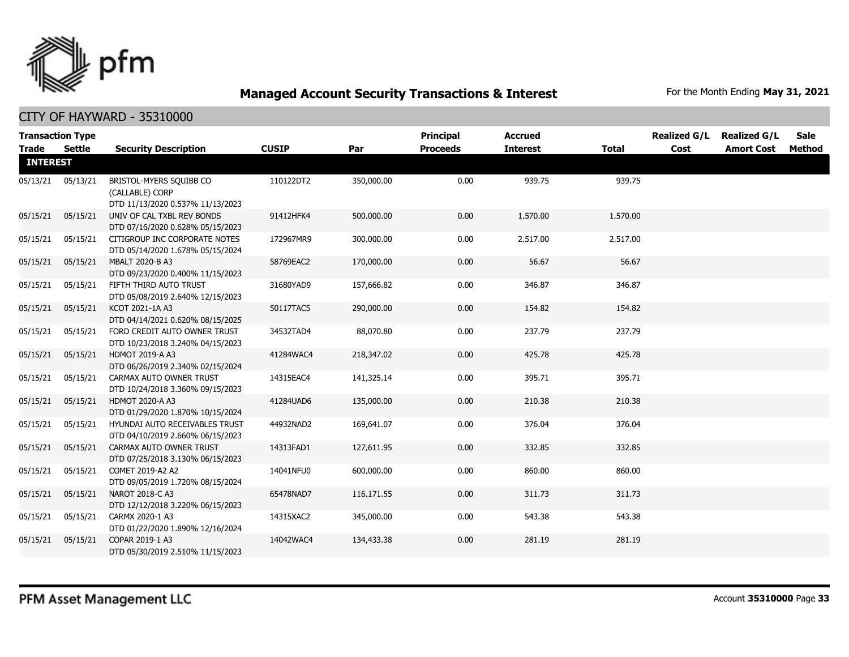

|                                 | <b>Transaction Type</b> |                                                                                |              |            | Principal       | <b>Accrued</b>  |              | <b>Realized G/L</b> | <b>Realized G/L</b> | <b>Sale</b> |
|---------------------------------|-------------------------|--------------------------------------------------------------------------------|--------------|------------|-----------------|-----------------|--------------|---------------------|---------------------|-------------|
| <b>Trade</b><br><b>INTEREST</b> | Settle                  | <b>Security Description</b>                                                    | <b>CUSIP</b> | Par        | <b>Proceeds</b> | <b>Interest</b> | <b>Total</b> | Cost                | <b>Amort Cost</b>   | Method      |
| 05/13/21                        | 05/13/21                | BRISTOL-MYERS SQUIBB CO<br>(CALLABLE) CORP<br>DTD 11/13/2020 0.537% 11/13/2023 | 110122DT2    | 350,000.00 | 0.00            | 939.75          | 939.75       |                     |                     |             |
| 05/15/21                        | 05/15/21                | UNIV OF CAL TXBL REV BONDS<br>DTD 07/16/2020 0.628% 05/15/2023                 | 91412HFK4    | 500,000.00 | 0.00            | 1,570.00        | 1,570.00     |                     |                     |             |
| 05/15/21                        | 05/15/21                | CITIGROUP INC CORPORATE NOTES<br>DTD 05/14/2020 1.678% 05/15/2024              | 172967MR9    | 300,000.00 | 0.00            | 2,517.00        | 2,517.00     |                     |                     |             |
| 05/15/21                        | 05/15/21                | MBALT 2020-B A3<br>DTD 09/23/2020 0.400% 11/15/2023                            | 58769EAC2    | 170,000.00 | 0.00            | 56.67           | 56.67        |                     |                     |             |
| 05/15/21                        | 05/15/21                | FIFTH THIRD AUTO TRUST<br>DTD 05/08/2019 2.640% 12/15/2023                     | 31680YAD9    | 157,666.82 | 0.00            | 346.87          | 346.87       |                     |                     |             |
| 05/15/21                        | 05/15/21                | KCOT 2021-1A A3<br>DTD 04/14/2021 0.620% 08/15/2025                            | 50117TAC5    | 290,000.00 | 0.00            | 154.82          | 154.82       |                     |                     |             |
| 05/15/21                        | 05/15/21                | FORD CREDIT AUTO OWNER TRUST<br>DTD 10/23/2018 3.240% 04/15/2023               | 34532TAD4    | 88,070.80  | 0.00            | 237.79          | 237.79       |                     |                     |             |
| 05/15/21                        | 05/15/21                | <b>HDMOT 2019-A A3</b><br>DTD 06/26/2019 2.340% 02/15/2024                     | 41284WAC4    | 218,347.02 | 0.00            | 425.78          | 425.78       |                     |                     |             |
| 05/15/21                        | 05/15/21                | CARMAX AUTO OWNER TRUST<br>DTD 10/24/2018 3.360% 09/15/2023                    | 14315EAC4    | 141,325.14 | 0.00            | 395.71          | 395.71       |                     |                     |             |
| 05/15/21                        | 05/15/21                | <b>HDMOT 2020-A A3</b><br>DTD 01/29/2020 1.870% 10/15/2024                     | 41284UAD6    | 135,000.00 | 0.00            | 210.38          | 210.38       |                     |                     |             |
| 05/15/21                        | 05/15/21                | HYUNDAI AUTO RECEIVABLES TRUST<br>DTD 04/10/2019 2.660% 06/15/2023             | 44932NAD2    | 169,641.07 | 0.00            | 376.04          | 376.04       |                     |                     |             |
| 05/15/21                        | 05/15/21                | CARMAX AUTO OWNER TRUST<br>DTD 07/25/2018 3.130% 06/15/2023                    | 14313FAD1    | 127,611.95 | 0.00            | 332.85          | 332.85       |                     |                     |             |
| 05/15/21                        | 05/15/21                | COMET 2019-A2 A2<br>DTD 09/05/2019 1.720% 08/15/2024                           | 14041NFU0    | 600,000.00 | 0.00            | 860.00          | 860.00       |                     |                     |             |
| 05/15/21                        | 05/15/21                | NAROT 2018-C A3<br>DTD 12/12/2018 3.220% 06/15/2023                            | 65478NAD7    | 116,171.55 | 0.00            | 311.73          | 311.73       |                     |                     |             |
| 05/15/21                        | 05/15/21                | CARMX 2020-1 A3<br>DTD 01/22/2020 1.890% 12/16/2024                            | 14315XAC2    | 345,000.00 | 0.00            | 543.38          | 543.38       |                     |                     |             |
| 05/15/21                        | 05/15/21                | COPAR 2019-1 A3<br>DTD 05/30/2019 2.510% 11/15/2023                            | 14042WAC4    | 134,433.38 | 0.00            | 281.19          | 281.19       |                     |                     |             |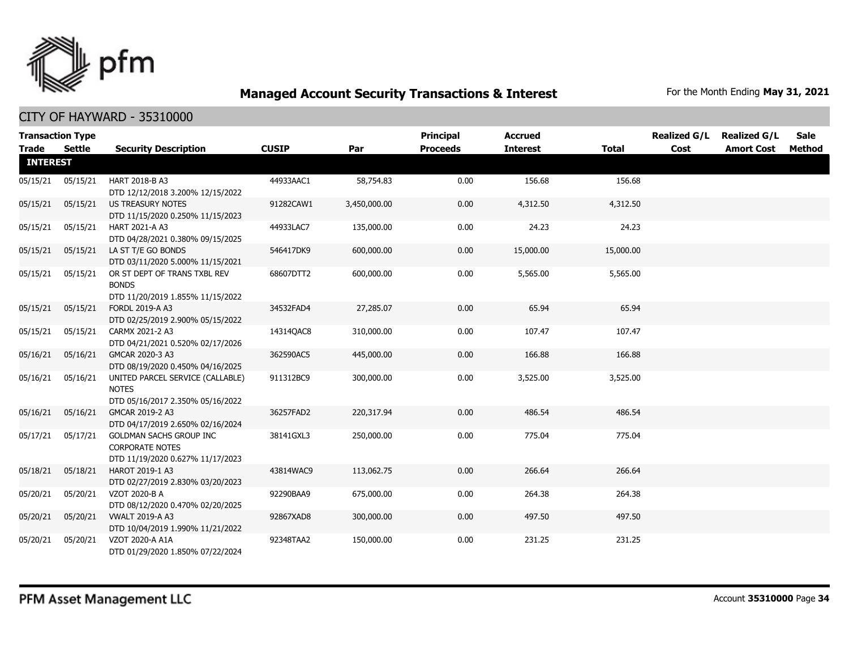

| <b>Transaction Type</b> |          |                                                                                       |              |              | Principal       | <b>Accrued</b>  |              | <b>Realized G/L</b> | <b>Realized G/L</b> | <b>Sale</b> |
|-------------------------|----------|---------------------------------------------------------------------------------------|--------------|--------------|-----------------|-----------------|--------------|---------------------|---------------------|-------------|
| Trade                   | Settle   | <b>Security Description</b>                                                           | <b>CUSIP</b> | Par          | <b>Proceeds</b> | <b>Interest</b> | <b>Total</b> | Cost                | <b>Amort Cost</b>   | Method      |
| <b>INTEREST</b>         |          |                                                                                       |              |              |                 |                 |              |                     |                     |             |
| 05/15/21                | 05/15/21 | HART 2018-B A3<br>DTD 12/12/2018 3.200% 12/15/2022                                    | 44933AAC1    | 58,754.83    | 0.00            | 156.68          | 156.68       |                     |                     |             |
| 05/15/21                | 05/15/21 | US TREASURY NOTES<br>DTD 11/15/2020 0.250% 11/15/2023                                 | 91282CAW1    | 3,450,000.00 | 0.00            | 4,312.50        | 4,312.50     |                     |                     |             |
| 05/15/21                | 05/15/21 | HART 2021-A A3<br>DTD 04/28/2021 0.380% 09/15/2025                                    | 44933LAC7    | 135,000.00   | 0.00            | 24.23           | 24.23        |                     |                     |             |
| 05/15/21                | 05/15/21 | LA ST T/E GO BONDS<br>DTD 03/11/2020 5.000% 11/15/2021                                | 546417DK9    | 600,000.00   | 0.00            | 15,000.00       | 15,000.00    |                     |                     |             |
| 05/15/21                | 05/15/21 | OR ST DEPT OF TRANS TXBL REV<br><b>BONDS</b><br>DTD 11/20/2019 1.855% 11/15/2022      | 68607DTT2    | 600,000.00   | 0.00            | 5,565.00        | 5,565.00     |                     |                     |             |
| 05/15/21                | 05/15/21 | <b>FORDL 2019-A A3</b><br>DTD 02/25/2019 2.900% 05/15/2022                            | 34532FAD4    | 27,285.07    | 0.00            | 65.94           | 65.94        |                     |                     |             |
| 05/15/21                | 05/15/21 | CARMX 2021-2 A3<br>DTD 04/21/2021 0.520% 02/17/2026                                   | 14314QAC8    | 310,000.00   | 0.00            | 107.47          | 107.47       |                     |                     |             |
| 05/16/21                | 05/16/21 | GMCAR 2020-3 A3<br>DTD 08/19/2020 0.450% 04/16/2025                                   | 362590AC5    | 445,000.00   | 0.00            | 166.88          | 166.88       |                     |                     |             |
| 05/16/21                | 05/16/21 | UNITED PARCEL SERVICE (CALLABLE)<br><b>NOTES</b><br>DTD 05/16/2017 2.350% 05/16/2022  | 911312BC9    | 300,000.00   | 0.00            | 3,525.00        | 3,525.00     |                     |                     |             |
| 05/16/21                | 05/16/21 | GMCAR 2019-2 A3<br>DTD 04/17/2019 2.650% 02/16/2024                                   | 36257FAD2    | 220,317.94   | 0.00            | 486.54          | 486.54       |                     |                     |             |
| 05/17/21                | 05/17/21 | GOLDMAN SACHS GROUP INC<br><b>CORPORATE NOTES</b><br>DTD 11/19/2020 0.627% 11/17/2023 | 38141GXL3    | 250,000.00   | 0.00            | 775.04          | 775.04       |                     |                     |             |
| 05/18/21                | 05/18/21 | HAROT 2019-1 A3<br>DTD 02/27/2019 2.830% 03/20/2023                                   | 43814WAC9    | 113,062.75   | 0.00            | 266.64          | 266.64       |                     |                     |             |
| 05/20/21                | 05/20/21 | VZOT 2020-B A<br>DTD 08/12/2020 0.470% 02/20/2025                                     | 92290BAA9    | 675,000.00   | 0.00            | 264.38          | 264.38       |                     |                     |             |
| 05/20/21                | 05/20/21 | <b>VWALT 2019-A A3</b><br>DTD 10/04/2019 1.990% 11/21/2022                            | 92867XAD8    | 300,000.00   | 0.00            | 497.50          | 497.50       |                     |                     |             |
| 05/20/21                | 05/20/21 | VZOT 2020-A A1A<br>DTD 01/29/2020 1.850% 07/22/2024                                   | 92348TAA2    | 150,000.00   | 0.00            | 231.25          | 231.25       |                     |                     |             |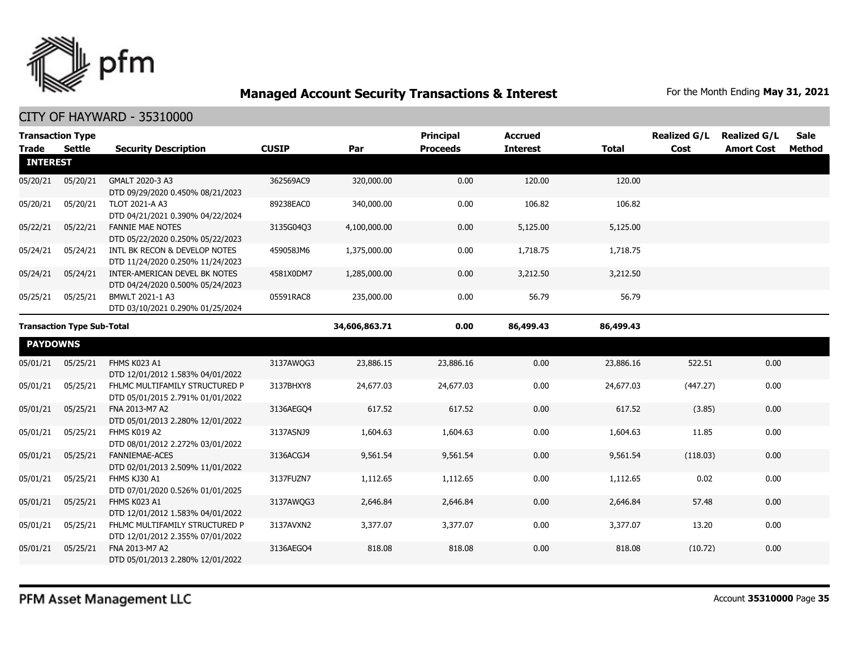

| <b>Trade</b>                      | <b>Transaction Type</b><br>Settle | <b>Security Description</b>                                        | <b>CUSIP</b>  | Par          | <b>Principal</b><br><b>Proceeds</b> | <b>Accrued</b><br><b>Interest</b> | <b>Total</b> | <b>Realized G/L</b><br>Cost | <b>Realized G/L</b><br><b>Amort Cost</b> | <b>Sale</b><br>Method |
|-----------------------------------|-----------------------------------|--------------------------------------------------------------------|---------------|--------------|-------------------------------------|-----------------------------------|--------------|-----------------------------|------------------------------------------|-----------------------|
| <b>INTEREST</b>                   |                                   |                                                                    |               |              |                                     |                                   |              |                             |                                          |                       |
| 05/20/21                          | 05/20/21                          | GMALT 2020-3 A3<br>DTD 09/29/2020 0.450% 08/21/2023                | 362569AC9     | 320,000.00   | 0.00                                | 120.00                            | 120.00       |                             |                                          |                       |
| 05/20/21                          | 05/20/21                          | TLOT 2021-A A3<br>DTD 04/21/2021 0.390% 04/22/2024                 | 89238EAC0     | 340,000.00   | 0.00                                | 106.82                            | 106.82       |                             |                                          |                       |
| 05/22/21                          | 05/22/21                          | <b>FANNIE MAE NOTES</b><br>DTD 05/22/2020 0.250% 05/22/2023        | 3135G04O3     | 4,100,000.00 | 0.00                                | 5,125.00                          | 5,125.00     |                             |                                          |                       |
| 05/24/21                          | 05/24/21                          | INTL BK RECON & DEVELOP NOTES<br>DTD 11/24/2020 0.250% 11/24/2023  | 459058JM6     | 1,375,000.00 | 0.00                                | 1,718.75                          | 1,718.75     |                             |                                          |                       |
| 05/24/21                          | 05/24/21                          | INTER-AMERICAN DEVEL BK NOTES<br>DTD 04/24/2020 0.500% 05/24/2023  | 4581X0DM7     | 1,285,000.00 | 0.00                                | 3,212.50                          | 3,212.50     |                             |                                          |                       |
| 05/25/21                          | 05/25/21                          | BMWLT 2021-1 A3<br>DTD 03/10/2021 0.290% 01/25/2024                | 05591RAC8     | 235,000.00   | 0.00                                | 56.79                             | 56.79        |                             |                                          |                       |
| <b>Transaction Type Sub-Total</b> |                                   |                                                                    | 34,606,863.71 | 0.00         | 86,499.43                           | 86,499.43                         |              |                             |                                          |                       |
| <b>PAYDOWNS</b>                   |                                   |                                                                    |               |              |                                     |                                   |              |                             |                                          |                       |
| 05/01/21                          | 05/25/21                          | FHMS K023 A1<br>DTD 12/01/2012 1.583% 04/01/2022                   | 3137AWQG3     | 23,886.15    | 23,886.16                           | 0.00                              | 23,886.16    | 522.51                      | 0.00                                     |                       |
| 05/01/21                          | 05/25/21                          | FHLMC MULTIFAMILY STRUCTURED P<br>DTD 05/01/2015 2.791% 01/01/2022 | 3137BHXY8     | 24,677.03    | 24,677.03                           | 0.00                              | 24,677.03    | (447.27)                    | 0.00                                     |                       |
| 05/01/21                          | 05/25/21                          | FNA 2013-M7 A2<br>DTD 05/01/2013 2.280% 12/01/2022                 | 3136AEGO4     | 617.52       | 617.52                              | 0.00                              | 617.52       | (3.85)                      | 0.00                                     |                       |
| 05/01/21                          | 05/25/21                          | FHMS K019 A2<br>DTD 08/01/2012 2.272% 03/01/2022                   | 3137ASNJ9     | 1,604.63     | 1,604.63                            | 0.00                              | 1,604.63     | 11.85                       | 0.00                                     |                       |
| 05/01/21                          | 05/25/21                          | FANNIEMAE-ACES<br>DTD 02/01/2013 2.509% 11/01/2022                 | 3136ACGJ4     | 9,561.54     | 9,561.54                            | 0.00                              | 9,561.54     | (118.03)                    | 0.00                                     |                       |
| 05/01/21                          | 05/25/21                          | FHMS KJ30 A1<br>DTD 07/01/2020 0.526% 01/01/2025                   | 3137FUZN7     | 1,112.65     | 1,112.65                            | 0.00                              | 1,112.65     | 0.02                        | 0.00                                     |                       |
| 05/01/21                          | 05/25/21                          | FHMS K023 A1<br>DTD 12/01/2012 1.583% 04/01/2022                   | 3137AWQG3     | 2,646.84     | 2,646.84                            | 0.00                              | 2,646.84     | 57.48                       | 0.00                                     |                       |
| 05/01/21                          | 05/25/21                          | FHLMC MULTIFAMILY STRUCTURED P<br>DTD 12/01/2012 2.355% 07/01/2022 | 3137AVXN2     | 3,377.07     | 3,377.07                            | 0.00                              | 3,377.07     | 13.20                       | 0.00                                     |                       |
| 05/01/21                          | 05/25/21                          | FNA 2013-M7 A2<br>DTD 05/01/2013 2.280% 12/01/2022                 | 3136AEGQ4     | 818.08       | 818.08                              | 0.00                              | 818.08       | (10.72)                     | 0.00                                     |                       |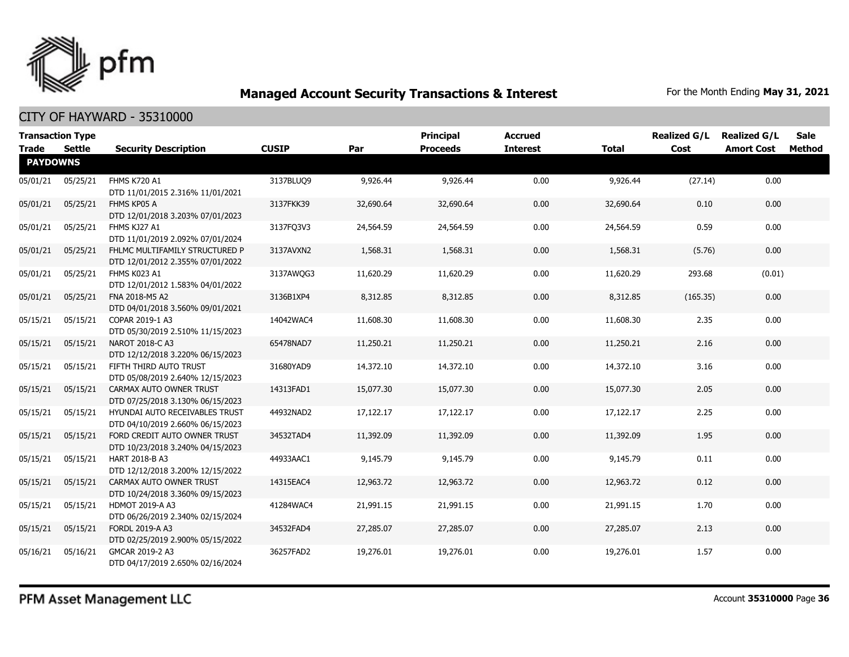

|                 | <b>Transaction Type</b> |                                                                    |              |           | <b>Principal</b> | <b>Accrued</b>  |              | <b>Realized G/L</b> | <b>Realized G/L</b> | <b>Sale</b> |
|-----------------|-------------------------|--------------------------------------------------------------------|--------------|-----------|------------------|-----------------|--------------|---------------------|---------------------|-------------|
| Trade           | <b>Settle</b>           | <b>Security Description</b>                                        | <b>CUSIP</b> | Par       | <b>Proceeds</b>  | <b>Interest</b> | <b>Total</b> | Cost                | <b>Amort Cost</b>   | Method      |
| <b>PAYDOWNS</b> |                         |                                                                    |              |           |                  |                 |              |                     |                     |             |
| 05/01/21        | 05/25/21                | <b>FHMS K720 A1</b><br>DTD 11/01/2015 2.316% 11/01/2021            | 3137BLUQ9    | 9,926.44  | 9,926,44         | 0.00            | 9,926.44     | (27.14)             | 0.00                |             |
| 05/01/21        | 05/25/21                | FHMS KP05 A<br>DTD 12/01/2018 3.203% 07/01/2023                    | 3137FKK39    | 32,690.64 | 32,690.64        | 0.00            | 32,690.64    | 0.10                | 0.00                |             |
| 05/01/21        | 05/25/21                | FHMS KJ27 A1<br>DTD 11/01/2019 2.092% 07/01/2024                   | 3137FQ3V3    | 24,564.59 | 24,564.59        | 0.00            | 24,564.59    | 0.59                | 0.00                |             |
| 05/01/21        | 05/25/21                | FHLMC MULTIFAMILY STRUCTURED P<br>DTD 12/01/2012 2.355% 07/01/2022 | 3137AVXN2    | 1,568.31  | 1,568.31         | 0.00            | 1,568.31     | (5.76)              | 0.00                |             |
| 05/01/21        | 05/25/21                | FHMS K023 A1<br>DTD 12/01/2012 1.583% 04/01/2022                   | 3137AWOG3    | 11,620.29 | 11,620.29        | 0.00            | 11,620.29    | 293.68              | (0.01)              |             |
| 05/01/21        | 05/25/21                | FNA 2018-M5 A2<br>DTD 04/01/2018 3.560% 09/01/2021                 | 3136B1XP4    | 8,312.85  | 8,312.85         | 0.00            | 8,312.85     | (165.35)            | 0.00                |             |
| 05/15/21        | 05/15/21                | COPAR 2019-1 A3<br>DTD 05/30/2019 2.510% 11/15/2023                | 14042WAC4    | 11,608.30 | 11,608.30        | 0.00            | 11,608.30    | 2.35                | 0.00                |             |
| 05/15/21        | 05/15/21                | NAROT 2018-C A3<br>DTD 12/12/2018 3.220% 06/15/2023                | 65478NAD7    | 11,250.21 | 11,250.21        | 0.00            | 11,250.21    | 2.16                | 0.00                |             |
| 05/15/21        | 05/15/21                | FIFTH THIRD AUTO TRUST<br>DTD 05/08/2019 2.640% 12/15/2023         | 31680YAD9    | 14,372.10 | 14,372.10        | 0.00            | 14,372.10    | 3.16                | 0.00                |             |
| 05/15/21        | 05/15/21                | CARMAX AUTO OWNER TRUST<br>DTD 07/25/2018 3.130% 06/15/2023        | 14313FAD1    | 15,077.30 | 15,077.30        | 0.00            | 15,077.30    | 2.05                | 0.00                |             |
| 05/15/21        | 05/15/21                | HYUNDAI AUTO RECEIVABLES TRUST<br>DTD 04/10/2019 2.660% 06/15/2023 | 44932NAD2    | 17,122.17 | 17,122.17        | 0.00            | 17,122.17    | 2.25                | 0.00                |             |
| 05/15/21        | 05/15/21                | FORD CREDIT AUTO OWNER TRUST<br>DTD 10/23/2018 3.240% 04/15/2023   | 34532TAD4    | 11,392.09 | 11,392.09        | 0.00            | 11,392.09    | 1.95                | 0.00                |             |
| 05/15/21        | 05/15/21                | <b>HART 2018-B A3</b><br>DTD 12/12/2018 3.200% 12/15/2022          | 44933AAC1    | 9,145.79  | 9,145.79         | 0.00            | 9,145.79     | 0.11                | 0.00                |             |
| 05/15/21        | 05/15/21                | CARMAX AUTO OWNER TRUST<br>DTD 10/24/2018 3.360% 09/15/2023        | 14315EAC4    | 12,963.72 | 12,963.72        | 0.00            | 12,963.72    | 0.12                | 0.00                |             |
| 05/15/21        | 05/15/21                | <b>HDMOT 2019-A A3</b><br>DTD 06/26/2019 2.340% 02/15/2024         | 41284WAC4    | 21,991.15 | 21,991.15        | 0.00            | 21,991.15    | 1.70                | 0.00                |             |
| 05/15/21        | 05/15/21                | FORDL 2019-A A3<br>DTD 02/25/2019 2.900% 05/15/2022                | 34532FAD4    | 27,285.07 | 27,285.07        | 0.00            | 27,285.07    | 2.13                | 0.00                |             |
| 05/16/21        | 05/16/21                | GMCAR 2019-2 A3<br>DTD 04/17/2019 2.650% 02/16/2024                | 36257FAD2    | 19,276.01 | 19,276.01        | 0.00            | 19,276.01    | 1.57                | 0.00                |             |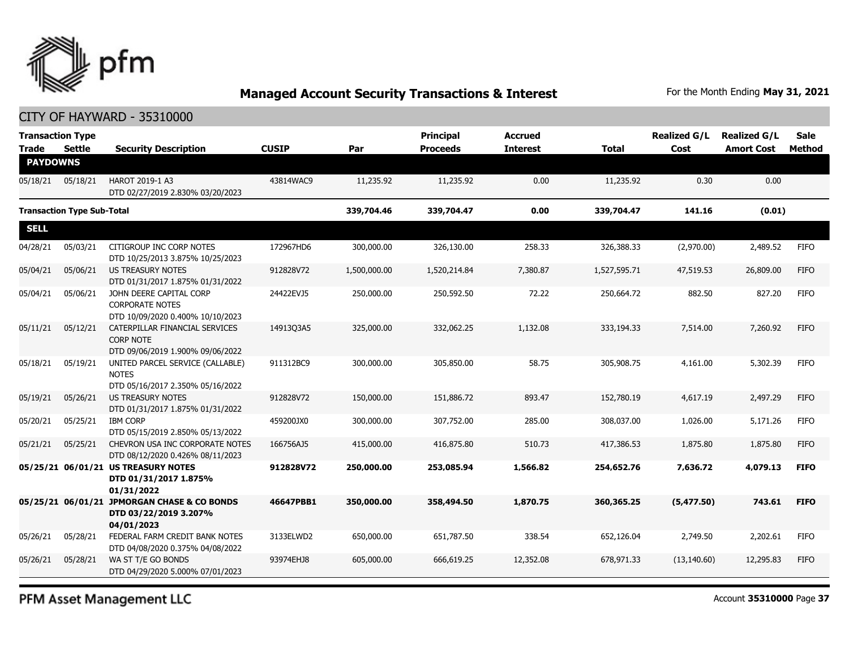

| <b>Transaction Type</b><br>Trade  | <b>Settle</b> | <b>Security Description</b>                                                            | <b>CUSIP</b> | Par          | <b>Principal</b><br><b>Proceeds</b> | <b>Accrued</b><br><b>Interest</b> | <b>Total</b> | <b>Realized G/L</b><br>Cost | <b>Realized G/L</b><br><b>Amort Cost</b> | <b>Sale</b><br>Method |
|-----------------------------------|---------------|----------------------------------------------------------------------------------------|--------------|--------------|-------------------------------------|-----------------------------------|--------------|-----------------------------|------------------------------------------|-----------------------|
| <b>PAYDOWNS</b>                   |               |                                                                                        |              |              |                                     |                                   |              |                             |                                          |                       |
| 05/18/21                          | 05/18/21      | HAROT 2019-1 A3<br>DTD 02/27/2019 2.830% 03/20/2023                                    | 43814WAC9    | 11,235.92    | 11,235.92                           | 0.00                              | 11,235.92    | 0.30                        | 0.00                                     |                       |
| <b>Transaction Type Sub-Total</b> |               |                                                                                        | 339,704.46   | 339,704.47   | 0.00                                | 339,704.47                        | 141.16       | (0.01)                      |                                          |                       |
| <b>SELL</b>                       |               |                                                                                        |              |              |                                     |                                   |              |                             |                                          |                       |
| 04/28/21                          | 05/03/21      | CITIGROUP INC CORP NOTES<br>DTD 10/25/2013 3.875% 10/25/2023                           | 172967HD6    | 300,000.00   | 326,130.00                          | 258.33                            | 326,388.33   | (2,970.00)                  | 2,489.52                                 | <b>FIFO</b>           |
| 05/04/21                          | 05/06/21      | US TREASURY NOTES<br>DTD 01/31/2017 1.875% 01/31/2022                                  | 912828V72    | 1,500,000.00 | 1,520,214.84                        | 7,380.87                          | 1,527,595.71 | 47,519.53                   | 26,809.00                                | <b>FIFO</b>           |
| 05/04/21                          | 05/06/21      | JOHN DEERE CAPITAL CORP<br><b>CORPORATE NOTES</b><br>DTD 10/09/2020 0.400% 10/10/2023  | 24422EVJ5    | 250,000.00   | 250,592.50                          | 72.22                             | 250,664.72   | 882.50                      | 827.20                                   | <b>FIFO</b>           |
| 05/11/21                          | 05/12/21      | CATERPILLAR FINANCIAL SERVICES<br><b>CORP NOTE</b><br>DTD 09/06/2019 1.900% 09/06/2022 | 14913Q3A5    | 325,000.00   | 332,062.25                          | 1,132.08                          | 333,194.33   | 7,514.00                    | 7,260.92                                 | <b>FIFO</b>           |
| 05/18/21                          | 05/19/21      | UNITED PARCEL SERVICE (CALLABLE)<br><b>NOTES</b><br>DTD 05/16/2017 2.350% 05/16/2022   | 911312BC9    | 300,000.00   | 305,850.00                          | 58.75                             | 305,908.75   | 4,161.00                    | 5,302.39                                 | <b>FIFO</b>           |
| 05/19/21                          | 05/26/21      | <b>US TREASURY NOTES</b><br>DTD 01/31/2017 1.875% 01/31/2022                           | 912828V72    | 150,000.00   | 151,886.72                          | 893.47                            | 152,780.19   | 4,617.19                    | 2,497.29                                 | <b>FIFO</b>           |
| 05/20/21                          | 05/25/21      | <b>IBM CORP</b><br>DTD 05/15/2019 2.850% 05/13/2022                                    | 459200JX0    | 300,000.00   | 307,752.00                          | 285.00                            | 308,037.00   | 1,026.00                    | 5,171.26                                 | <b>FIFO</b>           |
| 05/21/21                          | 05/25/21      | CHEVRON USA INC CORPORATE NOTES<br>DTD 08/12/2020 0.426% 08/11/2023                    | 166756AJ5    | 415,000.00   | 416,875.80                          | 510.73                            | 417,386.53   | 1,875.80                    | 1,875.80                                 | <b>FIFO</b>           |
|                                   |               | 05/25/21 06/01/21 US TREASURY NOTES<br>DTD 01/31/2017 1.875%<br>01/31/2022             | 912828V72    | 250,000.00   | 253,085.94                          | 1,566.82                          | 254,652.76   | 7,636.72                    | 4,079.13                                 | <b>FIFO</b>           |
|                                   |               | 05/25/21 06/01/21 JPMORGAN CHASE & CO BONDS<br>DTD 03/22/2019 3.207%<br>04/01/2023     | 46647PBB1    | 350,000.00   | 358,494.50                          | 1,870.75                          | 360,365.25   | (5,477.50)                  | 743.61                                   | <b>FIFO</b>           |
| 05/26/21                          | 05/28/21      | FEDERAL FARM CREDIT BANK NOTES<br>DTD 04/08/2020 0.375% 04/08/2022                     | 3133ELWD2    | 650,000.00   | 651,787.50                          | 338.54                            | 652,126.04   | 2,749.50                    | 2,202.61                                 | <b>FIFO</b>           |
| 05/26/21                          | 05/28/21      | WA ST T/E GO BONDS<br>DTD 04/29/2020 5.000% 07/01/2023                                 | 93974EHJ8    | 605,000.00   | 666,619.25                          | 12,352.08                         | 678,971.33   | (13, 140.60)                | 12,295.83                                | <b>FIFO</b>           |